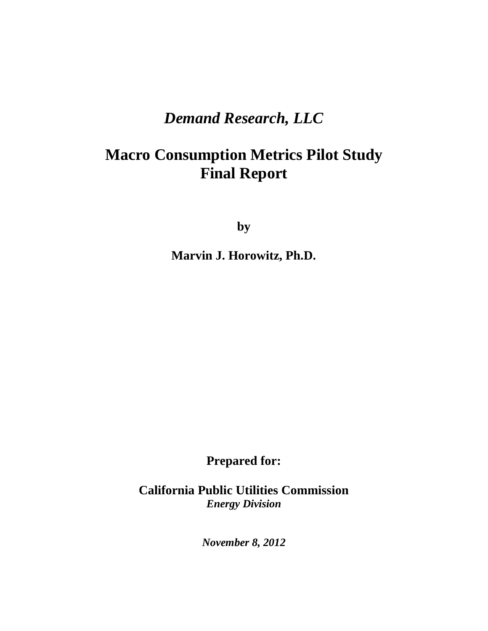# *Demand Research, LLC*

# **Macro Consumption Metrics Pilot Study Final Report**

**by**

**Marvin J. Horowitz, Ph.D.**

**Prepared for:**

**California Public Utilities Commission** *Energy Division*

*November 8, 2012*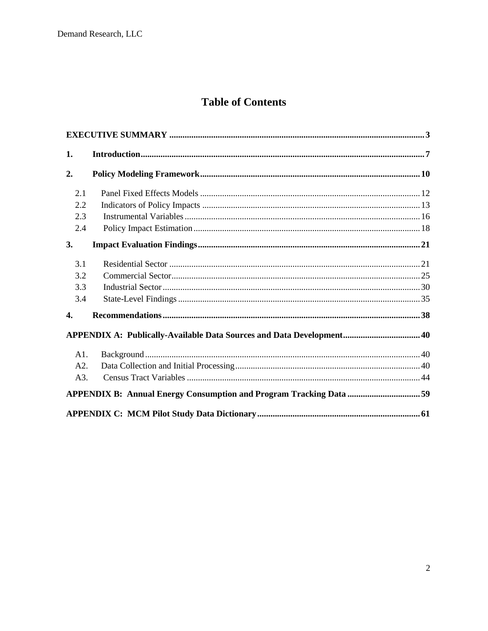# **Table of Contents**

| 1.  |                                                                       |  |
|-----|-----------------------------------------------------------------------|--|
| 2.  |                                                                       |  |
| 2.1 |                                                                       |  |
| 2.2 |                                                                       |  |
| 2.3 |                                                                       |  |
| 2.4 |                                                                       |  |
| 3.  |                                                                       |  |
| 3.1 |                                                                       |  |
| 3.2 |                                                                       |  |
| 3.3 |                                                                       |  |
| 3.4 |                                                                       |  |
| 4.  |                                                                       |  |
|     | APPENDIX A: Publically-Available Data Sources and Data Development 40 |  |
| A1. |                                                                       |  |
| A2. |                                                                       |  |
| A3. |                                                                       |  |
|     |                                                                       |  |
|     |                                                                       |  |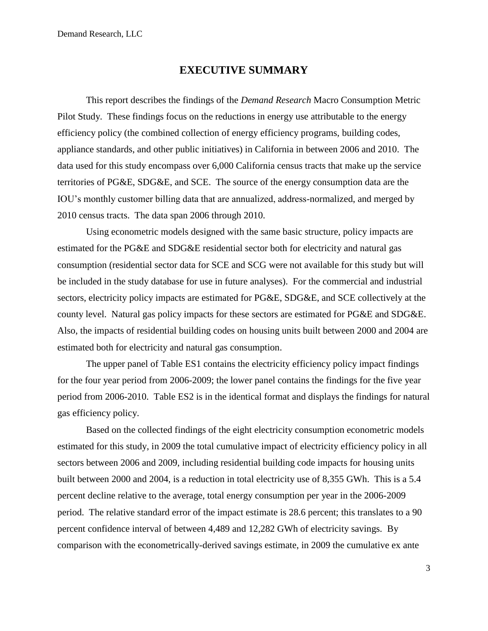## **EXECUTIVE SUMMARY**

<span id="page-2-0"></span>This report describes the findings of the *Demand Research* Macro Consumption Metric Pilot Study. These findings focus on the reductions in energy use attributable to the energy efficiency policy (the combined collection of energy efficiency programs, building codes, appliance standards, and other public initiatives) in California in between 2006 and 2010. The data used for this study encompass over 6,000 California census tracts that make up the service territories of PG&E, SDG&E, and SCE. The source of the energy consumption data are the IOU's monthly customer billing data that are annualized, address-normalized, and merged by 2010 census tracts. The data span 2006 through 2010.

Using econometric models designed with the same basic structure, policy impacts are estimated for the PG&E and SDG&E residential sector both for electricity and natural gas consumption (residential sector data for SCE and SCG were not available for this study but will be included in the study database for use in future analyses). For the commercial and industrial sectors, electricity policy impacts are estimated for PG&E, SDG&E, and SCE collectively at the county level. Natural gas policy impacts for these sectors are estimated for PG&E and SDG&E. Also, the impacts of residential building codes on housing units built between 2000 and 2004 are estimated both for electricity and natural gas consumption.

The upper panel of Table ES1 contains the electricity efficiency policy impact findings for the four year period from 2006-2009; the lower panel contains the findings for the five year period from 2006-2010. Table ES2 is in the identical format and displays the findings for natural gas efficiency policy.

Based on the collected findings of the eight electricity consumption econometric models estimated for this study, in 2009 the total cumulative impact of electricity efficiency policy in all sectors between 2006 and 2009, including residential building code impacts for housing units built between 2000 and 2004, is a reduction in total electricity use of 8,355 GWh. This is a 5.4 percent decline relative to the average, total energy consumption per year in the 2006-2009 period. The relative standard error of the impact estimate is 28.6 percent; this translates to a 90 percent confidence interval of between 4,489 and 12,282 GWh of electricity savings. By comparison with the econometrically-derived savings estimate, in 2009 the cumulative ex ante

3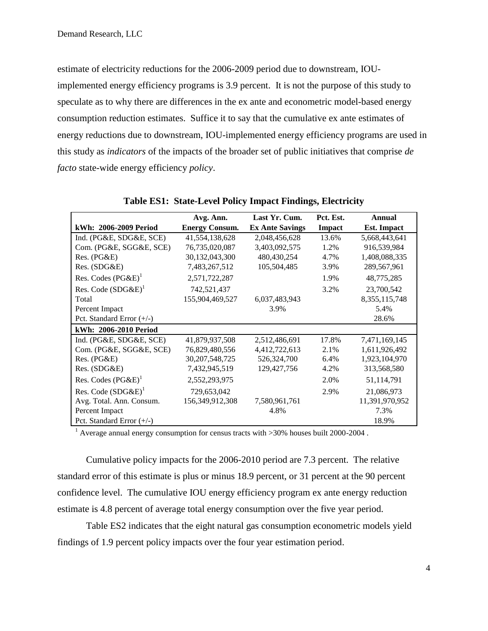estimate of electricity reductions for the 2006-2009 period due to downstream, IOUimplemented energy efficiency programs is 3.9 percent. It is not the purpose of this study to speculate as to why there are differences in the ex ante and econometric model-based energy consumption reduction estimates. Suffice it to say that the cumulative ex ante estimates of energy reductions due to downstream, IOU-implemented energy efficiency programs are used in this study as *indicators* of the impacts of the broader set of public initiatives that comprise *de facto* state-wide energy efficiency *policy*.

|                             | Avg. Ann.             | Last Yr. Cum.          | Pct. Est. | <b>Annual</b>      |
|-----------------------------|-----------------------|------------------------|-----------|--------------------|
| kWh: 2006-2009 Period       | <b>Energy Consum.</b> | <b>Ex Ante Savings</b> | Impact    | <b>Est.</b> Impact |
| Ind. (PG&E, SDG&E, SCE)     | 41,554,138,628        | 2,048,456,628          | 13.6%     | 5,668,443,641      |
| Com. (PG&E, SGG&E, SCE)     | 76,735,020,087        | 3,403,092,575          | 1.2%      | 916,539,984        |
| Res. (PG&E)                 | 30,132,043,300        | 480,430,254            | 4.7%      | 1,408,088,335      |
| Res. (SDG&E)                | 7,483,267,512         | 105,504,485            | 3.9%      | 289,567,961        |
| Res. Codes $(PG\&E)^{1}$    | 2,571,722,287         |                        | 1.9%      | 48,775,285         |
| Res. Code $(SDG\&E)^1$      | 742,521,437           |                        | 3.2%      | 23,700,542         |
| Total                       | 155,904,469,527       | 6,037,483,943          |           | 8, 355, 115, 748   |
| Percent Impact              |                       | 3.9%                   |           | 5.4%               |
| Pct. Standard Error $(+/-)$ |                       |                        |           | 28.6%              |
| kWh: 2006-2010 Period       |                       |                        |           |                    |
| Ind. (PG&E, SDG&E, SCE)     | 41,879,937,508        | 2,512,486,691          | 17.8%     | 7,471,169,145      |
| Com. (PG&E, SGG&E, SCE)     | 76,829,480,556        | 4,412,722,613          | 2.1%      | 1,611,926,492      |
| Res. (PG&E)                 | 30, 207, 548, 725     | 526, 324, 700          | 6.4%      | 1,923,104,970      |
| Res. (SDG&E)                | 7,432,945,519         | 129, 427, 756          | 4.2%      | 313,568,580        |
| Res. Codes $(PG\&E)^1$      | 2,552,293,975         |                        | 2.0%      | 51,114,791         |
| Res. Code $(SDG\&E)^1$      | 729,653,042           |                        | 2.9%      | 21,086,973         |
| Avg. Total. Ann. Consum.    | 156,349,912,308       | 7,580,961,761          |           | 11,391,970,952     |
| Percent Impact              |                       | 4.8%                   |           | 7.3%               |
| Pct. Standard Error $(+/-)$ |                       |                        |           | 18.9%              |

**Table ES1: State-Level Policy Impact Findings, Electricity**

<sup>1</sup> Average annual energy consumption for census tracts with  $>30\%$  houses built 2000-2004.

Cumulative policy impacts for the 2006-2010 period are 7.3 percent. The relative standard error of this estimate is plus or minus 18.9 percent, or 31 percent at the 90 percent confidence level. The cumulative IOU energy efficiency program ex ante energy reduction estimate is 4.8 percent of average total energy consumption over the five year period.

Table ES2 indicates that the eight natural gas consumption econometric models yield findings of 1.9 percent policy impacts over the four year estimation period.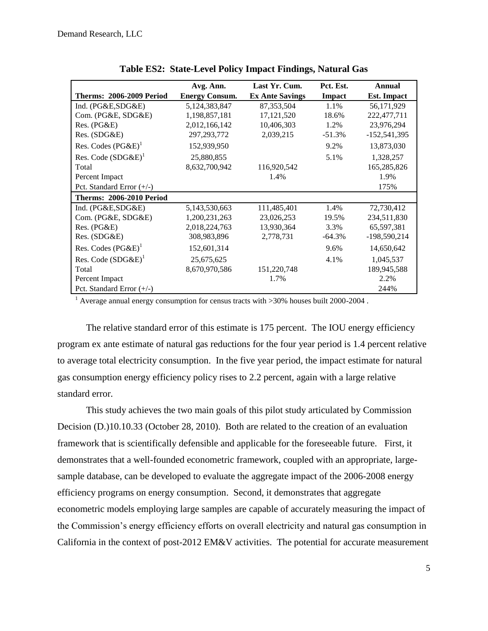|                                 | Avg. Ann.             | Last Yr. Cum.          | Pct. Est. | Annual             |
|---------------------------------|-----------------------|------------------------|-----------|--------------------|
| <b>Therms: 2006-2009 Period</b> | <b>Energy Consum.</b> | <b>Ex Ante Savings</b> | Impact    | <b>Est. Impact</b> |
| Ind. (PG&E,SDG&E)               | 5,124,383,847         | 87, 353, 504           | 1.1%      | 56,171,929         |
| Com. (PG&E, SDG&E)              | 1,198,857,181         | 17, 121, 520           | 18.6%     | 222,477,711        |
| Res. (PG&E)                     | 2,012,166,142         | 10,406,303             | 1.2%      | 23,976,294         |
| Res. (SDG&E)                    | 297, 293, 772         | 2,039,215              | $-51.3%$  | $-152,541,395$     |
| Res. Codes $(PG\&E)^1$          | 152,939,950           |                        | 9.2%      | 13,873,030         |
| Res. Code $(SDG\&E)^1$          | 25,880,855            |                        | 5.1%      | 1,328,257          |
| Total                           | 8,632,700,942         | 116,920,542            |           | 165,285,826        |
| Percent Impact                  |                       | 1.4%                   |           | 1.9%               |
| Pct. Standard Error $(+/-)$     |                       |                        |           | 175%               |
| <b>Therms: 2006-2010 Period</b> |                       |                        |           |                    |
| Ind. (PG&E,SDG&E)               | 5,143,530,663         | 111,485,401            | 1.4%      | 72,730,412         |
| Com. (PG&E, SDG&E)              | 1,200,231,263         | 23,026,253             | 19.5%     | 234,511,830        |
| Res. (PG&E)                     | 2,018,224,763         | 13,930,364             | 3.3%      | 65,597,381         |
| Res. (SDG&E)                    | 308,983,896           | 2,778,731              | $-64.3\%$ | $-198,590,214$     |
| Res. Codes $(PG\&E)^{1}$        | 152,601,314           |                        | 9.6%      | 14,650,642         |
| Res. Code $(SDG\&E)^1$          | 25,675,625            |                        | 4.1%      | 1,045,537          |
| Total                           | 8,670,970,586         | 151,220,748            |           | 189,945,588        |
| Percent Impact                  |                       | 1.7%                   |           | 2.2%               |
| Pct. Standard Error $(+/-)$     |                       |                        |           | 244%               |

**Table ES2: State-Level Policy Impact Findings, Natural Gas**

<sup>1</sup> Average annual energy consumption for census tracts with  $>30\%$  houses built 2000-2004.

The relative standard error of this estimate is 175 percent. The IOU energy efficiency program ex ante estimate of natural gas reductions for the four year period is 1.4 percent relative to average total electricity consumption. In the five year period, the impact estimate for natural gas consumption energy efficiency policy rises to 2.2 percent, again with a large relative standard error.

This study achieves the two main goals of this pilot study articulated by Commission Decision (D.)10.10.33 (October 28, 2010). Both are related to the creation of an evaluation framework that is scientifically defensible and applicable for the foreseeable future. First, it demonstrates that a well-founded econometric framework, coupled with an appropriate, largesample database, can be developed to evaluate the aggregate impact of the 2006-2008 energy efficiency programs on energy consumption. Second, it demonstrates that aggregate econometric models employing large samples are capable of accurately measuring the impact of the Commission's energy efficiency efforts on overall electricity and natural gas consumption in California in the context of post-2012 EM&V activities. The potential for accurate measurement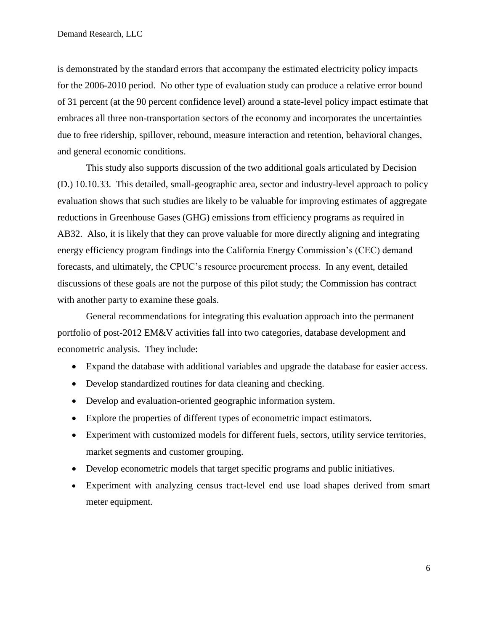is demonstrated by the standard errors that accompany the estimated electricity policy impacts for the 2006-2010 period. No other type of evaluation study can produce a relative error bound of 31 percent (at the 90 percent confidence level) around a state-level policy impact estimate that embraces all three non-transportation sectors of the economy and incorporates the uncertainties due to free ridership, spillover, rebound, measure interaction and retention, behavioral changes, and general economic conditions.

This study also supports discussion of the two additional goals articulated by Decision (D.) 10.10.33. This detailed, small-geographic area, sector and industry-level approach to policy evaluation shows that such studies are likely to be valuable for improving estimates of aggregate reductions in Greenhouse Gases (GHG) emissions from efficiency programs as required in AB32. Also, it is likely that they can prove valuable for more directly aligning and integrating energy efficiency program findings into the California Energy Commission's (CEC) demand forecasts, and ultimately, the CPUC's resource procurement process. In any event, detailed discussions of these goals are not the purpose of this pilot study; the Commission has contract with another party to examine these goals.

General recommendations for integrating this evaluation approach into the permanent portfolio of post-2012 EM&V activities fall into two categories, database development and econometric analysis. They include:

- Expand the database with additional variables and upgrade the database for easier access.
- Develop standardized routines for data cleaning and checking.
- Develop and evaluation-oriented geographic information system.
- Explore the properties of different types of econometric impact estimators.
- Experiment with customized models for different fuels, sectors, utility service territories, market segments and customer grouping.
- Develop econometric models that target specific programs and public initiatives.
- Experiment with analyzing census tract-level end use load shapes derived from smart meter equipment.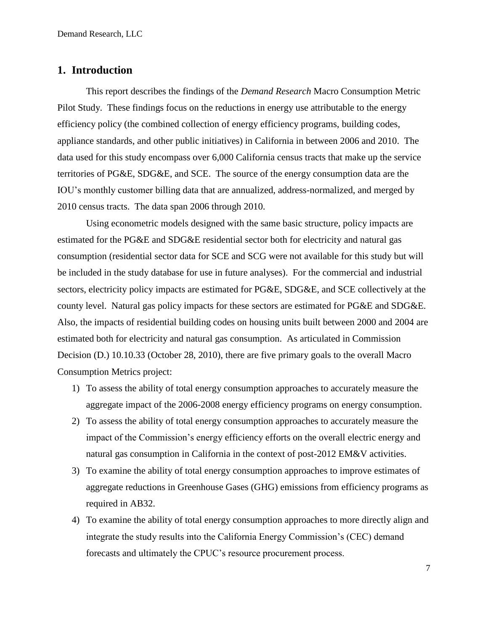## <span id="page-6-0"></span>**1. Introduction**

This report describes the findings of the *Demand Research* Macro Consumption Metric Pilot Study. These findings focus on the reductions in energy use attributable to the energy efficiency policy (the combined collection of energy efficiency programs, building codes, appliance standards, and other public initiatives) in California in between 2006 and 2010. The data used for this study encompass over 6,000 California census tracts that make up the service territories of PG&E, SDG&E, and SCE. The source of the energy consumption data are the IOU's monthly customer billing data that are annualized, address-normalized, and merged by 2010 census tracts. The data span 2006 through 2010.

Using econometric models designed with the same basic structure, policy impacts are estimated for the PG&E and SDG&E residential sector both for electricity and natural gas consumption (residential sector data for SCE and SCG were not available for this study but will be included in the study database for use in future analyses). For the commercial and industrial sectors, electricity policy impacts are estimated for PG&E, SDG&E, and SCE collectively at the county level. Natural gas policy impacts for these sectors are estimated for PG&E and SDG&E. Also, the impacts of residential building codes on housing units built between 2000 and 2004 are estimated both for electricity and natural gas consumption. As articulated in Commission Decision (D.) 10.10.33 (October 28, 2010), there are five primary goals to the overall Macro Consumption Metrics project:

- 1) To assess the ability of total energy consumption approaches to accurately measure the aggregate impact of the 2006-2008 energy efficiency programs on energy consumption.
- 2) To assess the ability of total energy consumption approaches to accurately measure the impact of the Commission's energy efficiency efforts on the overall electric energy and natural gas consumption in California in the context of post-2012 EM&V activities.
- 3) To examine the ability of total energy consumption approaches to improve estimates of aggregate reductions in Greenhouse Gases (GHG) emissions from efficiency programs as required in AB32.
- 4) To examine the ability of total energy consumption approaches to more directly align and integrate the study results into the California Energy Commission's (CEC) demand forecasts and ultimately the CPUC's resource procurement process.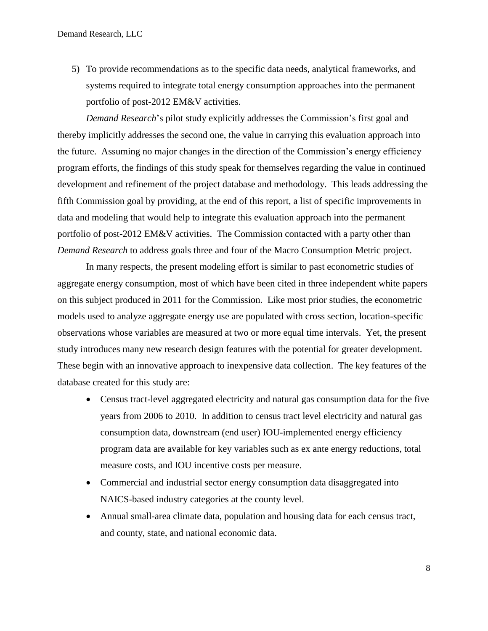5) To provide recommendations as to the specific data needs, analytical frameworks, and systems required to integrate total energy consumption approaches into the permanent portfolio of post-2012 EM&V activities.

*Demand Research*'s pilot study explicitly addresses the Commission's first goal and thereby implicitly addresses the second one, the value in carrying this evaluation approach into the future. Assuming no major changes in the direction of the Commission's energy efficiency program efforts, the findings of this study speak for themselves regarding the value in continued development and refinement of the project database and methodology. This leads addressing the fifth Commission goal by providing, at the end of this report, a list of specific improvements in data and modeling that would help to integrate this evaluation approach into the permanent portfolio of post-2012 EM&V activities. The Commission contacted with a party other than *Demand Research* to address goals three and four of the Macro Consumption Metric project.

In many respects, the present modeling effort is similar to past econometric studies of aggregate energy consumption, most of which have been cited in three independent white papers on this subject produced in 2011 for the Commission. Like most prior studies, the econometric models used to analyze aggregate energy use are populated with cross section, location-specific observations whose variables are measured at two or more equal time intervals. Yet, the present study introduces many new research design features with the potential for greater development. These begin with an innovative approach to inexpensive data collection. The key features of the database created for this study are:

- Census tract-level aggregated electricity and natural gas consumption data for the five years from 2006 to 2010. In addition to census tract level electricity and natural gas consumption data, downstream (end user) IOU-implemented energy efficiency program data are available for key variables such as ex ante energy reductions, total measure costs, and IOU incentive costs per measure.
- Commercial and industrial sector energy consumption data disaggregated into NAICS-based industry categories at the county level.
- Annual small-area climate data, population and housing data for each census tract, and county, state, and national economic data.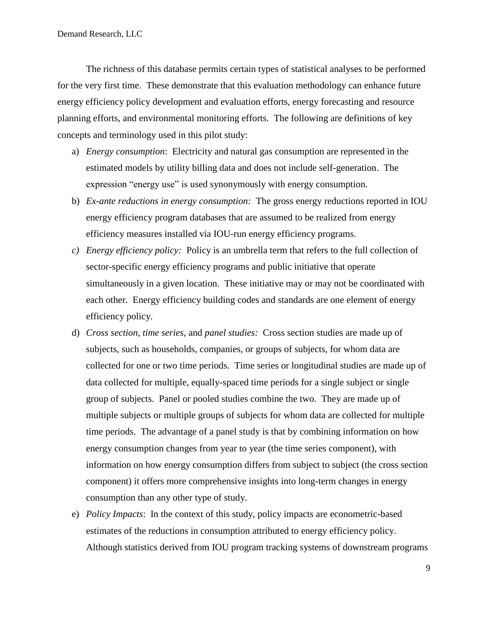The richness of this database permits certain types of statistical analyses to be performed for the very first time. These demonstrate that this evaluation methodology can enhance future energy efficiency policy development and evaluation efforts, energy forecasting and resource planning efforts, and environmental monitoring efforts. The following are definitions of key concepts and terminology used in this pilot study:

- a) *Energy consumption*: Electricity and natural gas consumption are represented in the estimated models by utility billing data and does not include self-generation. The expression "energy use" is used synonymously with energy consumption.
- b) *Ex-ante reductions in energy consumption:* The gross energy reductions reported in IOU energy efficiency program databases that are assumed to be realized from energy efficiency measures installed via IOU-run energy efficiency programs.
- *c) Energy efficiency policy:* Policy is an umbrella term that refers to the full collection of sector-specific energy efficiency programs and public initiative that operate simultaneously in a given location. These initiative may or may not be coordinated with each other. Energy efficiency building codes and standards are one element of energy efficiency policy.
- d) *Cross section, time series,* and *panel studies:* Cross section studies are made up of subjects, such as households, companies, or groups of subjects, for whom data are collected for one or two time periods. Time series or longitudinal studies are made up of data collected for multiple, equally-spaced time periods for a single subject or single group of subjects. Panel or pooled studies combine the two. They are made up of multiple subjects or multiple groups of subjects for whom data are collected for multiple time periods. The advantage of a panel study is that by combining information on how energy consumption changes from year to year (the time series component), with information on how energy consumption differs from subject to subject (the cross section component) it offers more comprehensive insights into long-term changes in energy consumption than any other type of study.
- e) *Policy Impacts*: In the context of this study, policy impacts are econometric-based estimates of the reductions in consumption attributed to energy efficiency policy. Although statistics derived from IOU program tracking systems of downstream programs

9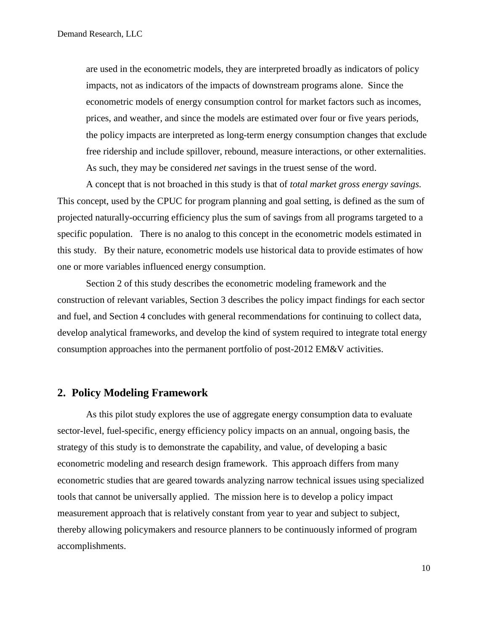are used in the econometric models, they are interpreted broadly as indicators of policy impacts, not as indicators of the impacts of downstream programs alone. Since the econometric models of energy consumption control for market factors such as incomes, prices, and weather, and since the models are estimated over four or five years periods, the policy impacts are interpreted as long-term energy consumption changes that exclude free ridership and include spillover, rebound, measure interactions, or other externalities. As such, they may be considered *net* savings in the truest sense of the word.

A concept that is not broached in this study is that of *total market gross energy savings.* This concept, used by the CPUC for program planning and goal setting, is defined as the sum of projected naturally-occurring efficiency plus the sum of savings from all programs targeted to a specific population. There is no analog to this concept in the econometric models estimated in this study. By their nature, econometric models use historical data to provide estimates of how one or more variables influenced energy consumption.

Section 2 of this study describes the econometric modeling framework and the construction of relevant variables, Section 3 describes the policy impact findings for each sector and fuel, and Section 4 concludes with general recommendations for continuing to collect data, develop analytical frameworks, and develop the kind of system required to integrate total energy consumption approaches into the permanent portfolio of post-2012 EM&V activities.

# <span id="page-9-0"></span>**2. Policy Modeling Framework**

As this pilot study explores the use of aggregate energy consumption data to evaluate sector-level, fuel-specific, energy efficiency policy impacts on an annual, ongoing basis, the strategy of this study is to demonstrate the capability, and value, of developing a basic econometric modeling and research design framework. This approach differs from many econometric studies that are geared towards analyzing narrow technical issues using specialized tools that cannot be universally applied. The mission here is to develop a policy impact measurement approach that is relatively constant from year to year and subject to subject, thereby allowing policymakers and resource planners to be continuously informed of program accomplishments.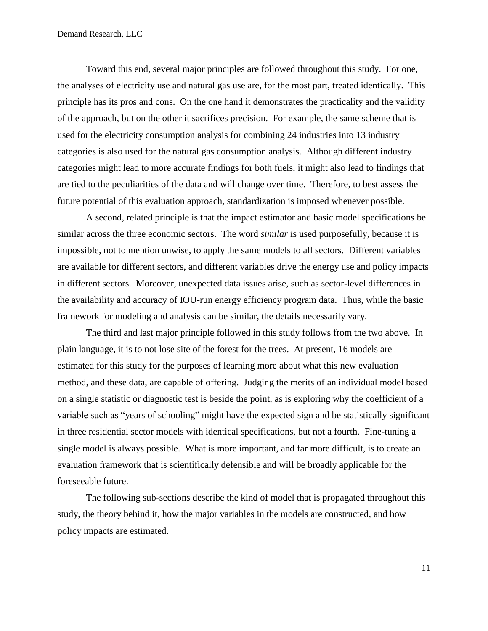Toward this end, several major principles are followed throughout this study. For one, the analyses of electricity use and natural gas use are, for the most part, treated identically. This principle has its pros and cons. On the one hand it demonstrates the practicality and the validity of the approach, but on the other it sacrifices precision. For example, the same scheme that is used for the electricity consumption analysis for combining 24 industries into 13 industry categories is also used for the natural gas consumption analysis. Although different industry categories might lead to more accurate findings for both fuels, it might also lead to findings that are tied to the peculiarities of the data and will change over time. Therefore, to best assess the future potential of this evaluation approach, standardization is imposed whenever possible.

A second, related principle is that the impact estimator and basic model specifications be similar across the three economic sectors. The word *similar* is used purposefully, because it is impossible, not to mention unwise, to apply the same models to all sectors. Different variables are available for different sectors, and different variables drive the energy use and policy impacts in different sectors. Moreover, unexpected data issues arise, such as sector-level differences in the availability and accuracy of IOU-run energy efficiency program data. Thus, while the basic framework for modeling and analysis can be similar, the details necessarily vary.

The third and last major principle followed in this study follows from the two above. In plain language, it is to not lose site of the forest for the trees. At present, 16 models are estimated for this study for the purposes of learning more about what this new evaluation method, and these data, are capable of offering. Judging the merits of an individual model based on a single statistic or diagnostic test is beside the point, as is exploring why the coefficient of a variable such as "years of schooling" might have the expected sign and be statistically significant in three residential sector models with identical specifications, but not a fourth. Fine-tuning a single model is always possible. What is more important, and far more difficult, is to create an evaluation framework that is scientifically defensible and will be broadly applicable for the foreseeable future.

The following sub-sections describe the kind of model that is propagated throughout this study, the theory behind it, how the major variables in the models are constructed, and how policy impacts are estimated.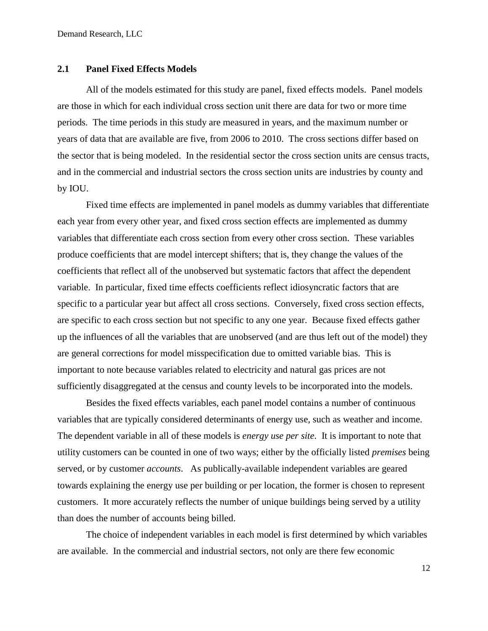#### <span id="page-11-0"></span>**2.1 Panel Fixed Effects Models**

All of the models estimated for this study are panel, fixed effects models. Panel models are those in which for each individual cross section unit there are data for two or more time periods. The time periods in this study are measured in years, and the maximum number or years of data that are available are five, from 2006 to 2010. The cross sections differ based on the sector that is being modeled. In the residential sector the cross section units are census tracts, and in the commercial and industrial sectors the cross section units are industries by county and by IOU.

Fixed time effects are implemented in panel models as dummy variables that differentiate each year from every other year, and fixed cross section effects are implemented as dummy variables that differentiate each cross section from every other cross section. These variables produce coefficients that are model intercept shifters; that is, they change the values of the coefficients that reflect all of the unobserved but systematic factors that affect the dependent variable. In particular, fixed time effects coefficients reflect idiosyncratic factors that are specific to a particular year but affect all cross sections. Conversely, fixed cross section effects, are specific to each cross section but not specific to any one year. Because fixed effects gather up the influences of all the variables that are unobserved (and are thus left out of the model) they are general corrections for model misspecification due to omitted variable bias. This is important to note because variables related to electricity and natural gas prices are not sufficiently disaggregated at the census and county levels to be incorporated into the models.

Besides the fixed effects variables, each panel model contains a number of continuous variables that are typically considered determinants of energy use, such as weather and income. The dependent variable in all of these models is *energy use per site*. It is important to note that utility customers can be counted in one of two ways; either by the officially listed *premises* being served, or by customer *accounts*. As publically-available independent variables are geared towards explaining the energy use per building or per location, the former is chosen to represent customers. It more accurately reflects the number of unique buildings being served by a utility than does the number of accounts being billed.

The choice of independent variables in each model is first determined by which variables are available. In the commercial and industrial sectors, not only are there few economic

12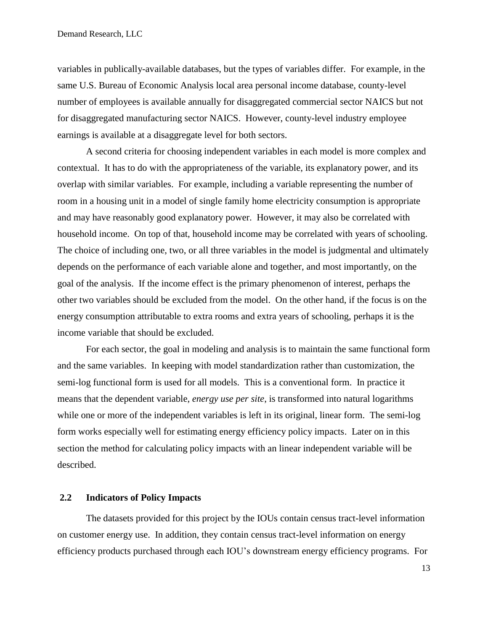variables in publically-available databases, but the types of variables differ. For example, in the same U.S. Bureau of Economic Analysis local area personal income database, county-level number of employees is available annually for disaggregated commercial sector NAICS but not for disaggregated manufacturing sector NAICS. However, county-level industry employee earnings is available at a disaggregate level for both sectors.

A second criteria for choosing independent variables in each model is more complex and contextual. It has to do with the appropriateness of the variable, its explanatory power, and its overlap with similar variables. For example, including a variable representing the number of room in a housing unit in a model of single family home electricity consumption is appropriate and may have reasonably good explanatory power. However, it may also be correlated with household income. On top of that, household income may be correlated with years of schooling. The choice of including one, two, or all three variables in the model is judgmental and ultimately depends on the performance of each variable alone and together, and most importantly, on the goal of the analysis. If the income effect is the primary phenomenon of interest, perhaps the other two variables should be excluded from the model. On the other hand, if the focus is on the energy consumption attributable to extra rooms and extra years of schooling, perhaps it is the income variable that should be excluded.

For each sector, the goal in modeling and analysis is to maintain the same functional form and the same variables. In keeping with model standardization rather than customization, the semi-log functional form is used for all models. This is a conventional form. In practice it means that the dependent variable, *energy use per site*, is transformed into natural logarithms while one or more of the independent variables is left in its original, linear form. The semi-log form works especially well for estimating energy efficiency policy impacts. Later on in this section the method for calculating policy impacts with an linear independent variable will be described.

## <span id="page-12-0"></span>**2.2 Indicators of Policy Impacts**

The datasets provided for this project by the IOUs contain census tract-level information on customer energy use. In addition, they contain census tract-level information on energy efficiency products purchased through each IOU's downstream energy efficiency programs. For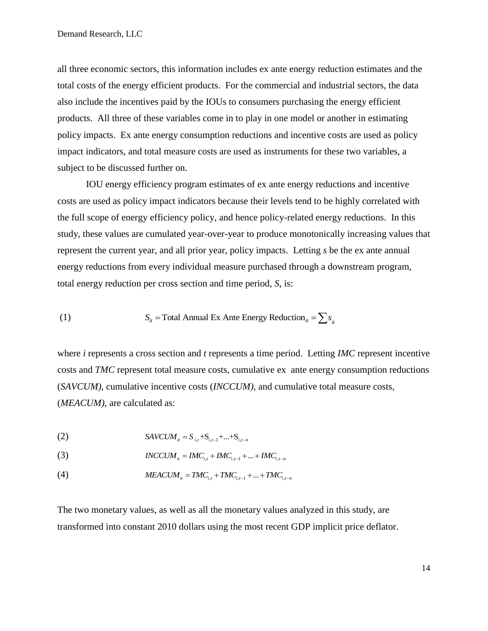all three economic sectors, this information includes ex ante energy reduction estimates and the total costs of the energy efficient products. For the commercial and industrial sectors, the data also include the incentives paid by the IOUs to consumers purchasing the energy efficient products. All three of these variables come in to play in one model or another in estimating policy impacts. Ex ante energy consumption reductions and incentive costs are used as policy impact indicators, and total measure costs are used as instruments for these two variables, a subject to be discussed further on.

IOU energy efficiency program estimates of ex ante energy reductions and incentive costs are used as policy impact indicators because their levels tend to be highly correlated with the full scope of energy efficiency policy, and hence policy-related energy reductions. In this study, these values are cumulated year-over-year to produce monotonically increasing values that represent the current year, and all prior year, policy impacts. Letting *s* be the ex ante annual energy reductions from every individual measure purchased through a downstream program, total energy reduction per cross section and time period, *S*, is:

(1) 
$$
S_{it} = \text{Total Annual Ex Ante Energy Reduction}_{it} = \sum s_{it}
$$

where *i* represents a cross section and *t* represents a time period. Letting *IMC* represent incentive costs and *TMC* represent total measure costs, cumulative ex ante energy consumption reductions (*SAVCUM)*, cumulative incentive costs (*INCCUM),* and cumulative total measure costs, (*MEACUM)*, are calculated as:

(2) 
$$
SAVCUM_{it} = S_{i,t} + S_{i,t-1} + ... + S_{i,t-n}
$$

(3) 
$$
INCCUM_{ii} = IMC_{i,t} + IMC_{i,t-1} + ... + IMC_{i,t-n}
$$

(4) 
$$
MEACUM_{ii} = TMC_{i,t} + TMC_{i,t-1} + ... + TMC_{i,t-n}
$$

The two monetary values, as well as all the monetary values analyzed in this study, are transformed into constant 2010 dollars using the most recent GDP implicit price deflator.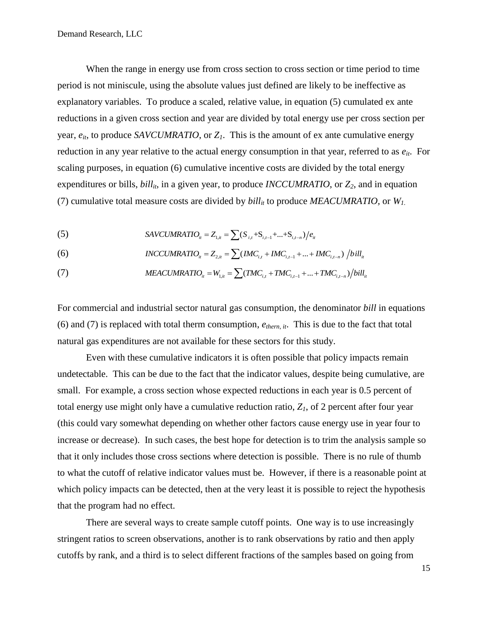When the range in energy use from cross section to cross section or time period to time period is not miniscule, using the absolute values just defined are likely to be ineffective as explanatory variables. To produce a scaled, relative value, in equation (5) cumulated ex ante reductions in a given cross section and year are divided by total energy use per cross section per year, *eit*, to produce *SAVCUMRATIO*, or *Z1*. This is the amount of ex ante cumulative energy reduction in any year relative to the actual energy consumption in that year, referred to as *eit*. For scaling purposes, in equation (6) cumulative incentive costs are divided by the total energy expenditures or bills,  $\frac{b_i}{l_i}$ , in a given year, to produce *INCCUMRATIO*, or  $Z_2$ , and in equation (7) cumulative total measure costs are divided by  $\frac{b}{l}$  to produce *MEACUMRATIO*, or  $W_l$ .

(5) 
$$
SAVCUMRATION_{it} = Z_{1,it} = \sum (S_{i,t} + S_{i,t-1} + ... + S_{i,t-n})/e_{it}
$$

(5)  
\n
$$
SAVCUMRATION_{u} = Z_{1,u} = \sum (S_{i,t} + S_{i,t-1} + ... + S_{i,t-n})/e_{it}
$$
\n(6)  
\n
$$
INCCUMRATION_{u} = Z_{2,u} = \sum (IMC_{i,t} + IMC_{i,t-1} + ... + IMC_{i,t-n})/bill_{u}
$$
\n(7)  
\n
$$
MEACUMRATION_{u} = W_{1,u} = \sum (TMC_{i,t} + TMC_{i,t-1} + ... + TMC_{i,t-n})/bill_{u}
$$

(7) 
$$
MEACUMRATION_{i} = W_{1,i} = \sum (TMC_{i,t} + TMC_{i,t-1} + ... + TMC_{i,t-n})/bill_{it}
$$

For commercial and industrial sector natural gas consumption, the denominator *bill* in equations (6) and (7) is replaced with total therm consumption, *ethern, it*. This is due to the fact that total natural gas expenditures are not available for these sectors for this study.

Even with these cumulative indicators it is often possible that policy impacts remain undetectable. This can be due to the fact that the indicator values, despite being cumulative, are small. For example, a cross section whose expected reductions in each year is 0.5 percent of total energy use might only have a cumulative reduction ratio,  $Z<sub>1</sub>$ , of 2 percent after four year (this could vary somewhat depending on whether other factors cause energy use in year four to increase or decrease). In such cases, the best hope for detection is to trim the analysis sample so that it only includes those cross sections where detection is possible. There is no rule of thumb to what the cutoff of relative indicator values must be. However, if there is a reasonable point at which policy impacts can be detected, then at the very least it is possible to reject the hypothesis that the program had no effect.

There are several ways to create sample cutoff points. One way is to use increasingly stringent ratios to screen observations, another is to rank observations by ratio and then apply cutoffs by rank, and a third is to select different fractions of the samples based on going from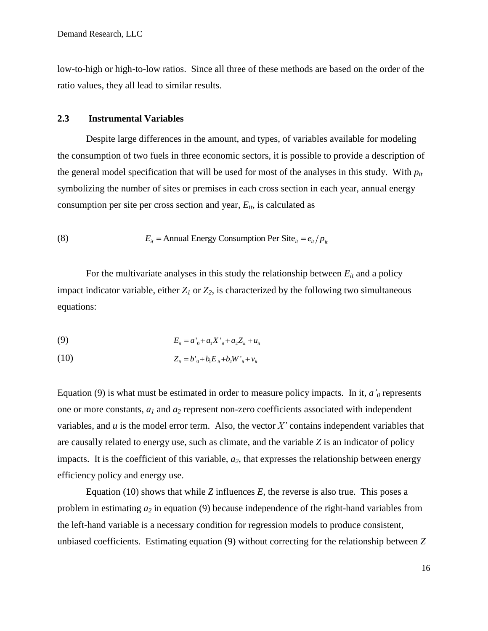low-to-high or high-to-low ratios. Since all three of these methods are based on the order of the ratio values, they all lead to similar results.

### <span id="page-15-0"></span>**2.3 Instrumental Variables**

Despite large differences in the amount, and types, of variables available for modeling the consumption of two fuels in three economic sectors, it is possible to provide a description of the general model specification that will be used for most of the analyses in this study. With *pit* symbolizing the number of sites or premises in each cross section in each year, annual energy consumption per site per cross section and year, *Eit* , is calculated as

(8) 
$$
E_{it} = \text{Annual Energy Consumption Per Site}_{it} = e_{it} / p_{it}
$$

For the multivariate analyses in this study the relationship between  $E_{it}$  and a policy impact indicator variable, either  $Z_I$  or  $Z_2$ , is characterized by the following two simultaneous equations:

(9) 
$$
E_{u} = a'_{0} + a_{1}X'_{u} + a_{2}Z_{u} + u_{u}
$$

(10) 
$$
Z_{ii} = b'_{0} + b_{1} E_{ii} + b_{2} W'_{ii} + v_{ii}
$$

Equation (9) is what must be estimated in order to measure policy impacts. In it,  $a'_0$  represents one or more constants, *a<sup>1</sup>* and *a<sup>2</sup>* represent non-zero coefficients associated with independent variables, and *u* is the model error term. Also, the vector *X'* contains independent variables that are causally related to energy use, such as climate, and the variable *Z* is an indicator of policy impacts. It is the coefficient of this variable, *a2*, that expresses the relationship between energy efficiency policy and energy use.

Equation (10) shows that while *Z* influences *E*, the reverse is also true. This poses a problem in estimating *a<sup>2</sup>* in equation (9) because independence of the right-hand variables from the left-hand variable is a necessary condition for regression models to produce consistent, unbiased coefficients. Estimating equation (9) without correcting for the relationship between *Z*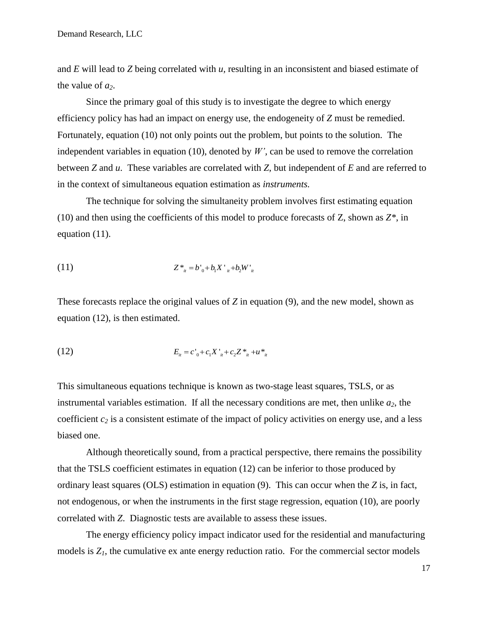and *E* will lead to *Z* being correlated with *u,* resulting in an inconsistent and biased estimate of the value of *a2*.

Since the primary goal of this study is to investigate the degree to which energy efficiency policy has had an impact on energy use, the endogeneity of *Z* must be remedied. Fortunately, equation (10) not only points out the problem, but points to the solution. The independent variables in equation (10), denoted by  $W'$ , can be used to remove the correlation between *Z* and *u*. These variables are correlated with *Z*, but independent of *E* and are referred to in the context of simultaneous equation estimation as *instruments.*

The technique for solving the simultaneity problem involves first estimating equation (10) and then using the coefficients of this model to produce forecasts of Z, shown as *Z\**, in equation (11).

(11) 
$$
Z^*_{i} = b'_{0} + b_{1}X'_{i} + b_{2}W'_{i}
$$

These forecasts replace the original values of *Z* in equation (9), and the new model, shown as equation (12), is then estimated.

(12) 
$$
E_{u} = c_{0}^{*} + c_{1}X_{u}^{*} + c_{2}Z_{u}^{*} + u_{u}^{*}
$$

This simultaneous equations technique is known as two-stage least squares, TSLS, or as instrumental variables estimation. If all the necessary conditions are met, then unlike  $a_2$ , the coefficient *c<sup>2</sup>* is a consistent estimate of the impact of policy activities on energy use, and a less biased one.

Although theoretically sound, from a practical perspective, there remains the possibility that the TSLS coefficient estimates in equation (12) can be inferior to those produced by ordinary least squares (OLS) estimation in equation (9). This can occur when the *Z* is, in fact, not endogenous, or when the instruments in the first stage regression, equation (10), are poorly correlated with *Z*. Diagnostic tests are available to assess these issues.

The energy efficiency policy impact indicator used for the residential and manufacturing models is  $Z_I$ , the cumulative ex ante energy reduction ratio. For the commercial sector models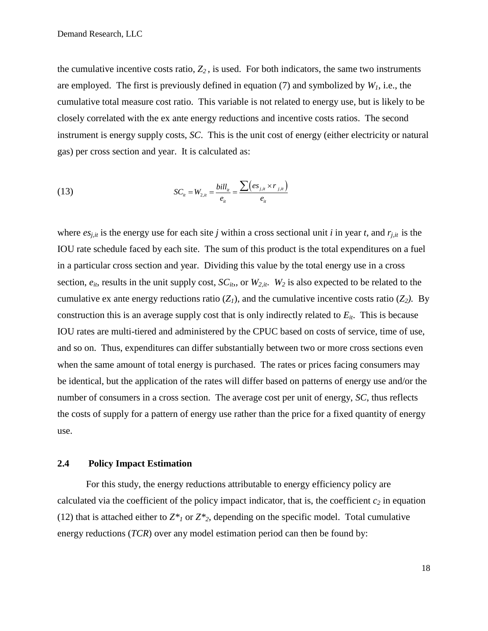the cumulative incentive costs ratio,  $Z_2$ , is used. For both indicators, the same two instruments are employed. The first is previously defined in equation (7) and symbolized by  $W<sub>1</sub>$ , i.e., the cumulative total measure cost ratio. This variable is not related to energy use, but is likely to be closely correlated with the ex ante energy reductions and incentive costs ratios. The second instrument is energy supply costs, *SC*. This is the unit cost of energy (either electricity or natural gas) per cross section and year. It is calculated as:

(13) 
$$
SC_{ii} = W_{2,ii} = \frac{bill_{ii}}{e_{ii}} = \frac{\sum (es_{j,ii} \times r_{j,ii})}{e_{ii}}
$$

where  $e_{s,i,t}$  is the energy use for each site *j* within a cross sectional unit *i* in year *t*, and  $r_{j,t}$  is the IOU rate schedule faced by each site. The sum of this product is the total expenditures on a fuel in a particular cross section and year. Dividing this value by the total energy use in a cross section,  $e_{it}$ , results in the unit supply cost,  $SC_{it}$ , or  $W_{2,it}$ .  $W_2$  is also expected to be related to the cumulative ex ante energy reductions ratio  $(Z_1)$ , and the cumulative incentive costs ratio  $(Z_2)$ . By construction this is an average supply cost that is only indirectly related to *Eit*. This is because IOU rates are multi-tiered and administered by the CPUC based on costs of service, time of use, and so on. Thus, expenditures can differ substantially between two or more cross sections even when the same amount of total energy is purchased. The rates or prices facing consumers may be identical, but the application of the rates will differ based on patterns of energy use and/or the number of consumers in a cross section. The average cost per unit of energy, *SC*, thus reflects the costs of supply for a pattern of energy use rather than the price for a fixed quantity of energy use.

#### <span id="page-17-0"></span>**2.4 Policy Impact Estimation**

For this study, the energy reductions attributable to energy efficiency policy are calculated via the coefficient of the policy impact indicator, that is, the coefficient  $c_2$  in equation (12) that is attached either to  $Z^*$ <sup>1</sup> or  $Z^*$ <sup>2</sup>, depending on the specific model. Total cumulative energy reductions (*TCR*) over any model estimation period can then be found by: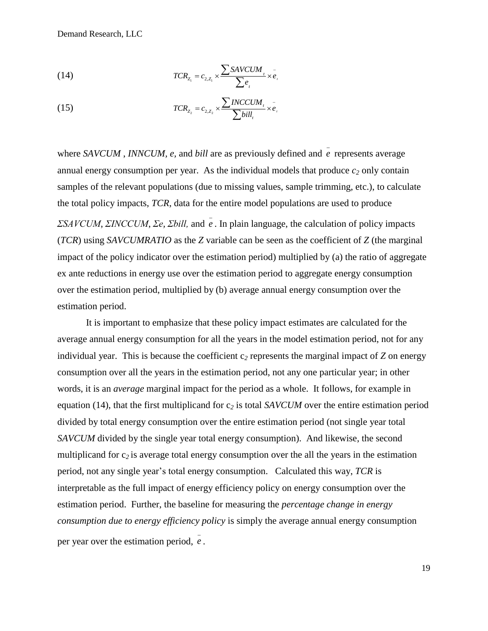Demand Research, LLC

(14) 
$$
TCR_{Z_1} = c_{2,Z_1} \times \frac{\sum SAVCUM_i}{\sum e_i} \times e_i
$$

(15) 
$$
TCR_{Z_2} = c_{2,Z_2} \times \frac{\sum INCCUM_i}{\sum bill_i} \times \bar{e}_i
$$

where *SAVCUM*, *INNCUM*, *e*, and *bill* are as previously defined and  $\overline{e}$  represents average annual energy consumption per year. As the individual models that produce  $c_2$  only contain samples of the relevant populations (due to missing values, sample trimming, etc.), to calculate the total policy impacts, *TCR*, data for the entire model populations are used to produce *ΣSAVCUM*, *ΣINCCUM*, *Σe, Σbill,* and *e* . In plain language, the calculation of policy impacts (*TCR*) using *SAVCUMRATIO* as the *Z* variable can be seen as the coefficient of *Z* (the marginal impact of the policy indicator over the estimation period) multiplied by (a) the ratio of aggregate ex ante reductions in energy use over the estimation period to aggregate energy consumption over the estimation period, multiplied by (b) average annual energy consumption over the estimation period.

It is important to emphasize that these policy impact estimates are calculated for the average annual energy consumption for all the years in the model estimation period, not for any individual year. This is because the coefficient  $c_2$  represents the marginal impact of  $\bar{Z}$  on energy consumption over all the years in the estimation period, not any one particular year; in other words, it is an *average* marginal impact for the period as a whole. It follows, for example in equation (14), that the first multiplicand for c*<sup>2</sup>* is total *SAVCUM* over the entire estimation period divided by total energy consumption over the entire estimation period (not single year total *SAVCUM* divided by the single year total energy consumption). And likewise, the second multiplicand for  $c_2$  is average total energy consumption over the all the years in the estimation period, not any single year's total energy consumption. Calculated this way, *TCR* is interpretable as the full impact of energy efficiency policy on energy consumption over the estimation period. Further, the baseline for measuring the *percentage change in energy consumption due to energy efficiency policy* is simply the average annual energy consumption per year over the estimation period, *e* .

19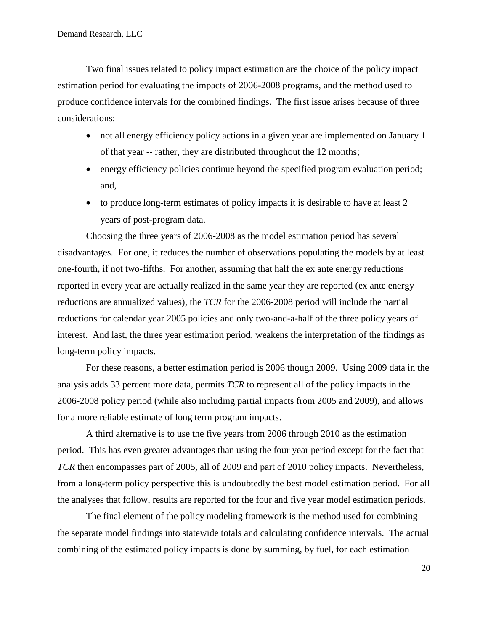Two final issues related to policy impact estimation are the choice of the policy impact estimation period for evaluating the impacts of 2006-2008 programs, and the method used to produce confidence intervals for the combined findings. The first issue arises because of three considerations:

- not all energy efficiency policy actions in a given year are implemented on January 1 of that year -- rather, they are distributed throughout the 12 months;
- energy efficiency policies continue beyond the specified program evaluation period; and,
- to produce long-term estimates of policy impacts it is desirable to have at least 2 years of post-program data.

Choosing the three years of 2006-2008 as the model estimation period has several disadvantages. For one, it reduces the number of observations populating the models by at least one-fourth, if not two-fifths. For another, assuming that half the ex ante energy reductions reported in every year are actually realized in the same year they are reported (ex ante energy reductions are annualized values), the *TCR* for the 2006-2008 period will include the partial reductions for calendar year 2005 policies and only two-and-a-half of the three policy years of interest. And last, the three year estimation period, weakens the interpretation of the findings as long-term policy impacts.

For these reasons, a better estimation period is 2006 though 2009. Using 2009 data in the analysis adds 33 percent more data, permits *TCR* to represent all of the policy impacts in the 2006-2008 policy period (while also including partial impacts from 2005 and 2009), and allows for a more reliable estimate of long term program impacts.

A third alternative is to use the five years from 2006 through 2010 as the estimation period. This has even greater advantages than using the four year period except for the fact that *TCR* then encompasses part of 2005, all of 2009 and part of 2010 policy impacts. Nevertheless, from a long-term policy perspective this is undoubtedly the best model estimation period. For all the analyses that follow, results are reported for the four and five year model estimation periods.

The final element of the policy modeling framework is the method used for combining the separate model findings into statewide totals and calculating confidence intervals. The actual combining of the estimated policy impacts is done by summing, by fuel, for each estimation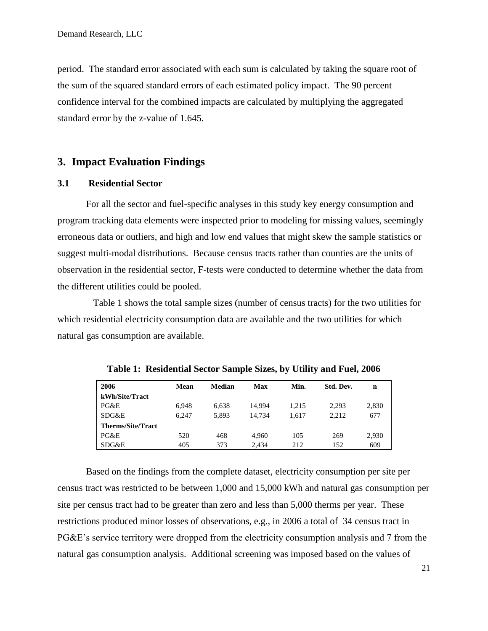period. The standard error associated with each sum is calculated by taking the square root of the sum of the squared standard errors of each estimated policy impact. The 90 percent confidence interval for the combined impacts are calculated by multiplying the aggregated standard error by the z-value of 1.645.

## <span id="page-20-0"></span>**3. Impact Evaluation Findings**

#### <span id="page-20-1"></span>**3.1 Residential Sector**

For all the sector and fuel-specific analyses in this study key energy consumption and program tracking data elements were inspected prior to modeling for missing values, seemingly erroneous data or outliers, and high and low end values that might skew the sample statistics or suggest multi-modal distributions. Because census tracts rather than counties are the units of observation in the residential sector, F-tests were conducted to determine whether the data from the different utilities could be pooled.

 Table 1 shows the total sample sizes (number of census tracts) for the two utilities for which residential electricity consumption data are available and the two utilities for which natural gas consumption are available.

| 2006                     | Mean  | Median | Max    | Min.  | Std. Dev. | n     |
|--------------------------|-------|--------|--------|-------|-----------|-------|
| kWh/Site/Tract           |       |        |        |       |           |       |
| PG&E                     | 6.948 | 6,638  | 14.994 | 1.215 | 2.293     | 2,830 |
| SDG&E                    | 6.247 | 5,893  | 14.734 | 1.617 | 2.212     | 677   |
| <b>Therms/Site/Tract</b> |       |        |        |       |           |       |
| PG&E                     | 520   | 468    | 4.960  | 105   | 269       | 2,930 |
| SDG&E                    | 405   | 373    | 2.434  | 212   | 152       | 609   |

**Table 1: Residential Sector Sample Sizes, by Utility and Fuel, 2006**

Based on the findings from the complete dataset, electricity consumption per site per census tract was restricted to be between 1,000 and 15,000 kWh and natural gas consumption per site per census tract had to be greater than zero and less than 5,000 therms per year. These restrictions produced minor losses of observations, e.g., in 2006 a total of 34 census tract in PG&E's service territory were dropped from the electricity consumption analysis and 7 from the natural gas consumption analysis. Additional screening was imposed based on the values of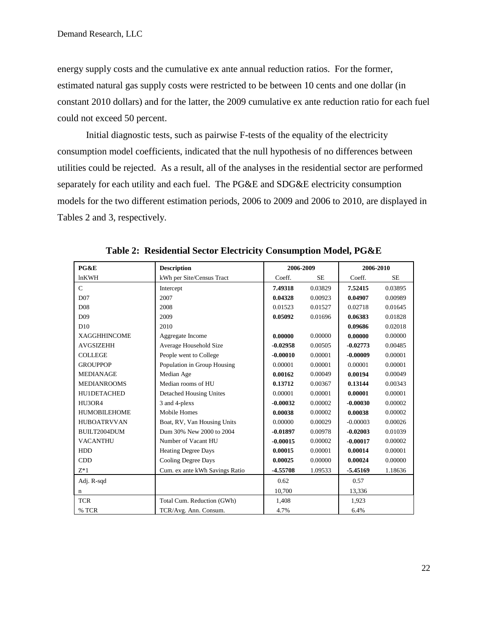energy supply costs and the cumulative ex ante annual reduction ratios. For the former, estimated natural gas supply costs were restricted to be between 10 cents and one dollar (in constant 2010 dollars) and for the latter, the 2009 cumulative ex ante reduction ratio for each fuel could not exceed 50 percent.

Initial diagnostic tests, such as pairwise F-tests of the equality of the electricity consumption model coefficients, indicated that the null hypothesis of no differences between utilities could be rejected. As a result, all of the analyses in the residential sector are performed separately for each utility and each fuel. The PG&E and SDG&E electricity consumption models for the two different estimation periods, 2006 to 2009 and 2006 to 2010, are displayed in Tables 2 and 3, respectively.

| PG&E                | <b>Description</b>             | 2006-2009  |           | 2006-2010  |           |
|---------------------|--------------------------------|------------|-----------|------------|-----------|
| <b>lnKWH</b>        | kWh per Site/Census Tract      | Coeff.     | <b>SE</b> | Coeff.     | <b>SE</b> |
| $\mathbf C$         | Intercept                      | 7.49318    | 0.03829   | 7.52415    | 0.03895   |
| D07                 | 2007                           | 0.04328    | 0.00923   | 0.04907    | 0.00989   |
| D <sub>08</sub>     | 2008                           | 0.01523    | 0.01527   | 0.02718    | 0.01645   |
| D <sub>09</sub>     | 2009                           | 0.05092    | 0.01696   | 0.06383    | 0.01828   |
| D10                 | 2010                           |            |           | 0.09686    | 0.02018   |
| <b>XAGGHHINCOME</b> | Aggregate Income               | 0.00000    | 0.00000   | 0.00000    | 0.00000   |
| <b>AVGSIZEHH</b>    | Average Household Size         | $-0.02958$ | 0.00505   | $-0.02773$ | 0.00485   |
| <b>COLLEGE</b>      | People went to College         | $-0.00010$ | 0.00001   | $-0.00009$ | 0.00001   |
| <b>GROUPPOP</b>     | Population in Group Housing    | 0.00001    | 0.00001   | 0.00001    | 0.00001   |
| <b>MEDIANAGE</b>    | Median Age                     | 0.00162    | 0.00049   | 0.00194    | 0.00049   |
| <b>MEDIANROOMS</b>  | Median rooms of HU             | 0.13712    | 0.00367   | 0.13144    | 0.00343   |
| HU1DETACHED         | <b>Detached Housing Unites</b> | 0.00001    | 0.00001   | 0.00001    | 0.00001   |
| HU3OR4              | 3 and 4-plexs                  | $-0.00032$ | 0.00002   | $-0.00030$ | 0.00002   |
| <b>HUMOBILEHOME</b> | <b>Mobile Homes</b>            | 0.00038    | 0.00002   | 0.00038    | 0.00002   |
| <b>HUBOATRVVAN</b>  | Boat, RV, Van Housing Units    | 0.00000    | 0.00029   | $-0.00003$ | 0.00026   |
| BUILT2004DUM        | Dum 30% New 2000 to 2004       | $-0.01897$ | 0.00978   | $-0.02003$ | 0.01039   |
| <b>VACANTHU</b>     | Number of Vacant HU            | $-0.00015$ | 0.00002   | $-0.00017$ | 0.00002   |
| <b>HDD</b>          | <b>Heating Degree Days</b>     | 0.00015    | 0.00001   | 0.00014    | 0.00001   |
| <b>CDD</b>          | <b>Cooling Degree Days</b>     | 0.00025    | 0.00000   | 0.00024    | 0.00000   |
| $Z^*1$              | Cum. ex ante kWh Savings Ratio | -4.55708   | 1.09533   | $-5.45169$ | 1.18636   |
| Adj. R-sqd          |                                | 0.62       |           | 0.57       |           |
| n                   |                                | 10,700     |           | 13,336     |           |
| <b>TCR</b>          | Total Cum. Reduction (GWh)     | 1,408      |           | 1,923      |           |
| % TCR               | TCR/Avg. Ann. Consum.          | 4.7%       |           | 6.4%       |           |

**Table 2: Residential Sector Electricity Consumption Model, PG&E**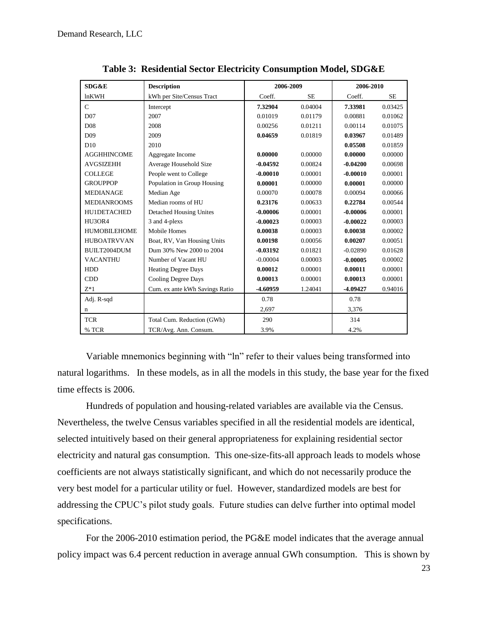| SDG&E               | <b>Description</b>             | 2006-2009  |           | 2006-2010  |           |
|---------------------|--------------------------------|------------|-----------|------------|-----------|
| lnKWH               | kWh per Site/Census Tract      | Coeff.     | <b>SE</b> | Coeff.     | <b>SE</b> |
| $\mathcal{C}$       | Intercept                      | 7.32904    | 0.04004   | 7.33981    | 0.03425   |
| D07                 | 2007                           | 0.01019    | 0.01179   | 0.00881    | 0.01062   |
| D <sub>08</sub>     | 2008                           | 0.00256    | 0.01211   | 0.00114    | 0.01075   |
| D <sub>09</sub>     | 2009                           | 0.04659    | 0.01819   | 0.03967    | 0.01489   |
| D10                 | 2010                           |            |           | 0.05508    | 0.01859   |
| <b>AGGHHINCOME</b>  | Aggregate Income               | 0.00000    | 0.00000   | 0.00000    | 0.00000   |
| <b>AVGSIZEHH</b>    | Average Household Size         | $-0.04592$ | 0.00824   | $-0.04200$ | 0.00698   |
| <b>COLLEGE</b>      | People went to College         | $-0.00010$ | 0.00001   | $-0.00010$ | 0.00001   |
| <b>GROUPPOP</b>     | Population in Group Housing    | 0.00001    | 0.00000   | 0.00001    | 0.00000   |
| <b>MEDIANAGE</b>    | Median Age                     | 0.00070    | 0.00078   | 0.00094    | 0.00066   |
| <b>MEDIANROOMS</b>  | Median rooms of HU             | 0.23176    | 0.00633   | 0.22784    | 0.00544   |
| HU1DETACHED         | <b>Detached Housing Unites</b> | $-0.00006$ | 0.00001   | $-0.00006$ | 0.00001   |
| HU3OR4              | 3 and 4-plexs                  | $-0.00023$ | 0.00003   | $-0.00022$ | 0.00003   |
| <b>HUMOBILEHOME</b> | <b>Mobile Homes</b>            | 0.00038    | 0.00003   | 0.00038    | 0.00002   |
| <b>HUBOATRVVAN</b>  | Boat, RV, Van Housing Units    | 0.00198    | 0.00056   | 0.00207    | 0.00051   |
| BUILT2004DUM        | Dum 30% New 2000 to 2004       | $-0.03192$ | 0.01821   | $-0.02890$ | 0.01628   |
| <b>VACANTHU</b>     | Number of Vacant HU            | $-0.00004$ | 0.00003   | $-0.00005$ | 0.00002   |
| <b>HDD</b>          | <b>Heating Degree Days</b>     | 0.00012    | 0.00001   | 0.00011    | 0.00001   |
| <b>CDD</b>          | <b>Cooling Degree Days</b>     | 0.00013    | 0.00001   | 0.00013    | 0.00001   |
| $Z^*1$              | Cum. ex ante kWh Savings Ratio | -4.60959   | 1.24041   | -4.09427   | 0.94016   |
| Adj. R-sqd          |                                | 0.78       |           | 0.78       |           |
| n                   |                                | 2,697      |           | 3,376      |           |
| <b>TCR</b>          | Total Cum. Reduction (GWh)     | 290        |           | 314        |           |
| % TCR               | TCR/Avg. Ann. Consum.          | 3.9%       |           | 4.2%       |           |

**Table 3: Residential Sector Electricity Consumption Model, SDG&E**

Variable mnemonics beginning with "ln" refer to their values being transformed into natural logarithms. In these models, as in all the models in this study, the base year for the fixed time effects is 2006.

Hundreds of population and housing-related variables are available via the Census. Nevertheless, the twelve Census variables specified in all the residential models are identical, selected intuitively based on their general appropriateness for explaining residential sector electricity and natural gas consumption. This one-size-fits-all approach leads to models whose coefficients are not always statistically significant, and which do not necessarily produce the very best model for a particular utility or fuel. However, standardized models are best for addressing the CPUC's pilot study goals. Future studies can delve further into optimal model specifications.

For the 2006-2010 estimation period, the PG&E model indicates that the average annual policy impact was 6.4 percent reduction in average annual GWh consumption. This is shown by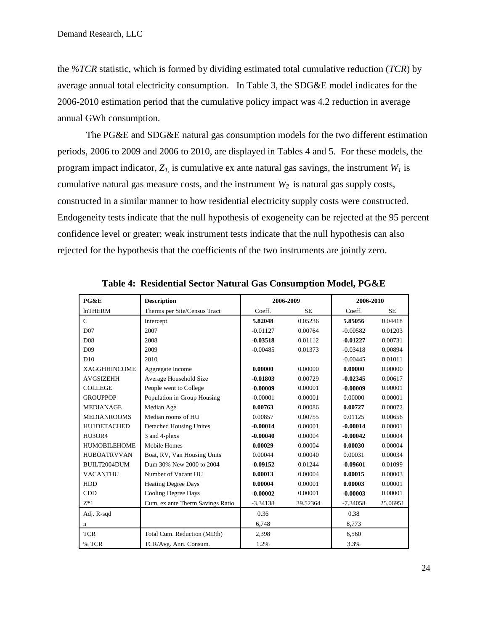the *%TCR* statistic, which is formed by dividing estimated total cumulative reduction (*TCR*) by average annual total electricity consumption. In Table 3, the SDG&E model indicates for the 2006-2010 estimation period that the cumulative policy impact was 4.2 reduction in average annual GWh consumption.

The PG&E and SDG&E natural gas consumption models for the two different estimation periods, 2006 to 2009 and 2006 to 2010, are displayed in Tables 4 and 5. For these models, the program impact indicator,  $Z_l$  is cumulative ex ante natural gas savings, the instrument  $W_l$  is cumulative natural gas measure costs, and the instrument *W<sup>2</sup>* is natural gas supply costs, constructed in a similar manner to how residential electricity supply costs were constructed. Endogeneity tests indicate that the null hypothesis of exogeneity can be rejected at the 95 percent confidence level or greater; weak instrument tests indicate that the null hypothesis can also rejected for the hypothesis that the coefficients of the two instruments are jointly zero.

| PG&E                | <b>Description</b>               | 2006-2009  |           | 2006-2010  |           |
|---------------------|----------------------------------|------------|-----------|------------|-----------|
| <b>lnTHERM</b>      | Therms per Site/Census Tract     | Coeff.     | <b>SE</b> | Coeff.     | <b>SE</b> |
| $\mathsf{C}$        | Intercept                        | 5.82048    | 0.05236   | 5.85056    | 0.04418   |
| D <sub>07</sub>     | 2007                             | $-0.01127$ | 0.00764   | $-0.00582$ | 0.01203   |
| D <sub>08</sub>     | 2008                             | $-0.03518$ | 0.01112   | $-0.01227$ | 0.00731   |
| D <sub>09</sub>     | 2009                             | $-0.00485$ | 0.01373   | $-0.03418$ | 0.00894   |
| D10                 | 2010                             |            |           | $-0.00445$ | 0.01011   |
| <b>XAGGHHINCOME</b> | Aggregate Income                 | 0.00000    | 0.00000   | 0.00000    | 0.00000   |
| <b>AVGSIZEHH</b>    | Average Household Size           | $-0.01803$ | 0.00729   | $-0.02345$ | 0.00617   |
| <b>COLLEGE</b>      | People went to College           | $-0.00009$ | 0.00001   | $-0.00009$ | 0.00001   |
| <b>GROUPPOP</b>     | Population in Group Housing      | $-0.00001$ | 0.00001   | 0.00000    | 0.00001   |
| <b>MEDIANAGE</b>    | Median Age                       | 0.00763    | 0.00086   | 0.00727    | 0.00072   |
| <b>MEDIANROOMS</b>  | Median rooms of HU               | 0.00857    | 0.00755   | 0.01125    | 0.00656   |
| HU1DETACHED         | <b>Detached Housing Unites</b>   | $-0.00014$ | 0.00001   | $-0.00014$ | 0.00001   |
| HU3OR4              | 3 and 4-plexs                    | $-0.00040$ | 0.00004   | $-0.00042$ | 0.00004   |
| <b>HUMOBILEHOME</b> | Mobile Homes                     | 0.00029    | 0.00004   | 0.00030    | 0.00004   |
| <b>HUBOATRVVAN</b>  | Boat, RV, Van Housing Units      | 0.00044    | 0.00040   | 0.00031    | 0.00034   |
| BUILT2004DUM        | Dum 30% New 2000 to 2004         | $-0.09152$ | 0.01244   | $-0.09601$ | 0.01099   |
| <b>VACANTHU</b>     | Number of Vacant HU              | 0.00013    | 0.00004   | 0.00015    | 0.00003   |
| <b>HDD</b>          | <b>Heating Degree Days</b>       | 0.00004    | 0.00001   | 0.00003    | 0.00001   |
| <b>CDD</b>          | Cooling Degree Days              | $-0.00002$ | 0.00001   | $-0.00003$ | 0.00001   |
| $Z^*1$              | Cum. ex ante Therm Savings Ratio | $-3.34138$ | 39.52364  | $-7.34058$ | 25.06951  |
| Adj. R-sqd          |                                  | 0.36       |           | 0.38       |           |
| n                   |                                  | 6,748      |           | 8,773      |           |
| <b>TCR</b>          | Total Cum. Reduction (MDth)      | 2,398      |           | 6,560      |           |
| % TCR               | TCR/Avg. Ann. Consum.            | 1.2%       |           | 3.3%       |           |

**Table 4: Residential Sector Natural Gas Consumption Model, PG&E**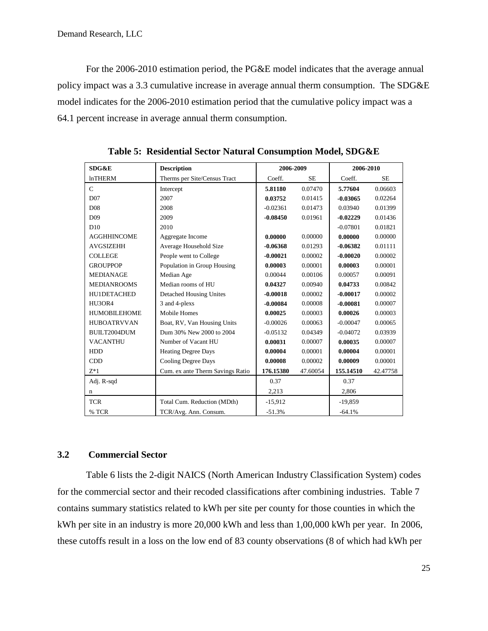For the 2006-2010 estimation period, the PG&E model indicates that the average annual policy impact was a 3.3 cumulative increase in average annual therm consumption. The SDG&E model indicates for the 2006-2010 estimation period that the cumulative policy impact was a 64.1 percent increase in average annual therm consumption.

| SDG&E               | <b>Description</b>               | 2006-2009  |           | 2006-2010  |           |
|---------------------|----------------------------------|------------|-----------|------------|-----------|
| <b>lnTHERM</b>      | Therms per Site/Census Tract     | Coeff.     | <b>SE</b> | Coeff.     | <b>SE</b> |
| $\mathcal{C}$       | Intercept                        | 5.81180    | 0.07470   | 5.77604    | 0.06603   |
| D <sub>07</sub>     | 2007                             | 0.03752    | 0.01415   | $-0.03065$ | 0.02264   |
| D <sub>08</sub>     | 2008                             | $-0.02361$ | 0.01473   | 0.03940    | 0.01399   |
| D <sub>09</sub>     | 2009                             | $-0.08450$ | 0.01961   | $-0.02229$ | 0.01436   |
| D10                 | 2010                             |            |           | $-0.07801$ | 0.01821   |
| <b>AGGHHINCOME</b>  | Aggregate Income                 | 0.00000    | 0.00000   | 0.00000    | 0.00000   |
| <b>AVGSIZEHH</b>    | Average Household Size           | $-0.06368$ | 0.01293   | $-0.06382$ | 0.01111   |
| <b>COLLEGE</b>      | People went to College           | $-0.00021$ | 0.00002   | $-0.00020$ | 0.00002   |
| <b>GROUPPOP</b>     | Population in Group Housing      | 0.00003    | 0.00001   | 0.00003    | 0.00001   |
| <b>MEDIANAGE</b>    | Median Age                       | 0.00044    | 0.00106   | 0.00057    | 0.00091   |
| <b>MEDIANROOMS</b>  | Median rooms of HU               | 0.04327    | 0.00940   | 0.04733    | 0.00842   |
| HU1DETACHED         | <b>Detached Housing Unites</b>   | $-0.00018$ | 0.00002   | $-0.00017$ | 0.00002   |
| HU3OR4              | 3 and 4-plexs                    | $-0.00084$ | 0.00008   | $-0.00081$ | 0.00007   |
| <b>HUMOBILEHOME</b> | <b>Mobile Homes</b>              | 0.00025    | 0.00003   | 0.00026    | 0.00003   |
| <b>HUBOATRVVAN</b>  | Boat, RV, Van Housing Units      | $-0.00026$ | 0.00063   | $-0.00047$ | 0.00065   |
| BUILT2004DUM        | Dum 30% New 2000 to 2004         | $-0.05132$ | 0.04349   | $-0.04072$ | 0.03939   |
| <b>VACANTHU</b>     | Number of Vacant HU              | 0.00031    | 0.00007   | 0.00035    | 0.00007   |
| <b>HDD</b>          | <b>Heating Degree Days</b>       | 0.00004    | 0.00001   | 0.00004    | 0.00001   |
| CDD                 | <b>Cooling Degree Days</b>       | 0.00008    | 0.00002   | 0.00009    | 0.00001   |
| $Z^*1$              | Cum. ex ante Therm Savings Ratio | 176.15380  | 47.60054  | 155.14510  | 42.47758  |
| Adj. R-sqd          |                                  | 0.37       |           | 0.37       |           |
| n                   |                                  | 2.213      |           | 2.806      |           |
| <b>TCR</b>          | Total Cum. Reduction (MDth)      | $-15.912$  |           | $-19.859$  |           |
| % TCR               | TCR/Avg. Ann. Consum.            | $-51.3%$   |           | $-64.1%$   |           |

**Table 5: Residential Sector Natural Consumption Model, SDG&E**

## <span id="page-24-0"></span>**3.2 Commercial Sector**

Table 6 lists the 2-digit NAICS (North American Industry Classification System) codes for the commercial sector and their recoded classifications after combining industries. Table 7 contains summary statistics related to kWh per site per county for those counties in which the kWh per site in an industry is more 20,000 kWh and less than 1,00,000 kWh per year. In 2006, these cutoffs result in a loss on the low end of 83 county observations (8 of which had kWh per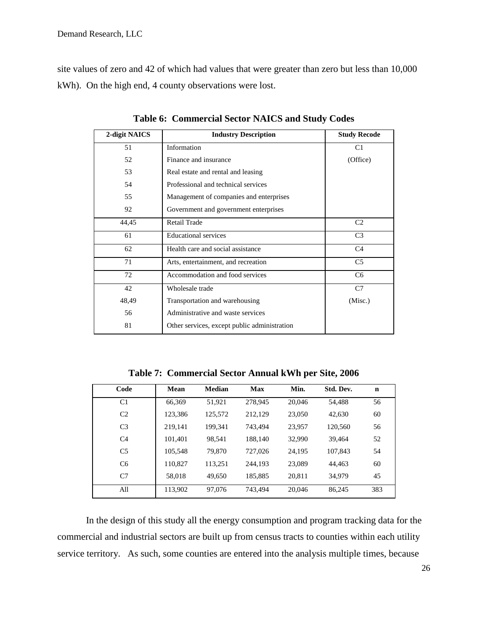site values of zero and 42 of which had values that were greater than zero but less than 10,000 kWh). On the high end, 4 county observations were lost.

| 2-digit NAICS | <b>Industry Description</b>                  | <b>Study Recode</b> |
|---------------|----------------------------------------------|---------------------|
| 51            | Information                                  | C <sub>1</sub>      |
| 52            | Finance and insurance                        | (Office)            |
| 53            | Real estate and rental and leasing           |                     |
| 54            | Professional and technical services          |                     |
| 55            | Management of companies and enterprises      |                     |
| 92            | Government and government enterprises        |                     |
| 44,45         | <b>Retail Trade</b>                          | C <sub>2</sub>      |
| 61            | <b>Educational services</b>                  | C <sub>3</sub>      |
| 62            | Health care and social assistance            | C4                  |
| 71            | Arts, entertainment, and recreation          | C <sub>5</sub>      |
| 72            | Accommodation and food services              | C <sub>6</sub>      |
| 42            | Wholesale trade                              | C7                  |
| 48,49         | Transportation and warehousing               | (Misc.)             |
| 56            | Administrative and waste services            |                     |
| 81            | Other services, except public administration |                     |

**Table 6: Commercial Sector NAICS and Study Codes**

**Table 7: Commercial Sector Annual kWh per Site, 2006**

| Code           | Mean    | <b>Median</b> | <b>Max</b> | Min.   | Std. Dev. | $\mathbf n$ |
|----------------|---------|---------------|------------|--------|-----------|-------------|
| C <sub>1</sub> | 66,369  | 51,921        | 278,945    | 20,046 | 54,488    | 56          |
| C <sub>2</sub> | 123,386 | 125,572       | 212,129    | 23,050 | 42.630    | 60          |
| C <sub>3</sub> | 219,141 | 199,341       | 743.494    | 23,957 | 120,560   | 56          |
| C <sub>4</sub> | 101.401 | 98.541        | 188.140    | 32,990 | 39.464    | 52          |
| C <sub>5</sub> | 105,548 | 79.870        | 727,026    | 24,195 | 107.843   | 54          |
| C <sub>6</sub> | 110,827 | 113,251       | 244.193    | 23,089 | 44.463    | 60          |
| C7             | 58,018  | 49.650        | 185,885    | 20,811 | 34.979    | 45          |
| All            | 113,902 | 97,076        | 743.494    | 20,046 | 86,245    | 383         |

In the design of this study all the energy consumption and program tracking data for the commercial and industrial sectors are built up from census tracts to counties within each utility service territory. As such, some counties are entered into the analysis multiple times, because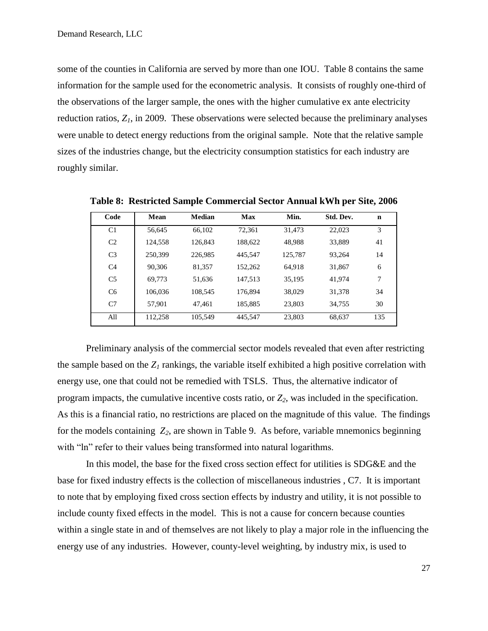some of the counties in California are served by more than one IOU. Table 8 contains the same information for the sample used for the econometric analysis. It consists of roughly one-third of the observations of the larger sample, the ones with the higher cumulative ex ante electricity reduction ratios, *Z1*, in 2009. These observations were selected because the preliminary analyses were unable to detect energy reductions from the original sample. Note that the relative sample sizes of the industries change, but the electricity consumption statistics for each industry are roughly similar.

| Code           | Mean    | Median  | Max     | Min.    | Std. Dev. | n   |
|----------------|---------|---------|---------|---------|-----------|-----|
| C <sub>1</sub> | 56.645  | 66,102  | 72,361  | 31,473  | 22,023    | 3   |
| C <sub>2</sub> | 124,558 | 126,843 | 188,622 | 48,988  | 33,889    | 41  |
| C <sub>3</sub> | 250,399 | 226,985 | 445.547 | 125,787 | 93.264    | 14  |
| C <sub>4</sub> | 90.306  | 81.357  | 152,262 | 64.918  | 31,867    | 6   |
| C <sub>5</sub> | 69.773  | 51.636  | 147.513 | 35,195  | 41,974    | 7   |
| C <sub>6</sub> | 106,036 | 108,545 | 176.894 | 38,029  | 31,378    | 34  |
| C <sub>7</sub> | 57.901  | 47.461  | 185,885 | 23,803  | 34.755    | 30  |
| All            | 112,258 | 105,549 | 445,547 | 23,803  | 68,637    | 135 |

**Table 8: Restricted Sample Commercial Sector Annual kWh per Site, 2006**

Preliminary analysis of the commercial sector models revealed that even after restricting the sample based on the  $Z_I$  rankings, the variable itself exhibited a high positive correlation with energy use, one that could not be remedied with TSLS. Thus, the alternative indicator of program impacts, the cumulative incentive costs ratio, or *Z2*, was included in the specification. As this is a financial ratio, no restrictions are placed on the magnitude of this value. The findings for the models containing *Z2*, are shown in Table 9. As before, variable mnemonics beginning with "ln" refer to their values being transformed into natural logarithms.

In this model, the base for the fixed cross section effect for utilities is SDG&E and the base for fixed industry effects is the collection of miscellaneous industries , C7. It is important to note that by employing fixed cross section effects by industry and utility, it is not possible to include county fixed effects in the model. This is not a cause for concern because counties within a single state in and of themselves are not likely to play a major role in the influencing the energy use of any industries. However, county-level weighting, by industry mix, is used to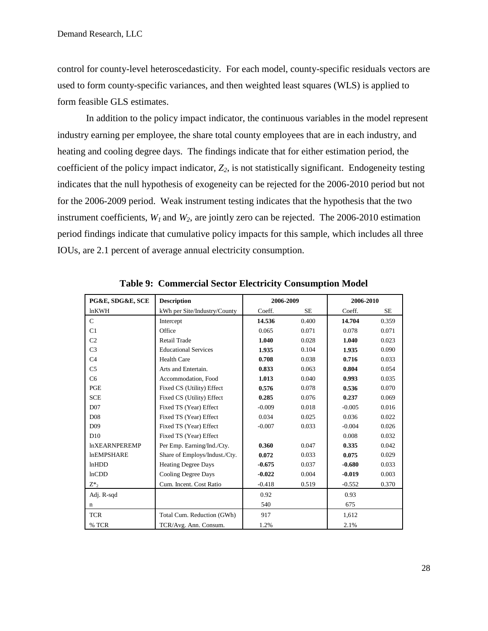control for county-level heteroscedasticity. For each model, county-specific residuals vectors are used to form county-specific variances, and then weighted least squares (WLS) is applied to form feasible GLS estimates.

In addition to the policy impact indicator, the continuous variables in the model represent industry earning per employee, the share total county employees that are in each industry, and heating and cooling degree days. The findings indicate that for either estimation period, the coefficient of the policy impact indicator, *Z2*, is not statistically significant. Endogeneity testing indicates that the null hypothesis of exogeneity can be rejected for the 2006-2010 period but not for the 2006-2009 period. Weak instrument testing indicates that the hypothesis that the two instrument coefficients, *W<sup>1</sup>* and *W2*, are jointly zero can be rejected. The 2006-2010 estimation period findings indicate that cumulative policy impacts for this sample, which includes all three IOUs, are 2.1 percent of average annual electricity consumption.

| PG&E, SDG&E, SCE     | <b>Description</b>            | 2006-2009           |       | 2006-2010 |           |
|----------------------|-------------------------------|---------------------|-------|-----------|-----------|
| lnKWH                | kWh per Site/Industry/County  | Coeff.<br><b>SE</b> |       | Coeff.    | <b>SE</b> |
| $\mathsf{C}$         | Intercept                     | 14.536              | 0.400 | 14.704    | 0.359     |
| C1                   | Office                        | 0.065               | 0.071 | 0.078     | 0.071     |
| C <sub>2</sub>       | <b>Retail Trade</b>           | 1.040               | 0.028 | 1.040     | 0.023     |
| C <sub>3</sub>       | <b>Educational Services</b>   | 1.935               | 0.104 | 1.935     | 0.090     |
| C <sub>4</sub>       | <b>Health Care</b>            | 0.708               | 0.038 | 0.716     | 0.033     |
| C <sub>5</sub>       | Arts and Entertain.           | 0.833               | 0.063 | 0.804     | 0.054     |
| C <sub>6</sub>       | Accommodation, Food           | 1.013               | 0.040 | 0.993     | 0.035     |
| PGE                  | Fixed CS (Utility) Effect     | 0.576               | 0.078 | 0.536     | 0.070     |
| <b>SCE</b>           | Fixed CS (Utility) Effect     | 0.285               | 0.076 | 0.237     | 0.069     |
| D <sub>07</sub>      | Fixed TS (Year) Effect        | $-0.009$            | 0.018 | $-0.005$  | 0.016     |
| D <sub>08</sub>      | Fixed TS (Year) Effect        | 0.034               | 0.025 | 0.036     | 0.022     |
| D <sub>09</sub>      | Fixed TS (Year) Effect        | $-0.007$            | 0.033 | $-0.004$  | 0.026     |
| D10                  | Fixed TS (Year) Effect        |                     |       | 0.008     | 0.032     |
| <b>InXEARNPEREMP</b> | Per Emp. Earning/Ind./Cty.    | 0.360               | 0.047 | 0.335     | 0.042     |
| <b>InEMPSHARE</b>    | Share of Employs/Indust./Cty. | 0.072               | 0.033 | 0.075     | 0.029     |
| lnHDD                | <b>Heating Degree Days</b>    | $-0.675$            | 0.037 | $-0.680$  | 0.033     |
| lnCDD                | <b>Cooling Degree Days</b>    | $-0.022$            | 0.004 | $-0.019$  | 0.003     |
| $Z^*,$               | Cum. Incent. Cost Ratio       | $-0.418$            | 0.519 | $-0.552$  | 0.370     |
| Adj. R-sqd           |                               | 0.92                |       | 0.93      |           |
| n                    |                               | 540                 |       | 675       |           |
| <b>TCR</b>           | Total Cum. Reduction (GWh)    | 917                 |       | 1,612     |           |
| % TCR                | TCR/Avg. Ann. Consum.         | 1.2%                |       | 2.1%      |           |

**Table 9: Commercial Sector Electricity Consumption Model**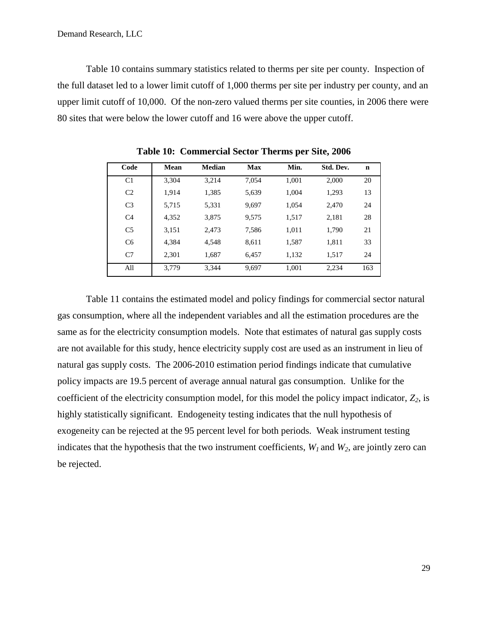Table 10 contains summary statistics related to therms per site per county. Inspection of the full dataset led to a lower limit cutoff of 1,000 therms per site per industry per county, and an upper limit cutoff of 10,000. Of the non-zero valued therms per site counties, in 2006 there were 80 sites that were below the lower cutoff and 16 were above the upper cutoff.

| Code           | Mean  | Median | Max   | Min.  | Std. Dev. | n   |
|----------------|-------|--------|-------|-------|-----------|-----|
| C <sub>1</sub> | 3.304 | 3.214  | 7.054 | 1.001 | 2,000     | 20  |
| C <sub>2</sub> | 1.914 | 1,385  | 5,639 | 1.004 | 1,293     | 13  |
| C <sub>3</sub> | 5.715 | 5,331  | 9,697 | 1.054 | 2.470     | 24  |
| C <sub>4</sub> | 4,352 | 3,875  | 9,575 | 1,517 | 2,181     | 28  |
| C <sub>5</sub> | 3,151 | 2,473  | 7,586 | 1.011 | 1,790     | 21  |
| C <sub>6</sub> | 4.384 | 4.548  | 8.611 | 1.587 | 1,811     | 33  |
| C <sub>7</sub> | 2.301 | 1,687  | 6.457 | 1.132 | 1,517     | 24  |
| All            | 3.779 | 3,344  | 9,697 | 1,001 | 2,234     | 163 |

**Table 10: Commercial Sector Therms per Site, 2006**

Table 11 contains the estimated model and policy findings for commercial sector natural gas consumption, where all the independent variables and all the estimation procedures are the same as for the electricity consumption models. Note that estimates of natural gas supply costs are not available for this study, hence electricity supply cost are used as an instrument in lieu of natural gas supply costs. The 2006-2010 estimation period findings indicate that cumulative policy impacts are 19.5 percent of average annual natural gas consumption. Unlike for the coefficient of the electricity consumption model, for this model the policy impact indicator, *Z2*, is highly statistically significant. Endogeneity testing indicates that the null hypothesis of exogeneity can be rejected at the 95 percent level for both periods. Weak instrument testing indicates that the hypothesis that the two instrument coefficients,  $W<sub>1</sub>$  and  $W<sub>2</sub>$ , are jointly zero can be rejected.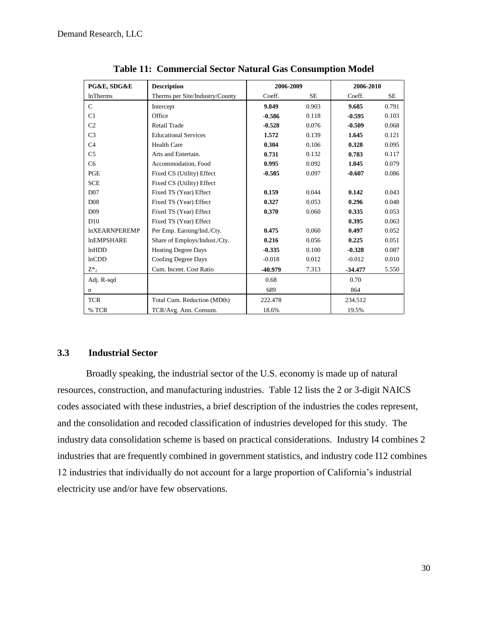| PG&E, SDG&E          | <b>Description</b>              | 2006-2009 |           | 2006-2010 |           |
|----------------------|---------------------------------|-----------|-----------|-----------|-----------|
| <b>lnTherms</b>      | Therms per Site/Industry/County | Coeff.    | <b>SE</b> | Coeff.    | <b>SE</b> |
| $\mathsf{C}$         | Intercept                       | 9.849     | 0.903     | 9.685     | 0.791     |
| C1                   | Office                          | $-0.586$  | 0.118     | $-0.595$  | 0.103     |
| C <sub>2</sub>       | <b>Retail Trade</b>             | $-0.528$  | 0.076     | $-0.509$  | 0.068     |
| C <sub>3</sub>       | <b>Educational Services</b>     | 1.572     | 0.139     | 1.645     | 0.121     |
| C <sub>4</sub>       | <b>Health Care</b>              | 0.304     | 0.106     | 0.328     | 0.095     |
| C <sub>5</sub>       | Arts and Entertain.             | 0.731     | 0.132     | 0.783     | 0.117     |
| C6                   | Accommodation, Food             | 0.995     | 0.092     | 1.045     | 0.079     |
| PGE                  | Fixed CS (Utility) Effect       | $-0.585$  | 0.097     | $-0.607$  | 0.086     |
| <b>SCE</b>           | Fixed CS (Utility) Effect       |           |           |           |           |
| D07                  | Fixed TS (Year) Effect          | 0.159     | 0.044     | 0.142     | 0.043     |
| D <sub>08</sub>      | Fixed TS (Year) Effect          | 0.327     | 0.053     | 0.296     | 0.048     |
| D <sub>09</sub>      | Fixed TS (Year) Effect          | 0.370     | 0.060     | 0.335     | 0.053     |
| D10                  | Fixed TS (Year) Effect          |           |           | 0.395     | 0.063     |
| <b>InXEARNPEREMP</b> | Per Emp. Earning/Ind./Cty.      | 0.475     | 0.060     | 0.497     | 0.052     |
| <b>InEMPSHARE</b>    | Share of Employs/Indust./Cty.   | 0.216     | 0.056     | 0.225     | 0.051     |
| lnHDD                | <b>Heating Degree Days</b>      | $-0.335$  | 0.100     | $-0.328$  | 0.087     |
| lnCDD                | Cooling Degree Days             | $-0.018$  | 0.012     | $-0.012$  | 0.010     |
| $Z^*,$               | Cum. Incent. Cost Ratio         | -40.979   | 7.313     | $-34.477$ | 5.550     |
| Adj. R-sqd           |                                 | 0.68      |           | 0.70      |           |
| n                    |                                 | 689       |           | 864       |           |
| <b>TCR</b>           | Total Cum. Reduction (MDth)     | 222.478   |           | 234.512   |           |
| % TCR                | TCR/Avg. Ann. Consum.           | 18.6%     |           | 19.5%     |           |

**Table 11: Commercial Sector Natural Gas Consumption Model**

## <span id="page-29-0"></span>**3.3 Industrial Sector**

Broadly speaking, the industrial sector of the U.S. economy is made up of natural resources, construction, and manufacturing industries. Table 12 lists the 2 or 3-digit NAICS codes associated with these industries, a brief description of the industries the codes represent, and the consolidation and recoded classification of industries developed for this study. The industry data consolidation scheme is based on practical considerations. Industry I4 combines 2 industries that are frequently combined in government statistics, and industry code I12 combines 12 industries that individually do not account for a large proportion of California's industrial electricity use and/or have few observations.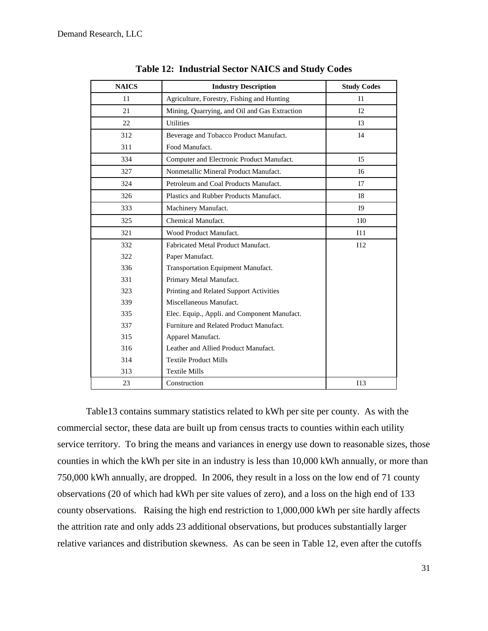| <b>NAICS</b> | <b>Industry Description</b>                   | <b>Study Codes</b> |
|--------------|-----------------------------------------------|--------------------|
| 11           | Agriculture, Forestry, Fishing and Hunting    | I <sub>1</sub>     |
| 21           | Mining, Quarrying, and Oil and Gas Extraction | 12                 |
| 22           | <b>Utilities</b>                              | I <sub>3</sub>     |
| 312          | Beverage and Tobacco Product Manufact.        | I <sub>4</sub>     |
| 311          | Food Manufact.                                |                    |
| 334          | Computer and Electronic Product Manufact.     | I <sub>5</sub>     |
| 327          | Nonmetallic Mineral Product Manufact.         | I <sub>6</sub>     |
| 324          | Petroleum and Coal Products Manufact.         | 17                 |
| 326          | Plastics and Rubber Products Manufact.        | <b>I8</b>          |
| 333          | Machinery Manufact.                           | 19                 |
| 325          | Chemical Manufact.                            | 1I <sub>0</sub>    |
| 321          | Wood Product Manufact.                        | I11                |
| 332          | Fabricated Metal Product Manufact.            | 112                |
| 322          | Paper Manufact.                               |                    |
| 336          | Transportation Equipment Manufact.            |                    |
| 331          | Primary Metal Manufact.                       |                    |
| 323          | Printing and Related Support Activities       |                    |
| 339          | Miscellaneous Manufact.                       |                    |
| 335          | Elec. Equip., Appli. and Component Manufact.  |                    |
| 337          | Furniture and Related Product Manufact.       |                    |
| 315          | Apparel Manufact.                             |                    |
| 316          | Leather and Allied Product Manufact.          |                    |
| 314          | <b>Textile Product Mills</b>                  |                    |
| 313          | <b>Textile Mills</b>                          |                    |
| 23           | Construction                                  | I13                |

**Table 12: Industrial Sector NAICS and Study Codes**

Table13 contains summary statistics related to kWh per site per county. As with the commercial sector, these data are built up from census tracts to counties within each utility service territory. To bring the means and variances in energy use down to reasonable sizes, those counties in which the kWh per site in an industry is less than 10,000 kWh annually, or more than 750,000 kWh annually, are dropped. In 2006, they result in a loss on the low end of 71 county observations (20 of which had kWh per site values of zero), and a loss on the high end of 133 county observations. Raising the high end restriction to 1,000,000 kWh per site hardly affects the attrition rate and only adds 23 additional observations, but produces substantially larger relative variances and distribution skewness. As can be seen in Table 12, even after the cutoffs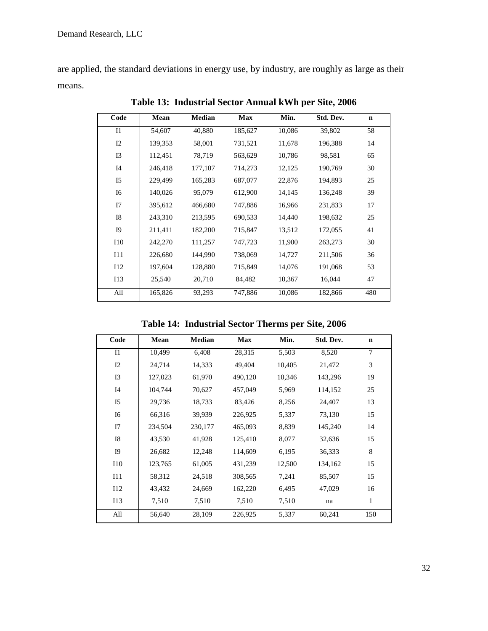are applied, the standard deviations in energy use, by industry, are roughly as large as their means.

| Code           | Mean    | <b>Median</b> | <b>Max</b> | Min.   | Std. Dev. | $\mathbf n$ |
|----------------|---------|---------------|------------|--------|-----------|-------------|
| $_{\rm I1}$    | 54,607  | 40,880        | 185,627    | 10,086 | 39,802    | 58          |
| 12             | 139,353 | 58,001        | 731,521    | 11,678 | 196,388   | 14          |
| 13             | 112,451 | 78,719        | 563,629    | 10,786 | 98,581    | 65          |
| I4             | 246,418 | 177,107       | 714,273    | 12,125 | 190,769   | 30          |
| I <sub>5</sub> | 229,499 | 165,283       | 687,077    | 22,876 | 194,893   | 25          |
| <b>I6</b>      | 140,026 | 95,079        | 612,900    | 14,145 | 136,248   | 39          |
| I7             | 395,612 | 466,680       | 747,886    | 16,966 | 231,833   | 17          |
| <b>I8</b>      | 243,310 | 213,595       | 690,533    | 14,440 | 198,632   | 25          |
| <b>I9</b>      | 211,411 | 182,200       | 715,847    | 13,512 | 172,055   | 41          |
| <b>I10</b>     | 242,270 | 111,257       | 747,723    | 11,900 | 263,273   | 30          |
| I11            | 226,680 | 144,990       | 738,069    | 14,727 | 211,506   | 36          |
| I12            | 197,604 | 128,880       | 715,849    | 14,076 | 191,068   | 53          |
| I13            | 25,540  | 20,710        | 84,482     | 10,367 | 16,044    | 47          |
| All            | 165,826 | 93,293        | 747,886    | 10,086 | 182,866   | 480         |

**Table 13: Industrial Sector Annual kWh per Site, 2006**

**Table 14: Industrial Sector Therms per Site, 2006**

| Code           | Mean    | <b>Median</b> | <b>Max</b> | Min.   | Std. Dev. | $\mathbf n$ |
|----------------|---------|---------------|------------|--------|-----------|-------------|
| I1             | 10,499  | 6,408         | 28,315     | 5,503  | 8,520     | $\tau$      |
| I2             | 24,714  | 14,333        | 49,404     | 10,405 | 21,472    | 3           |
| I3             | 127,023 | 61,970        | 490,120    | 10,346 | 143,296   | 19          |
| I4             | 104,744 | 70,627        | 457,049    | 5,969  | 114,152   | 25          |
| I <sub>5</sub> | 29,736  | 18,733        | 83,426     | 8,256  | 24,407    | 13          |
| I <sub>6</sub> | 66,316  | 39,939        | 226,925    | 5,337  | 73,130    | 15          |
| I7             | 234,504 | 230,177       | 465,093    | 8,839  | 145,240   | 14          |
| I8             | 43,530  | 41,928        | 125,410    | 8,077  | 32,636    | 15          |
| <b>I9</b>      | 26,682  | 12,248        | 114,609    | 6,195  | 36,333    | $\,8\,$     |
| 110            | 123,765 | 61,005        | 431,239    | 12,500 | 134,162   | 15          |
| 111            | 58,312  | 24,518        | 308,565    | 7,241  | 85,507    | 15          |
| 112            | 43,432  | 24,669        | 162,220    | 6,495  | 47,029    | 16          |
| I13            | 7,510   | 7,510         | 7,510      | 7,510  | na        | 1           |
| All            | 56,640  | 28,109        | 226,925    | 5,337  | 60,241    | 150         |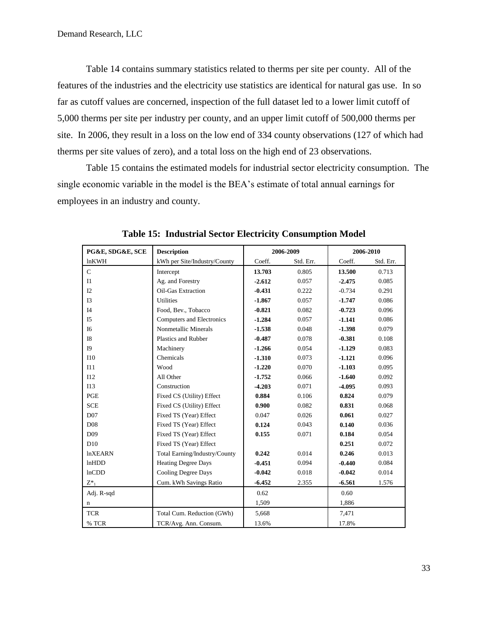Table 14 contains summary statistics related to therms per site per county. All of the features of the industries and the electricity use statistics are identical for natural gas use. In so far as cutoff values are concerned, inspection of the full dataset led to a lower limit cutoff of 5,000 therms per site per industry per county, and an upper limit cutoff of 500,000 therms per site. In 2006, they result in a loss on the low end of 334 county observations (127 of which had therms per site values of zero), and a total loss on the high end of 23 observations.

Table 15 contains the estimated models for industrial sector electricity consumption. The single economic variable in the model is the BEA's estimate of total annual earnings for employees in an industry and county.

| PG&E, SDG&E, SCE | <b>Description</b>            | 2006-2009 |           | 2006-2010 |           |
|------------------|-------------------------------|-----------|-----------|-----------|-----------|
| lnKWH            | kWh per Site/Industry/County  | Coeff.    | Std. Err. | Coeff.    | Std. Err. |
| $\overline{C}$   | Intercept                     | 13.703    | 0.805     | 13.500    | 0.713     |
| I1               | Ag. and Forestry              | $-2.612$  | 0.057     | $-2.475$  | 0.085     |
| I2               | Oil-Gas Extraction            | $-0.431$  | 0.222     | $-0.734$  | 0.291     |
| I3               | Utilities                     | $-1.867$  | 0.057     | $-1.747$  | 0.086     |
| I4               | Food, Bev., Tobacco           | $-0.821$  | 0.082     | $-0.723$  | 0.096     |
| I5               | Computers and Electronics     | $-1.284$  | 0.057     | $-1.141$  | 0.086     |
| I6               | Nonmetallic Minerals          | $-1.538$  | 0.048     | $-1.398$  | 0.079     |
| I8               | Plastics and Rubber           | $-0.487$  | 0.078     | $-0.381$  | 0.108     |
| I <sub>9</sub>   | Machinery                     | $-1.266$  | 0.054     | $-1.129$  | 0.083     |
| <b>I10</b>       | Chemicals                     | $-1.310$  | 0.073     | $-1.121$  | 0.096     |
| I11              | Wood                          | $-1.220$  | 0.070     | $-1.103$  | 0.095     |
| I12              | All Other                     | $-1.752$  | 0.066     | $-1.640$  | 0.092     |
| I13              | Construction                  | $-4.203$  | 0.071     | $-4.095$  | 0.093     |
| PGE              | Fixed CS (Utility) Effect     | 0.884     | 0.106     | 0.824     | 0.079     |
| <b>SCE</b>       | Fixed CS (Utility) Effect     | 0.900     | 0.082     | 0.831     | 0.068     |
| D <sub>07</sub>  | Fixed TS (Year) Effect        | 0.047     | 0.026     | 0.061     | 0.027     |
| D <sub>08</sub>  | Fixed TS (Year) Effect        | 0.124     | 0.043     | 0.140     | 0.036     |
| D <sub>09</sub>  | Fixed TS (Year) Effect        | 0.155     | 0.071     | 0.184     | 0.054     |
| D10              | Fixed TS (Year) Effect        |           |           | 0.251     | 0.072     |
| <b>lnXEARN</b>   | Total Earning/Industry/County | 0.242     | 0.014     | 0.246     | 0.013     |
| lnHDD            | <b>Heating Degree Days</b>    | $-0.451$  | 0.094     | $-0.440$  | 0.084     |
| lnCDD            | <b>Cooling Degree Days</b>    | $-0.042$  | 0.018     | $-0.042$  | 0.014     |
| $Z^*$            | Cum. kWh Savings Ratio        | $-6.452$  | 2.355     | $-6.561$  | 1.576     |
| Adj. R-sqd       |                               | 0.62      |           | 0.60      |           |
| n                |                               | 1,509     |           | 1,886     |           |
| <b>TCR</b>       | Total Cum. Reduction (GWh)    | 5,668     |           | 7,471     |           |
| % TCR            | TCR/Avg. Ann. Consum.         | 13.6%     |           | 17.8%     |           |

**Table 15: Industrial Sector Electricity Consumption Model**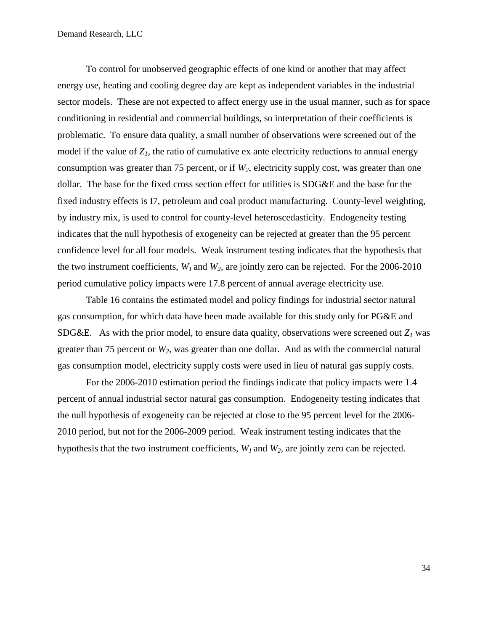To control for unobserved geographic effects of one kind or another that may affect energy use, heating and cooling degree day are kept as independent variables in the industrial sector models. These are not expected to affect energy use in the usual manner, such as for space conditioning in residential and commercial buildings, so interpretation of their coefficients is problematic. To ensure data quality, a small number of observations were screened out of the model if the value of  $Z_I$ , the ratio of cumulative ex ante electricity reductions to annual energy consumption was greater than 75 percent, or if *W2*, electricity supply cost, was greater than one dollar. The base for the fixed cross section effect for utilities is SDG&E and the base for the fixed industry effects is I7, petroleum and coal product manufacturing. County-level weighting, by industry mix, is used to control for county-level heteroscedasticity. Endogeneity testing indicates that the null hypothesis of exogeneity can be rejected at greater than the 95 percent confidence level for all four models. Weak instrument testing indicates that the hypothesis that the two instrument coefficients,  $W_I$  and  $W_2$ , are jointly zero can be rejected. For the 2006-2010 period cumulative policy impacts were 17.8 percent of annual average electricity use.

Table 16 contains the estimated model and policy findings for industrial sector natural gas consumption, for which data have been made available for this study only for PG&E and SDG&E. As with the prior model, to ensure data quality, observations were screened out  $Z_I$  was greater than 75 percent or *W2*, was greater than one dollar. And as with the commercial natural gas consumption model, electricity supply costs were used in lieu of natural gas supply costs.

For the 2006-2010 estimation period the findings indicate that policy impacts were 1.4 percent of annual industrial sector natural gas consumption. Endogeneity testing indicates that the null hypothesis of exogeneity can be rejected at close to the 95 percent level for the 2006- 2010 period, but not for the 2006-2009 period. Weak instrument testing indicates that the hypothesis that the two instrument coefficients, *W<sup>1</sup>* and *W2*, are jointly zero can be rejected.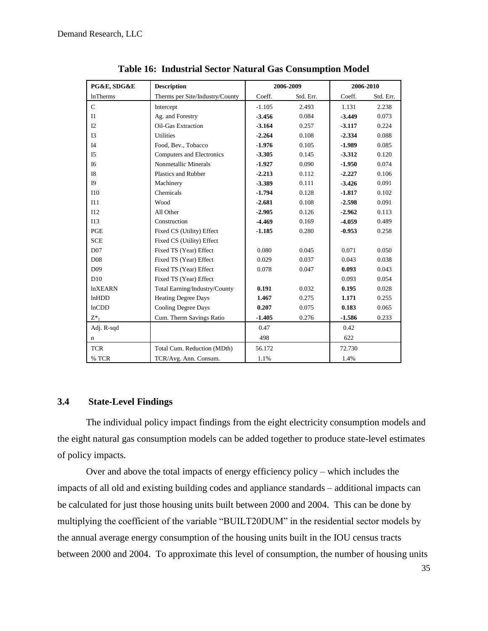| PG&E, SDG&E     | <b>Description</b>              | 2006-2009 |           | 2006-2010 |           |
|-----------------|---------------------------------|-----------|-----------|-----------|-----------|
| <b>lnTherms</b> | Therms per Site/Industry/County | Coeff.    | Std. Err. | Coeff.    | Std. Err. |
| $\mathsf{C}$    | Intercept                       | $-1.105$  | 2.493     | 1.131     | 2.238     |
| I1              | Ag. and Forestry                | $-3.456$  | 0.084     | $-3.449$  | 0.073     |
| I2              | Oil-Gas Extraction              | $-3.164$  | 0.257     | $-3.117$  | 0.224     |
| I3              | <b>Utilities</b>                | $-2.264$  | 0.108     | $-2.334$  | 0.088     |
| I4              | Food, Bev., Tobacco             | $-1.976$  | 0.105     | $-1.989$  | 0.085     |
| I <sub>5</sub>  | Computers and Electronics       | $-3.305$  | 0.145     | $-3.312$  | 0.120     |
| I <sub>6</sub>  | Nonmetallic Minerals            | $-1.927$  | 0.090     | $-1.950$  | 0.074     |
| I8              | Plastics and Rubber             | $-2.213$  | 0.112     | $-2.227$  | 0.106     |
| <b>I9</b>       | Machinery                       | $-3.389$  | 0.111     | $-3.426$  | 0.091     |
| <b>I10</b>      | Chemicals                       | $-1.794$  | 0.128     | $-1.817$  | 0.102     |
| I11             | Wood                            | $-2.681$  | 0.108     | $-2.598$  | 0.091     |
| I12             | All Other                       | $-2.905$  | 0.126     | $-2.962$  | 0.113     |
| I13             | Construction                    | $-4.469$  | 0.169     | $-4.059$  | 0.489     |
| PGE             | Fixed CS (Utility) Effect       | $-1.185$  | 0.280     | $-0.953$  | 0.258     |
| <b>SCE</b>      | Fixed CS (Utility) Effect       |           |           |           |           |
| D <sub>07</sub> | Fixed TS (Year) Effect          | 0.080     | 0.045     | 0.071     | 0.050     |
| D <sub>08</sub> | Fixed TS (Year) Effect          | 0.029     | 0.037     | 0.043     | 0.038     |
| D <sub>09</sub> | Fixed TS (Year) Effect          | 0.078     | 0.047     | 0.093     | 0.043     |
| D10             | Fixed TS (Year) Effect          |           |           | 0.093     | 0.054     |
| <b>lnXEARN</b>  | Total Earning/Industry/County   | 0.191     | 0.032     | 0.195     | 0.028     |
| lnHDD           | <b>Heating Degree Days</b>      | 1.467     | 0.275     | 1.171     | 0.255     |
| lnCDD           | <b>Cooling Degree Days</b>      | 0.207     | 0.075     | 0.183     | 0.065     |
| $Z^*$           | Cum. Therm Savings Ratio        | $-1.405$  | 0.276     | $-1.586$  | 0.233     |
| Adj. R-sqd      |                                 | 0.47      |           | 0.42      |           |
| n               |                                 | 498       |           | 622       |           |
| <b>TCR</b>      | Total Cum. Reduction (MDth)     | 56.172    |           | 72.730    |           |
| % TCR           | TCR/Avg. Ann. Consum.           | 1.1%      |           | 1.4%      |           |

**Table 16: Industrial Sector Natural Gas Consumption Model**

## <span id="page-34-0"></span>**3.4 State-Level Findings**

The individual policy impact findings from the eight electricity consumption models and the eight natural gas consumption models can be added together to produce state-level estimates of policy impacts.

Over and above the total impacts of energy efficiency policy – which includes the impacts of all old and existing building codes and appliance standards – additional impacts can be calculated for just those housing units built between 2000 and 2004. This can be done by multiplying the coefficient of the variable "BUILT20DUM" in the residential sector models by the annual average energy consumption of the housing units built in the IOU census tracts between 2000 and 2004. To approximate this level of consumption, the number of housing units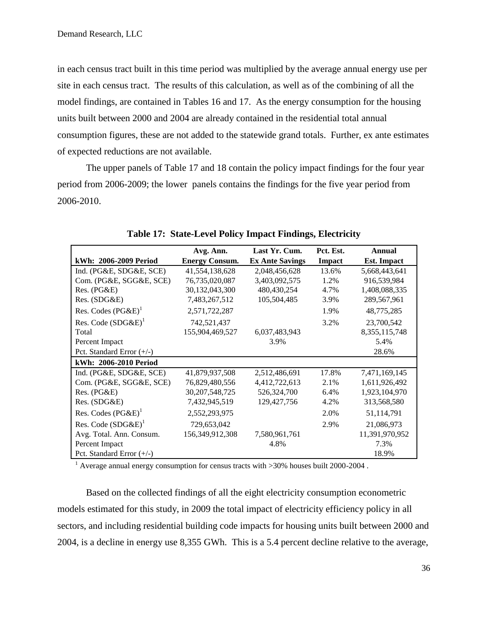in each census tract built in this time period was multiplied by the average annual energy use per site in each census tract. The results of this calculation, as well as of the combining of all the model findings, are contained in Tables 16 and 17. As the energy consumption for the housing units built between 2000 and 2004 are already contained in the residential total annual consumption figures, these are not added to the statewide grand totals. Further, ex ante estimates of expected reductions are not available.

The upper panels of Table 17 and 18 contain the policy impact findings for the four year period from 2006-2009; the lower panels contains the findings for the five year period from 2006-2010.

|                             | Avg. Ann.             | Last Yr. Cum.          | Pct. Est. | Annual             |
|-----------------------------|-----------------------|------------------------|-----------|--------------------|
| kWh: 2006-2009 Period       | <b>Energy Consum.</b> | <b>Ex Ante Savings</b> | Impact    | <b>Est.</b> Impact |
| Ind. (PG&E, SDG&E, SCE)     | 41,554,138,628        | 2,048,456,628          | 13.6%     | 5,668,443,641      |
| Com. (PG&E, SGG&E, SCE)     | 76,735,020,087        | 3,403,092,575          | 1.2%      | 916,539,984        |
| $Res. (PG\&E)$              | 30,132,043,300        | 480,430,254            | 4.7%      | 1,408,088,335      |
| Res. (SDG&E)                | 7,483,267,512         | 105,504,485            | 3.9%      | 289,567,961        |
| Res. Codes $(PG\&E)^{1}$    | 2,571,722,287         |                        | 1.9%      | 48,775,285         |
| Res. Code $(SDG\&E)^1$      | 742,521,437           |                        | 3.2%      | 23,700,542         |
| Total                       | 155,904,469,527       | 6,037,483,943          |           | 8, 355, 115, 748   |
| Percent Impact              |                       | 3.9%                   |           | 5.4%               |
| Pct. Standard Error $(+/-)$ |                       |                        |           | 28.6%              |
| kWh: 2006-2010 Period       |                       |                        |           |                    |
| Ind. (PG&E, SDG&E, SCE)     | 41,879,937,508        | 2,512,486,691          | 17.8%     | 7,471,169,145      |
| Com. (PG&E, SGG&E, SCE)     | 76,829,480,556        | 4,412,722,613          | 2.1%      | 1,611,926,492      |
| $Res. (PG\&E)$              | 30, 207, 548, 725     | 526, 324, 700          | 6.4%      | 1,923,104,970      |
| Res. (SDG&E)                | 7,432,945,519         | 129, 427, 756          | 4.2%      | 313,568,580        |
| Res. Codes $(PG\&E)^{1}$    | 2,552,293,975         |                        | 2.0%      | 51,114,791         |
| Res. Code $(SDG\&E)^1$      | 729,653,042           |                        | 2.9%      | 21,086,973         |
| Avg. Total. Ann. Consum.    | 156,349,912,308       | 7,580,961,761          |           | 11,391,970,952     |
| Percent Impact              |                       | 4.8%                   |           | 7.3%               |
| Pct. Standard Error $(+/-)$ |                       |                        |           | 18.9%              |

**Table 17: State-Level Policy Impact Findings, Electricity**

<sup>1</sup> Average annual energy consumption for census tracts with  $>$ 30% houses built 2000-2004.

Based on the collected findings of all the eight electricity consumption econometric models estimated for this study, in 2009 the total impact of electricity efficiency policy in all sectors, and including residential building code impacts for housing units built between 2000 and 2004, is a decline in energy use 8,355 GWh. This is a 5.4 percent decline relative to the average,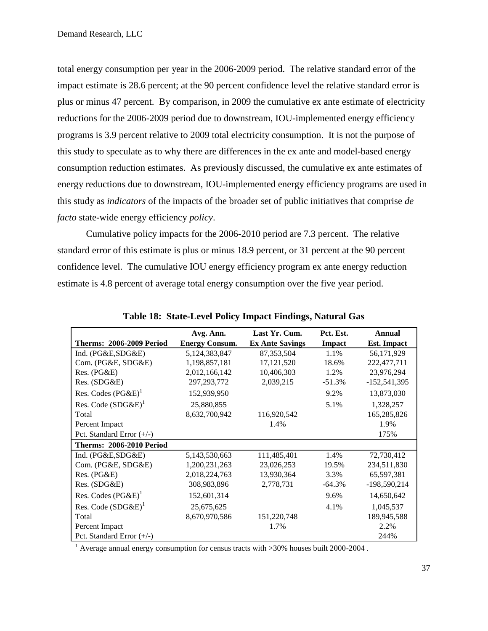total energy consumption per year in the 2006-2009 period. The relative standard error of the impact estimate is 28.6 percent; at the 90 percent confidence level the relative standard error is plus or minus 47 percent. By comparison, in 2009 the cumulative ex ante estimate of electricity reductions for the 2006-2009 period due to downstream, IOU-implemented energy efficiency programs is 3.9 percent relative to 2009 total electricity consumption. It is not the purpose of this study to speculate as to why there are differences in the ex ante and model-based energy consumption reduction estimates. As previously discussed, the cumulative ex ante estimates of energy reductions due to downstream, IOU-implemented energy efficiency programs are used in this study as *indicators* of the impacts of the broader set of public initiatives that comprise *de facto* state-wide energy efficiency *policy*.

Cumulative policy impacts for the 2006-2010 period are 7.3 percent. The relative standard error of this estimate is plus or minus 18.9 percent, or 31 percent at the 90 percent confidence level. The cumulative IOU energy efficiency program ex ante energy reduction estimate is 4.8 percent of average total energy consumption over the five year period.

|                                 | Avg. Ann.             | Last Yr. Cum.          | Pct. Est. | Annual             |
|---------------------------------|-----------------------|------------------------|-----------|--------------------|
| <b>Therms: 2006-2009 Period</b> | <b>Energy Consum.</b> | <b>Ex Ante Savings</b> | Impact    | <b>Est. Impact</b> |
| Ind. (PG&E,SDG&E)               | 5,124,383,847         | 87, 353, 504           | 1.1%      | 56,171,929         |
| Com. (PG&E, SDG&E)              | 1,198,857,181         | 17, 121, 520           | 18.6%     | 222,477,711        |
| Res. (PG&E)                     | 2,012,166,142         | 10,406,303             | 1.2%      | 23,976,294         |
| Res. (SDG&E)                    | 297, 293, 772         | 2,039,215              | $-51.3%$  | $-152,541,395$     |
| Res. Codes $(PG\&E)^{1}$        | 152,939,950           |                        | 9.2%      | 13,873,030         |
| Res. Code (SDG&E) <sup>1</sup>  | 25,880,855            |                        | 5.1%      | 1,328,257          |
| Total                           | 8,632,700,942         | 116,920,542            |           | 165,285,826        |
| Percent Impact                  |                       | 1.4%                   |           | 1.9%               |
| Pct. Standard Error $(+/-)$     |                       |                        |           | 175%               |
| <b>Therms: 2006-2010 Period</b> |                       |                        |           |                    |
| Ind. (PG&E,SDG&E)               | 5,143,530,663         | 111,485,401            | 1.4%      | 72,730,412         |
| Com. (PG&E, SDG&E)              | 1,200,231,263         | 23,026,253             | 19.5%     | 234,511,830        |
| Res. (PG&E)                     | 2,018,224,763         | 13,930,364             | 3.3%      | 65,597,381         |
| Res. (SDG&E)                    | 308,983,896           | 2,778,731              | $-64.3\%$ | $-198,590,214$     |
| Res. Codes $(PG\&E)^{1}$        | 152,601,314           |                        | 9.6%      | 14,650,642         |
| Res. Code $(SDG\&E)^1$          | 25,675,625            |                        | 4.1%      | 1,045,537          |
| Total                           | 8,670,970,586         | 151,220,748            |           | 189,945,588        |
| Percent Impact                  |                       | 1.7%                   |           | 2.2%               |
| Pct. Standard Error (+/-)       |                       |                        |           | 244%               |

**Table 18: State-Level Policy Impact Findings, Natural Gas**

<sup>1</sup> Average annual energy consumption for census tracts with  $>30\%$  houses built 2000-2004.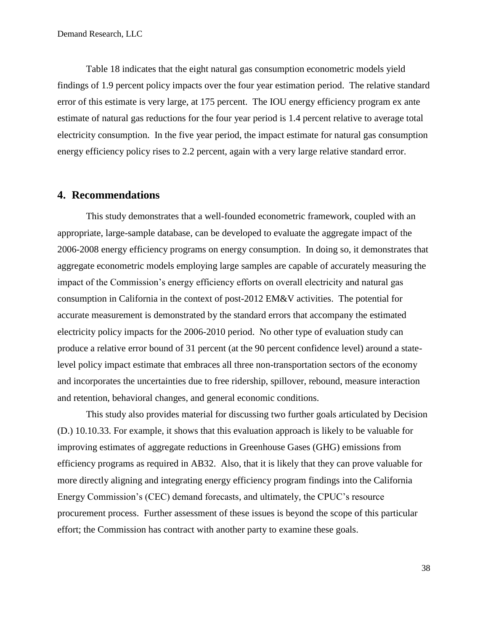Table 18 indicates that the eight natural gas consumption econometric models yield findings of 1.9 percent policy impacts over the four year estimation period. The relative standard error of this estimate is very large, at 175 percent. The IOU energy efficiency program ex ante estimate of natural gas reductions for the four year period is 1.4 percent relative to average total electricity consumption. In the five year period, the impact estimate for natural gas consumption energy efficiency policy rises to 2.2 percent, again with a very large relative standard error.

# <span id="page-37-0"></span>**4. Recommendations**

This study demonstrates that a well-founded econometric framework, coupled with an appropriate, large-sample database, can be developed to evaluate the aggregate impact of the 2006-2008 energy efficiency programs on energy consumption. In doing so, it demonstrates that aggregate econometric models employing large samples are capable of accurately measuring the impact of the Commission's energy efficiency efforts on overall electricity and natural gas consumption in California in the context of post-2012 EM&V activities. The potential for accurate measurement is demonstrated by the standard errors that accompany the estimated electricity policy impacts for the 2006-2010 period. No other type of evaluation study can produce a relative error bound of 31 percent (at the 90 percent confidence level) around a statelevel policy impact estimate that embraces all three non-transportation sectors of the economy and incorporates the uncertainties due to free ridership, spillover, rebound, measure interaction and retention, behavioral changes, and general economic conditions.

This study also provides material for discussing two further goals articulated by Decision (D.) 10.10.33. For example, it shows that this evaluation approach is likely to be valuable for improving estimates of aggregate reductions in Greenhouse Gases (GHG) emissions from efficiency programs as required in AB32. Also, that it is likely that they can prove valuable for more directly aligning and integrating energy efficiency program findings into the California Energy Commission's (CEC) demand forecasts, and ultimately, the CPUC's resource procurement process. Further assessment of these issues is beyond the scope of this particular effort; the Commission has contract with another party to examine these goals.

38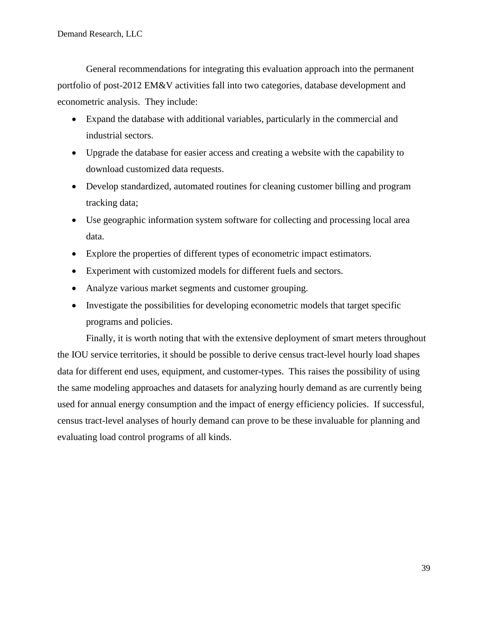General recommendations for integrating this evaluation approach into the permanent portfolio of post-2012 EM&V activities fall into two categories, database development and econometric analysis. They include:

- Expand the database with additional variables, particularly in the commercial and industrial sectors.
- Upgrade the database for easier access and creating a website with the capability to download customized data requests.
- Develop standardized, automated routines for cleaning customer billing and program tracking data;
- Use geographic information system software for collecting and processing local area data.
- Explore the properties of different types of econometric impact estimators.
- Experiment with customized models for different fuels and sectors.
- Analyze various market segments and customer grouping.
- Investigate the possibilities for developing econometric models that target specific programs and policies.

Finally, it is worth noting that with the extensive deployment of smart meters throughout the IOU service territories, it should be possible to derive census tract-level hourly load shapes data for different end uses, equipment, and customer-types. This raises the possibility of using the same modeling approaches and datasets for analyzing hourly demand as are currently being used for annual energy consumption and the impact of energy efficiency policies. If successful, census tract-level analyses of hourly demand can prove to be these invaluable for planning and evaluating load control programs of all kinds.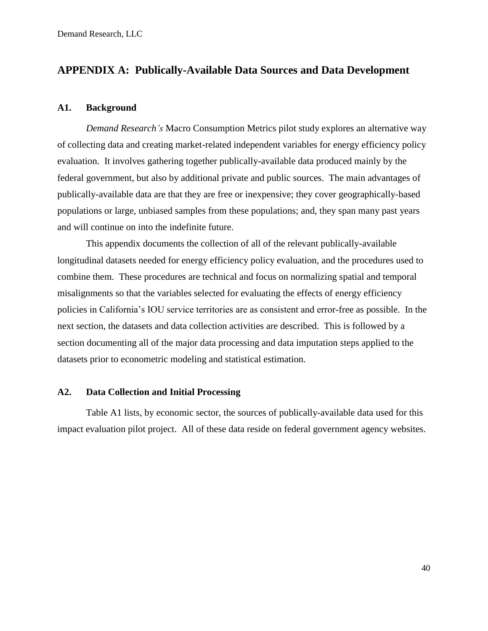# <span id="page-39-0"></span>**APPENDIX A: Publically-Available Data Sources and Data Development**

### <span id="page-39-1"></span>**A1. Background**

*Demand Research's* Macro Consumption Metrics pilot study explores an alternative way of collecting data and creating market-related independent variables for energy efficiency policy evaluation. It involves gathering together publically-available data produced mainly by the federal government, but also by additional private and public sources. The main advantages of publically-available data are that they are free or inexpensive; they cover geographically-based populations or large, unbiased samples from these populations; and, they span many past years and will continue on into the indefinite future.

This appendix documents the collection of all of the relevant publically-available longitudinal datasets needed for energy efficiency policy evaluation, and the procedures used to combine them. These procedures are technical and focus on normalizing spatial and temporal misalignments so that the variables selected for evaluating the effects of energy efficiency policies in California's IOU service territories are as consistent and error-free as possible. In the next section, the datasets and data collection activities are described. This is followed by a section documenting all of the major data processing and data imputation steps applied to the datasets prior to econometric modeling and statistical estimation.

## <span id="page-39-2"></span>**A2. Data Collection and Initial Processing**

Table A1 lists, by economic sector, the sources of publically-available data used for this impact evaluation pilot project. All of these data reside on federal government agency websites.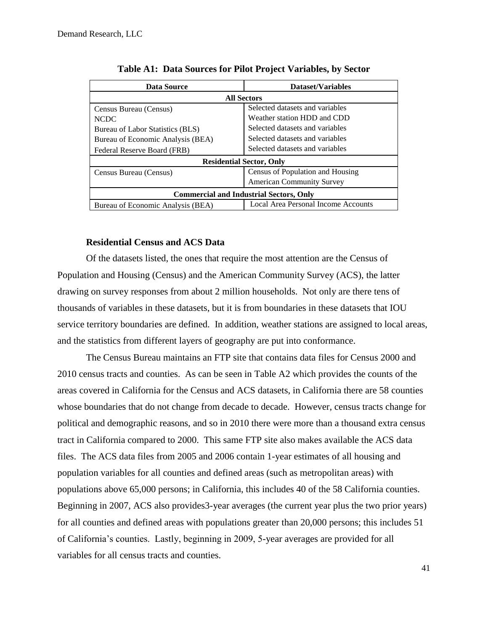| Data Source                                    | Dataset/Variables                   |  |  |  |
|------------------------------------------------|-------------------------------------|--|--|--|
|                                                | <b>All Sectors</b>                  |  |  |  |
| Census Bureau (Census)                         | Selected datasets and variables     |  |  |  |
| <b>NCDC</b>                                    | Weather station HDD and CDD         |  |  |  |
| Bureau of Labor Statistics (BLS)               | Selected datasets and variables     |  |  |  |
| Bureau of Economic Analysis (BEA)              | Selected datasets and variables     |  |  |  |
| Federal Reserve Board (FRB)                    | Selected datasets and variables     |  |  |  |
| <b>Residential Sector, Only</b>                |                                     |  |  |  |
| Census Bureau (Census)                         | Census of Population and Housing    |  |  |  |
|                                                | <b>American Community Survey</b>    |  |  |  |
| <b>Commercial and Industrial Sectors, Only</b> |                                     |  |  |  |
| Bureau of Economic Analysis (BEA)              | Local Area Personal Income Accounts |  |  |  |

## **Residential Census and ACS Data**

Of the datasets listed, the ones that require the most attention are the Census of Population and Housing (Census) and the American Community Survey (ACS), the latter drawing on survey responses from about 2 million households. Not only are there tens of thousands of variables in these datasets, but it is from boundaries in these datasets that IOU service territory boundaries are defined. In addition, weather stations are assigned to local areas, and the statistics from different layers of geography are put into conformance.

The Census Bureau maintains an FTP site that contains data files for Census 2000 and 2010 census tracts and counties. As can be seen in Table A2 which provides the counts of the areas covered in California for the Census and ACS datasets, in California there are 58 counties whose boundaries that do not change from decade to decade. However, census tracts change for political and demographic reasons, and so in 2010 there were more than a thousand extra census tract in California compared to 2000. This same FTP site also makes available the ACS data files. The ACS data files from 2005 and 2006 contain 1-year estimates of all housing and population variables for all counties and defined areas (such as metropolitan areas) with populations above 65,000 persons; in California, this includes 40 of the 58 California counties. Beginning in 2007, ACS also provides 3-year averages (the current year plus the two prior years) for all counties and defined areas with populations greater than 20,000 persons; this includes 51 of California's counties. Lastly, beginning in 2009, 5-year averages are provided for all variables for all census tracts and counties.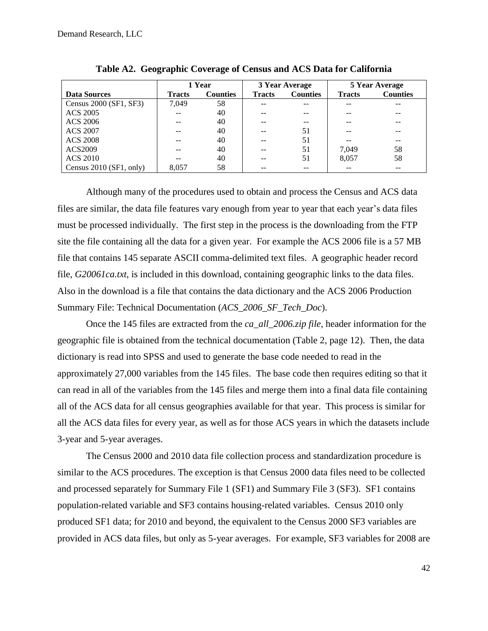|                         | 1 Year        |                 | 3 Year Average |                 | 5 Year Average |                 |
|-------------------------|---------------|-----------------|----------------|-----------------|----------------|-----------------|
| <b>Data Sources</b>     | <b>Tracts</b> | <b>Counties</b> | <b>Tracts</b>  | <b>Counties</b> | <b>Tracts</b>  | <b>Counties</b> |
| Census 2000 (SF1, SF3)  | 7.049         | 58              |                |                 |                |                 |
| <b>ACS 2005</b>         |               | 40              |                |                 |                |                 |
| <b>ACS 2006</b>         |               | 40              |                |                 |                |                 |
| <b>ACS 2007</b>         |               | 40              |                | 51              |                |                 |
| <b>ACS 2008</b>         |               | 40              |                | 51              |                |                 |
| ACS2009                 |               | 40              |                | 51              | 7,049          | 58              |
| <b>ACS 2010</b>         |               | 40              |                | 51              | 8.057          | 58              |
| Census 2010 (SF1, only) | 8.057         | 58              |                | --              |                |                 |

**Table A2. Geographic Coverage of Census and ACS Data for California**

Although many of the procedures used to obtain and process the Census and ACS data files are similar, the data file features vary enough from year to year that each year's data files must be processed individually. The first step in the process is the downloading from the FTP site the file containing all the data for a given year. For example the ACS 2006 file is a 57 MB file that contains 145 separate ASCII comma-delimited text files. A geographic header record file, *G20061ca.txt*, is included in this download, containing geographic links to the data files. Also in the download is a file that contains the data dictionary and the ACS 2006 Production Summary File: Technical Documentation (*ACS\_2006\_SF\_Tech\_Doc*).

Once the 145 files are extracted from the *ca\_all\_2006.zip file*, header information for the geographic file is obtained from the technical documentation (Table 2, page 12). Then, the data dictionary is read into SPSS and used to generate the base code needed to read in the approximately 27,000 variables from the 145 files. The base code then requires editing so that it can read in all of the variables from the 145 files and merge them into a final data file containing all of the ACS data for all census geographies available for that year. This process is similar for all the ACS data files for every year, as well as for those ACS years in which the datasets include 3-year and 5-year averages.

The Census 2000 and 2010 data file collection process and standardization procedure is similar to the ACS procedures. The exception is that Census 2000 data files need to be collected and processed separately for Summary File 1 (SF1) and Summary File 3 (SF3). SF1 contains population-related variable and SF3 contains housing-related variables. Census 2010 only produced SF1 data; for 2010 and beyond, the equivalent to the Census 2000 SF3 variables are provided in ACS data files, but only as 5-year averages. For example, SF3 variables for 2008 are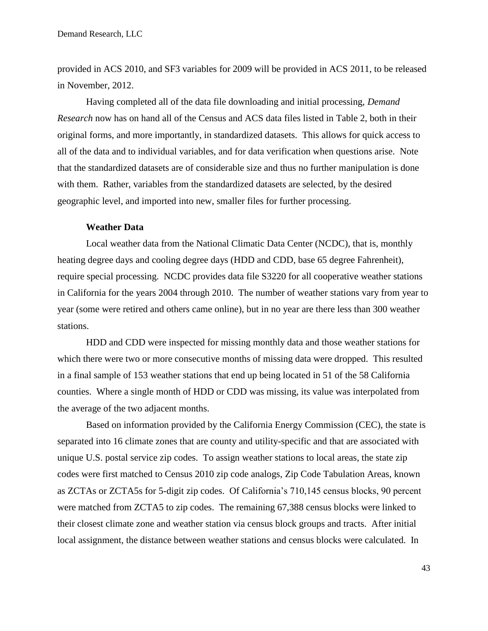provided in ACS 2010, and SF3 variables for 2009 will be provided in ACS 2011, to be released in November, 2012.

Having completed all of the data file downloading and initial processing, *Demand Research* now has on hand all of the Census and ACS data files listed in Table 2, both in their original forms, and more importantly, in standardized datasets. This allows for quick access to all of the data and to individual variables, and for data verification when questions arise. Note that the standardized datasets are of considerable size and thus no further manipulation is done with them. Rather, variables from the standardized datasets are selected, by the desired geographic level, and imported into new, smaller files for further processing.

#### **Weather Data**

Local weather data from the National Climatic Data Center (NCDC), that is, monthly heating degree days and cooling degree days (HDD and CDD, base 65 degree Fahrenheit), require special processing. NCDC provides data file S3220 for all cooperative weather stations in California for the years 2004 through 2010. The number of weather stations vary from year to year (some were retired and others came online), but in no year are there less than 300 weather stations.

HDD and CDD were inspected for missing monthly data and those weather stations for which there were two or more consecutive months of missing data were dropped. This resulted in a final sample of 153 weather stations that end up being located in 51 of the 58 California counties. Where a single month of HDD or CDD was missing, its value was interpolated from the average of the two adjacent months.

Based on information provided by the California Energy Commission (CEC), the state is separated into 16 climate zones that are county and utility-specific and that are associated with unique U.S. postal service zip codes. To assign weather stations to local areas, the state zip codes were first matched to Census 2010 zip code analogs, Zip Code Tabulation Areas, known as ZCTAs or ZCTA5s for 5-digit zip codes. Of California's 710,145 census blocks, 90 percent were matched from ZCTA5 to zip codes. The remaining 67,388 census blocks were linked to their closest climate zone and weather station via census block groups and tracts. After initial local assignment, the distance between weather stations and census blocks were calculated. In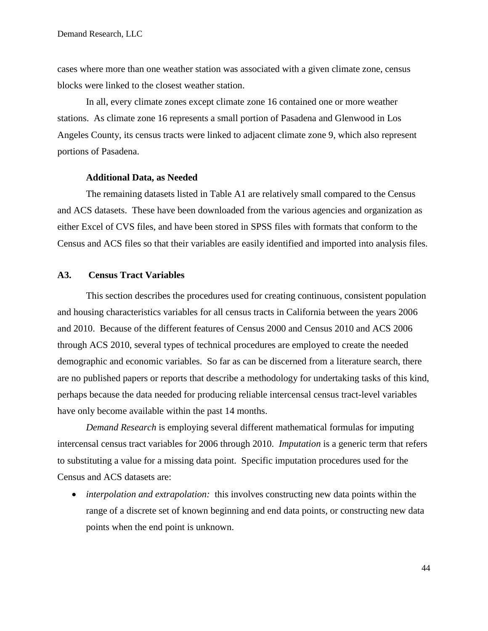cases where more than one weather station was associated with a given climate zone, census blocks were linked to the closest weather station.

In all, every climate zones except climate zone 16 contained one or more weather stations. As climate zone 16 represents a small portion of Pasadena and Glenwood in Los Angeles County, its census tracts were linked to adjacent climate zone 9, which also represent portions of Pasadena.

#### **Additional Data, as Needed**

The remaining datasets listed in Table A1 are relatively small compared to the Census and ACS datasets. These have been downloaded from the various agencies and organization as either Excel of CVS files, and have been stored in SPSS files with formats that conform to the Census and ACS files so that their variables are easily identified and imported into analysis files.

#### <span id="page-43-0"></span>**A3. Census Tract Variables**

This section describes the procedures used for creating continuous, consistent population and housing characteristics variables for all census tracts in California between the years 2006 and 2010. Because of the different features of Census 2000 and Census 2010 and ACS 2006 through ACS 2010, several types of technical procedures are employed to create the needed demographic and economic variables. So far as can be discerned from a literature search, there are no published papers or reports that describe a methodology for undertaking tasks of this kind, perhaps because the data needed for producing reliable intercensal census tract-level variables have only become available within the past 14 months.

*Demand Research* is employing several different mathematical formulas for imputing intercensal census tract variables for 2006 through 2010. *Imputation* is a generic term that refers to substituting a value for a missing data point. Specific imputation procedures used for the Census and ACS datasets are:

 *interpolation and extrapolation:* this involves constructing new data points within the range of a discrete set of known beginning and end data points, or constructing new data points when the end point is unknown.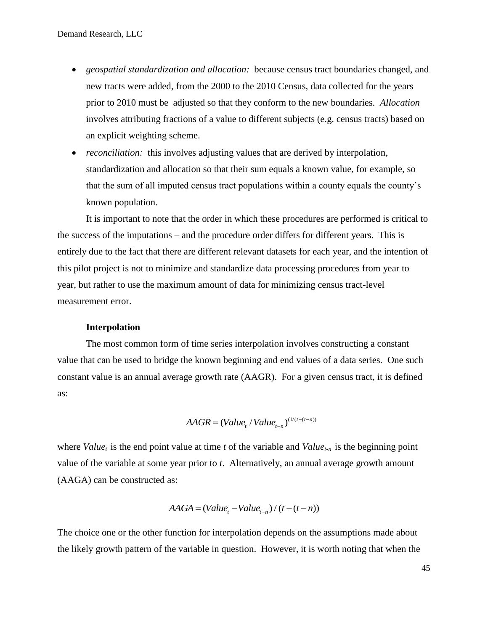- *geospatial standardization and allocation:* because census tract boundaries changed, and new tracts were added, from the 2000 to the 2010 Census, data collected for the years prior to 2010 must be adjusted so that they conform to the new boundaries. *Allocation* involves attributing fractions of a value to different subjects (e.g. census tracts) based on an explicit weighting scheme.
- *reconciliation:* this involves adjusting values that are derived by interpolation, standardization and allocation so that their sum equals a known value, for example, so that the sum of all imputed census tract populations within a county equals the county's known population.

It is important to note that the order in which these procedures are performed is critical to the success of the imputations – and the procedure order differs for different years. This is entirely due to the fact that there are different relevant datasets for each year, and the intention of this pilot project is not to minimize and standardize data processing procedures from year to year, but rather to use the maximum amount of data for minimizing census tract-level measurement error.

#### **Interpolation**

The most common form of time series interpolation involves constructing a constant value that can be used to bridge the known beginning and end values of a data series. One such constant value is an annual average growth rate (AAGR). For a given census tract, it is defined as:

$$
AAGR = (Value_{t}/Value_{t-n})^{(1/(t-(t-n))}
$$

where *Value<sub>t</sub>* is the end point value at time *t* of the variable and *Value*<sub>*t-n*</sub> is the beginning point value of the variable at some year prior to *t*. Alternatively, an annual average growth amount (AAGA) can be constructed as:

$$
AAGA = (Valuet - Valuet-n) / (t - (t - n))
$$

The choice one or the other function for interpolation depends on the assumptions made about the likely growth pattern of the variable in question. However, it is worth noting that when the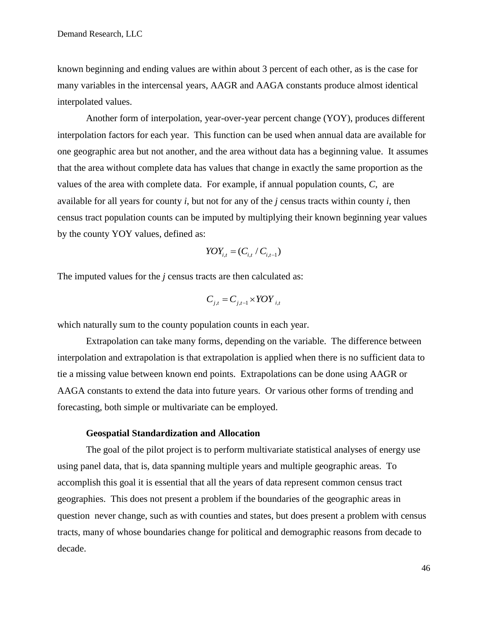known beginning and ending values are within about 3 percent of each other, as is the case for many variables in the intercensal years, AAGR and AAGA constants produce almost identical interpolated values.

Another form of interpolation, year-over-year percent change (YOY), produces different interpolation factors for each year. This function can be used when annual data are available for one geographic area but not another, and the area without data has a beginning value. It assumes that the area without complete data has values that change in exactly the same proportion as the values of the area with complete data. For example, if annual population counts, *C*, are available for all years for county *i*, but not for any of the *j* census tracts within county *i*, then census tract population counts can be imputed by multiplying their known beginning year values by the county YOY values, defined as:

$$
YOY_{i,t} = (C_{i,t} / C_{i,t-1})
$$

The imputed values for the *j* census tracts are then calculated as:

$$
C_{j,t} = C_{j,t-1} \times \text{YOY}_{i,t}
$$

which naturally sum to the county population counts in each year.

Extrapolation can take many forms, depending on the variable. The difference between interpolation and extrapolation is that extrapolation is applied when there is no sufficient data to tie a missing value between known end points. Extrapolations can be done using AAGR or AAGA constants to extend the data into future years. Or various other forms of trending and forecasting, both simple or multivariate can be employed.

#### **Geospatial Standardization and Allocation**

The goal of the pilot project is to perform multivariate statistical analyses of energy use using panel data, that is, data spanning multiple years and multiple geographic areas. To accomplish this goal it is essential that all the years of data represent common census tract geographies. This does not present a problem if the boundaries of the geographic areas in question never change, such as with counties and states, but does present a problem with census tracts, many of whose boundaries change for political and demographic reasons from decade to decade.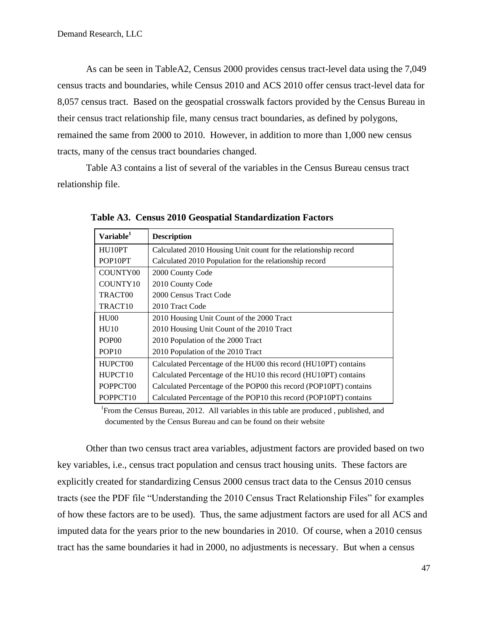As can be seen in TableA2, Census 2000 provides census tract-level data using the 7,049 census tracts and boundaries, while Census 2010 and ACS 2010 offer census tract-level data for 8,057 census tract. Based on the geospatial crosswalk factors provided by the Census Bureau in their census tract relationship file, many census tract boundaries, as defined by polygons, remained the same from 2000 to 2010. However, in addition to more than 1,000 new census tracts, many of the census tract boundaries changed.

Table A3 contains a list of several of the variables in the Census Bureau census tract relationship file.

| Variable <sup>1</sup> | <b>Description</b>                                                |
|-----------------------|-------------------------------------------------------------------|
| HU10PT                | Calculated 2010 Housing Unit count for the relationship record    |
| POP10PT               | Calculated 2010 Population for the relationship record            |
| COUNTY00              | 2000 County Code                                                  |
| COUNTY10              | 2010 County Code                                                  |
| TRACT00               | 2000 Census Tract Code                                            |
| TRACT <sub>10</sub>   | 2010 Tract Code                                                   |
| HU00                  | 2010 Housing Unit Count of the 2000 Tract                         |
| H <sub>U10</sub>      | 2010 Housing Unit Count of the 2010 Tract                         |
| POP <sub>00</sub>     | 2010 Population of the 2000 Tract                                 |
| POP <sub>10</sub>     | 2010 Population of the 2010 Tract                                 |
| HUPCT00               | Calculated Percentage of the HU00 this record (HU10PT) contains   |
| HUPCT <sub>10</sub>   | Calculated Percentage of the HU10 this record (HU10PT) contains   |
| POPPCT00              | Calculated Percentage of the POP00 this record (POP10PT) contains |
| POPPCT <sub>10</sub>  | Calculated Percentage of the POP10 this record (POP10PT) contains |

**Table A3. Census 2010 Geospatial Standardization Factors**

<sup>1</sup> From the Census Bureau, 2012. All variables in this table are produced, published, and documented by the Census Bureau and can be found on their website

Other than two census tract area variables, adjustment factors are provided based on two key variables, i.e., census tract population and census tract housing units. These factors are explicitly created for standardizing Census 2000 census tract data to the Census 2010 census tracts (see the PDF file "Understanding the 2010 Census Tract Relationship Files" for examples of how these factors are to be used). Thus, the same adjustment factors are used for all ACS and imputed data for the years prior to the new boundaries in 2010. Of course, when a 2010 census tract has the same boundaries it had in 2000, no adjustments is necessary. But when a census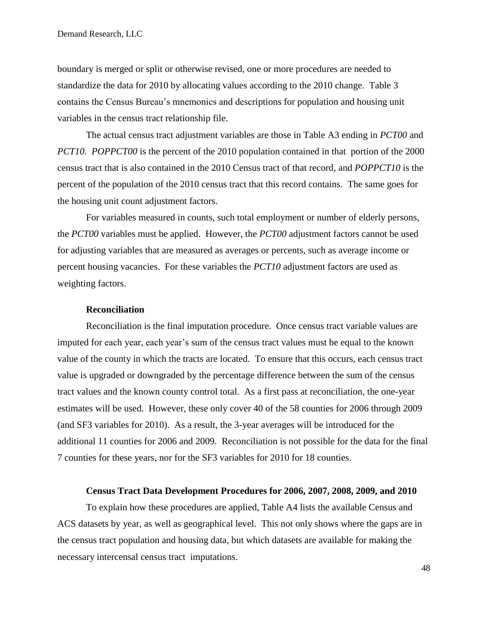boundary is merged or split or otherwise revised, one or more procedures are needed to standardize the data for 2010 by allocating values according to the 2010 change. Table 3 contains the Census Bureau's mnemonics and descriptions for population and housing unit variables in the census tract relationship file.

The actual census tract adjustment variables are those in Table A3 ending in *PCT00* and *PCT10. POPPCT00* is the percent of the 2010 population contained in that portion of the 2000 census tract that is also contained in the 2010 Census tract of that record, and *POPPCT10* is the percent of the population of the 2010 census tract that this record contains. The same goes for the housing unit count adjustment factors.

For variables measured in counts, such total employment or number of elderly persons, the *PCT00* variables must be applied. However, the *PCT00* adjustment factors cannot be used for adjusting variables that are measured as averages or percents, such as average income or percent housing vacancies. For these variables the *PCT10* adjustment factors are used as weighting factors.

#### **Reconciliation**

Reconciliation is the final imputation procedure. Once census tract variable values are imputed for each year, each year's sum of the census tract values must be equal to the known value of the county in which the tracts are located. To ensure that this occurs, each census tract value is upgraded or downgraded by the percentage difference between the sum of the census tract values and the known county control total. As a first pass at reconciliation, the one-year estimates will be used. However, these only cover 40 of the 58 counties for 2006 through 2009 (and SF3 variables for 2010). As a result, the 3-year averages will be introduced for the additional 11 counties for 2006 and 2009. Reconciliation is not possible for the data for the final 7 counties for these years, nor for the SF3 variables for 2010 for 18 counties.

#### **Census Tract Data Development Procedures for 2006, 2007, 2008, 2009, and 2010**

To explain how these procedures are applied, Table A4 lists the available Census and ACS datasets by year, as well as geographical level. This not only shows where the gaps are in the census tract population and housing data, but which datasets are available for making the necessary intercensal census tract imputations.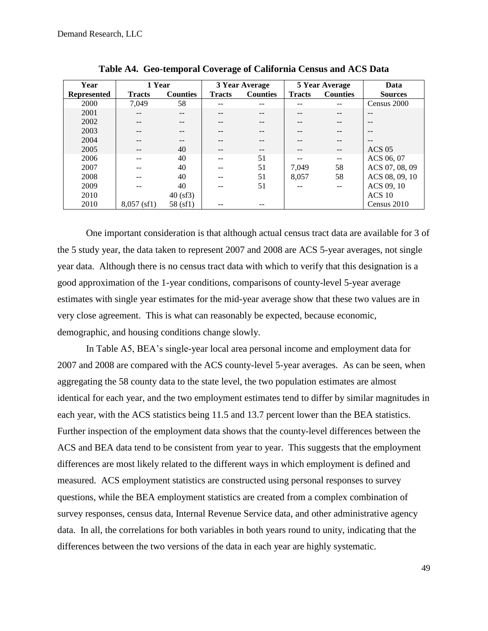| Year               | 1 Year        |                 |               | 3 Year Average  |               | <b>5 Year Average</b> | Data           |
|--------------------|---------------|-----------------|---------------|-----------------|---------------|-----------------------|----------------|
| <b>Represented</b> | <b>Tracts</b> | <b>Counties</b> | <b>Tracts</b> | <b>Counties</b> | <b>Tracts</b> | <b>Counties</b>       | <b>Sources</b> |
| 2000               | 7.049         | 58              |               |                 |               |                       | Census 2000    |
| 2001               |               |                 |               |                 |               |                       |                |
| 2002               |               |                 |               |                 |               |                       | $- -$          |
| 2003               |               |                 |               |                 |               |                       |                |
| 2004               |               |                 |               |                 |               |                       | $ -$           |
| 2005               |               | 40              |               |                 |               |                       | $ACS$ 05       |
| 2006               |               | 40              |               | 51              |               |                       | ACS 06, 07     |
| 2007               |               | 40              |               | 51              | 7,049         | 58                    | ACS 07, 08, 09 |
| 2008               |               | 40              |               | 51              | 8,057         | 58                    | ACS 08, 09, 10 |
| 2009               |               | 40              |               | 51              |               |                       | ACS 09, 10     |
| 2010               |               | 40 (sf3)        |               |                 |               |                       | $ACS$ 10       |
| 2010               | $8,057$ (sf1) | 58 (sf1)        |               |                 |               |                       | Census 2010    |

**Table A4. Geo-temporal Coverage of California Census and ACS Data**

One important consideration is that although actual census tract data are available for 3 of the 5 study year, the data taken to represent 2007 and 2008 are ACS 5-year averages, not single year data. Although there is no census tract data with which to verify that this designation is a good approximation of the 1-year conditions, comparisons of county-level 5-year average estimates with single year estimates for the mid-year average show that these two values are in very close agreement. This is what can reasonably be expected, because economic, demographic, and housing conditions change slowly.

In Table A5, BEA's single-year local area personal income and employment data for 2007 and 2008 are compared with the ACS county-level 5-year averages. As can be seen, when aggregating the 58 county data to the state level, the two population estimates are almost identical for each year, and the two employment estimates tend to differ by similar magnitudes in each year, with the ACS statistics being 11.5 and 13.7 percent lower than the BEA statistics. Further inspection of the employment data shows that the county-level differences between the ACS and BEA data tend to be consistent from year to year. This suggests that the employment differences are most likely related to the different ways in which employment is defined and measured. ACS employment statistics are constructed using personal responses to survey questions, while the BEA employment statistics are created from a complex combination of survey responses, census data, Internal Revenue Service data, and other administrative agency data. In all, the correlations for both variables in both years round to unity, indicating that the differences between the two versions of the data in each year are highly systematic.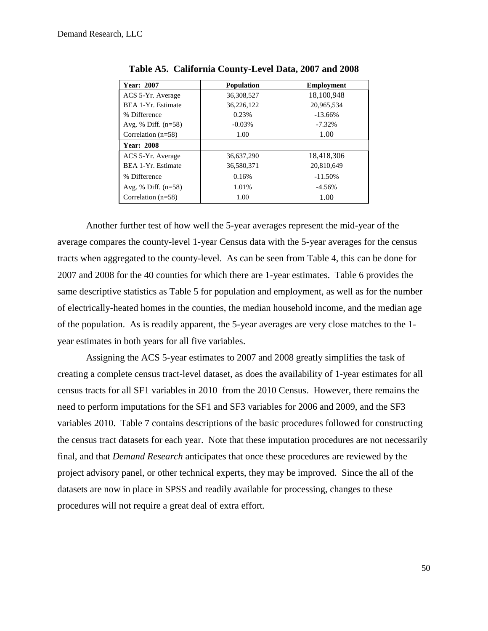| Year: 2007            | <b>Population</b> | <b>Employment</b> |
|-----------------------|-------------------|-------------------|
| ACS 5-Yr. Average     | 36,308,527        | 18,100,948        |
| BEA 1-Yr. Estimate    | 36,226,122        | 20,965,534        |
| % Difference          | 0.23%             | $-13.66\%$        |
| Avg. % Diff. $(n=58)$ | $-0.03%$          | $-7.32\%$         |
| Correlation $(n=58)$  | 1.00              | 1.00              |
| <b>Year: 2008</b>     |                   |                   |
| ACS 5-Yr. Average     | 36,637,290        | 18,418,306        |
| BEA 1-Yr. Estimate    | 36,580,371        | 20,810,649        |
| % Difference          | 0.16%             | $-11.50\%$        |
| Avg. % Diff. $(n=58)$ | 1.01%             | $-4.56\%$         |
| Correlation $(n=58)$  | 1.00              | 1.00              |

**Table A5. California County-Level Data, 2007 and 2008**

Another further test of how well the 5-year averages represent the mid-year of the average compares the county-level 1-year Census data with the 5-year averages for the census tracts when aggregated to the county-level. As can be seen from Table 4, this can be done for 2007 and 2008 for the 40 counties for which there are 1-year estimates. Table 6 provides the same descriptive statistics as Table 5 for population and employment, as well as for the number of electrically-heated homes in the counties, the median household income, and the median age of the population. As is readily apparent, the 5-year averages are very close matches to the 1 year estimates in both years for all five variables.

Assigning the ACS 5-year estimates to 2007 and 2008 greatly simplifies the task of creating a complete census tract-level dataset, as does the availability of 1-year estimates for all census tracts for all SF1 variables in 2010 from the 2010 Census. However, there remains the need to perform imputations for the SF1 and SF3 variables for 2006 and 2009, and the SF3 variables 2010. Table 7 contains descriptions of the basic procedures followed for constructing the census tract datasets for each year. Note that these imputation procedures are not necessarily final, and that *Demand Research* anticipates that once these procedures are reviewed by the project advisory panel, or other technical experts, they may be improved. Since the all of the datasets are now in place in SPSS and readily available for processing, changes to these procedures will not require a great deal of extra effort.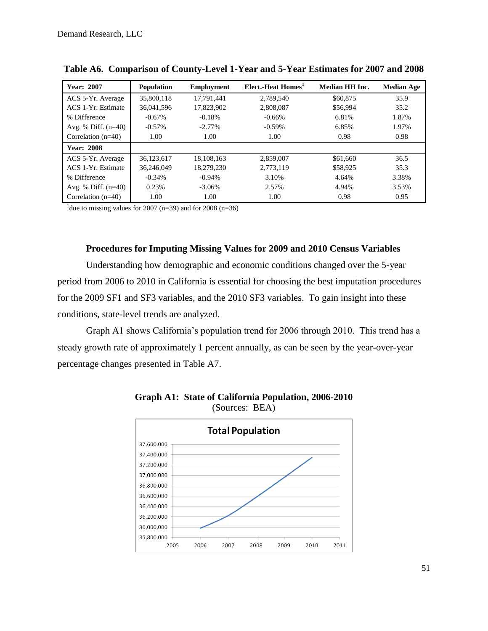| <b>Year: 2007</b>     | <b>Population</b> | <b>Employment</b> | Elect.-Heat Homes <sup>1</sup> | <b>Median HH Inc.</b> | <b>Median Age</b> |
|-----------------------|-------------------|-------------------|--------------------------------|-----------------------|-------------------|
| ACS 5-Yr. Average     | 35,800,118        | 17,791,441        | 2,789,540                      | \$60,875              | 35.9              |
| ACS 1-Yr. Estimate    | 36,041,596        | 17,823,902        | 2,808,087                      | \$56,994              | 35.2              |
| % Difference          | $-0.67\%$         | $-0.18%$          | $-0.66%$                       | 6.81%                 | 1.87%             |
| Avg. % Diff. $(n=40)$ | $-0.57\%$         | $-2.77\%$         | $-0.59%$                       | 6.85%                 | 1.97%             |
| Correlation $(n=40)$  | 1.00              | 1.00              | 1.00                           | 0.98                  | 0.98              |
| <b>Year: 2008</b>     |                   |                   |                                |                       |                   |
| ACS 5-Yr. Average     | 36.123.617        | 18.108.163        | 2,859,007                      | \$61,660              | 36.5              |
| ACS 1-Yr. Estimate    | 36.246.049        | 18.279.230        | 2.773.119                      | \$58,925              | 35.3              |
| % Difference          | $-0.34%$          | $-0.94%$          | 3.10%                          | 4.64%                 | 3.38%             |
| Avg. % Diff. $(n=40)$ | 0.23%             | $-3.06\%$         | 2.57%                          | 4.94%                 | 3.53%             |
| Correlation $(n=40)$  | 1.00              | 1.00              | 1.00                           | 0.98                  | 0.95              |

**Table A6. Comparison of County-Level 1-Year and 5-Year Estimates for 2007 and 2008**

<sup>1</sup> due to missing values for 2007 (n=39) and for 2008 (n=36)

#### **Procedures for Imputing Missing Values for 2009 and 2010 Census Variables**

Understanding how demographic and economic conditions changed over the 5-year period from 2006 to 2010 in California is essential for choosing the best imputation procedures for the 2009 SF1 and SF3 variables, and the 2010 SF3 variables. To gain insight into these conditions, state-level trends are analyzed.

Graph A1 shows California's population trend for 2006 through 2010. This trend has a steady growth rate of approximately 1 percent annually, as can be seen by the year-over-year percentage changes presented in Table A7.



**Graph A1: State of California Population, 2006-2010**  (Sources: BEA)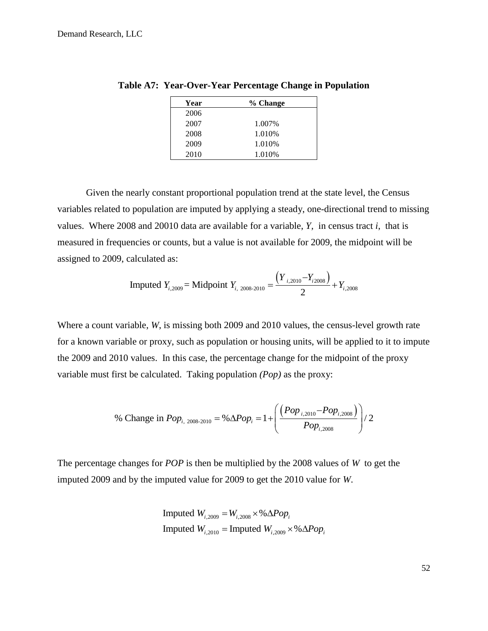| Year | % Change |
|------|----------|
| 2006 |          |
| 2007 | 1.007%   |
| 2008 | 1.010\%  |
| 2009 | 1.010\%  |
| 2010 | 1.010%   |

**Table A7: Year-Over-Year Percentage Change in Population**

Given the nearly constant proportional population trend at the state level, the Census variables related to population are imputed by applying a steady, one-directional trend to missing values. Where 2008 and 20010 data are available for a variable, *Y,* in census tract *i*, that is measured in frequencies or counts, but a value is not available for 2009, the midpoint will be assigned to 2009, calculated as:

calculated as:  
Imputed 
$$
Y_{i,2009}
$$
 = Midpoint  $Y_{i,2008-2010} = \frac{(Y_{i,2010} - Y_{i2008})}{2} + Y_{i,2008}$ 

Where a count variable, *W*, is missing both 2009 and 2010 values, the census-level growth rate for a known variable or proxy, such as population or housing units, will be applied to it to impute the 2009 and 2010 values. In this case, the percentage change for the midpoint of the proxy variable must first be calculated. Taking population *(Pop)* as the proxy:

$$
\% \text{ Change in } Pop_{i, 2008-2010} = \% \Delta Pop_i = 1 + \left( \frac{(Pop_{i, 2010} - Pop_{i, 2008})}{Pop_{i, 2008}} \right) / 2
$$

The percentage changes for *POP* is then be multiplied by the 2008 values of *W* to get the imputed 2009 and by the imputed value for 2009 to get the 2010 value for *W*.

Imputed 
$$
W_{i,2009} = W_{i,2008} \times \% \Delta Pop_i
$$

\nImputed  $W_{i,2010} = \text{Imputed } W_{i,2009} \times \% \Delta Pop_i$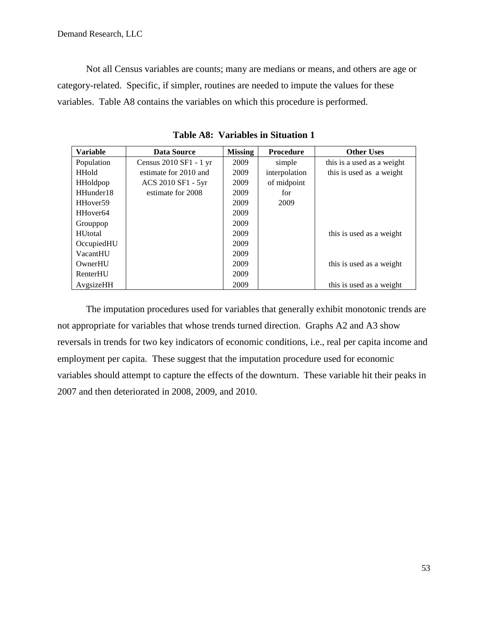Not all Census variables are counts; many are medians or means, and others are age or category-related. Specific, if simpler, routines are needed to impute the values for these variables. Table A8 contains the variables on which this procedure is performed.

| <b>Variable</b>      | Data Source            | <b>Missing</b> | <b>Procedure</b> | <b>Other Uses</b>          |
|----------------------|------------------------|----------------|------------------|----------------------------|
| Population           | Census 2010 SF1 - 1 yr | 2009           | simple           | this is a used as a weight |
| <b>HHold</b>         | estimate for 2010 and  | 2009           | interpolation    | this is used as a weight   |
| <b>HHoldpop</b>      | ACS 2010 SF1 - 5yr     | 2009           | of midpoint      |                            |
| HHunder18            | estimate for 2008      | 2009           | for              |                            |
| HHover <sub>59</sub> |                        | 2009           | 2009             |                            |
| HHover <sub>64</sub> |                        | 2009           |                  |                            |
| Grouppop             |                        | 2009           |                  |                            |
| <b>HU</b> total      |                        | 2009           |                  | this is used as a weight   |
| OccupiedHU           |                        | 2009           |                  |                            |
| VacantHU             |                        | 2009           |                  |                            |
| OwnerHU              |                        | 2009           |                  | this is used as a weight   |
| RenterHU             |                        | 2009           |                  |                            |
| AvgsizeHH            |                        | 2009           |                  | this is used as a weight   |

**Table A8: Variables in Situation 1**

The imputation procedures used for variables that generally exhibit monotonic trends are not appropriate for variables that whose trends turned direction. Graphs A2 and A3 show reversals in trends for two key indicators of economic conditions, i.e., real per capita income and employment per capita. These suggest that the imputation procedure used for economic variables should attempt to capture the effects of the downturn. These variable hit their peaks in 2007 and then deteriorated in 2008, 2009, and 2010.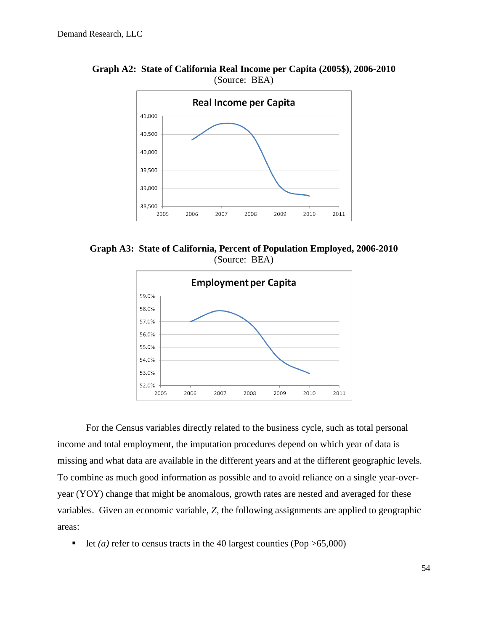

**Graph A2: State of California Real Income per Capita (2005\$), 2006-2010** (Source: BEA)

**Graph A3: State of California, Percent of Population Employed, 2006-2010** (Source: BEA)



For the Census variables directly related to the business cycle, such as total personal income and total employment, the imputation procedures depend on which year of data is missing and what data are available in the different years and at the different geographic levels. To combine as much good information as possible and to avoid reliance on a single year-overyear (YOY) change that might be anomalous, growth rates are nested and averaged for these variables. Given an economic variable, *Z*, the following assignments are applied to geographic areas:

let *(a)* refer to census tracts in the 40 largest counties (Pop  $>65,000$ )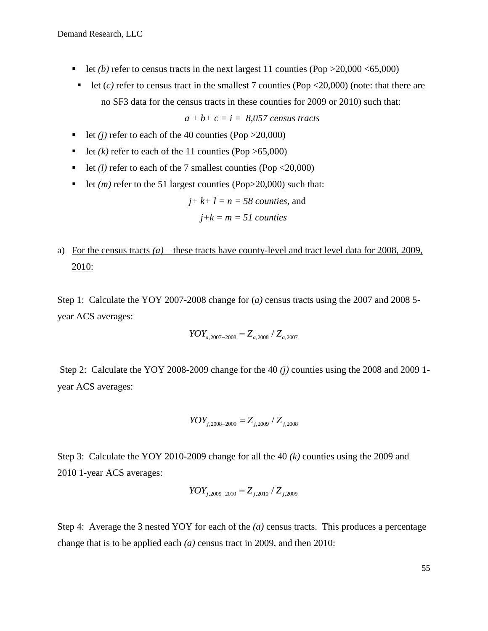- let *(b)* refer to census tracts in the next largest 11 counties (Pop  $>20,000 < 65,000$ )
- let  $(c)$  refer to census tract in the smallest 7 counties (Pop <20,000) (note: that there are no SF3 data for the census tracts in these counties for 2009 or 2010) such that:

*a + b+ c = i = 8,057 census tracts*

- let *(j)* refer to each of the 40 counties (Pop  $>20,000$ )
- let  $(k)$  refer to each of the 11 counties (Pop  $>65,000$ )
- let *(l)* refer to each of the 7 smallest counties (Pop  $\langle 20,000 \rangle$
- let  $(m)$  refer to the 51 largest counties (Pop $>20,000$ ) such that:

$$
j
$$
+ $k$ + $l$  =  $n$  = 58 *counties*, and

$$
j+k = m = 51
$$
 *counties*

a) For the census tracts  $(a)$  – these tracts have county-level and tract level data for 2008, 2009, 2010:

Step 1: Calculate the YOY 2007-2008 change for (*a)* census tracts using the 2007 and 2008 5 year ACS averages:

$$
YOY_{a,2007-2008} = Z_{a,2008} / Z_{a,2007}
$$

Step 2: Calculate the YOY 2008-2009 change for the 40 *(j)* counties using the 2008 and 2009 1 year ACS averages:

$$
YOY_{j,2008-2009} = Z_{j,2009} / Z_{j,2008}
$$

Step 3: Calculate the YOY 2010-2009 change for all the 40 *(k)* counties using the 2009 and 2010 1-year ACS averages:

$$
YOY_{j,2009-2010} = Z_{j,2010} / Z_{j,2009}
$$

Step 4: Average the 3 nested YOY for each of the *(a)* census tracts. This produces a percentage change that is to be applied each *(a)* census tract in 2009, and then 2010: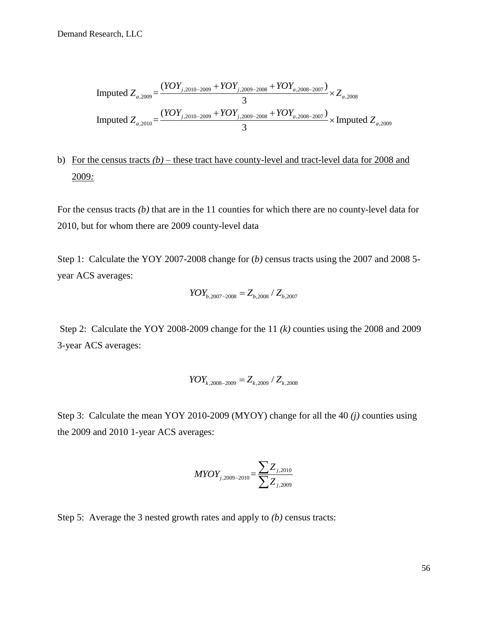Imputed 
$$
Z_{a,2009} = \frac{(YOY_{j,2010-2009} + YOY_{j,2009-2008} + YOY_{a,2008-2007})}{3} \times Z_{a,2008}
$$

\nImputed  $Z_{a,2010} = \frac{(YOY_{j,2010-2009} + YOY_{j,2009-2008} + YOY_{a,2008-2007})}{3} \times$ 

\nImputed  $Z_{a,2009}$ 

# b) For the census tracts *(b) –* these tract have county-level and tract-level data for 2008 and 2009*:*

For the census tracts *(b)* that are in the 11 counties for which there are no county-level data for 2010, but for whom there are 2009 county-level data

Step 1: Calculate the YOY 2007-2008 change for (*b*) census tracts using the 2007 and 2008 5year ACS averages:

$$
YOY_{b,2007-2008} = Z_{b,2008} / Z_{b,2007}
$$

Step 2: Calculate the YOY 2008-2009 change for the 11 *(k)* counties using the 2008 and 2009 3-year ACS averages:

$$
YOY_{k,2008-2009} = Z_{k,2009} / Z_{k,2008}
$$

Step 3: Calculate the mean YOY 2010-2009 (MYOY) change for all the 40 *(j)* counties using the 2009 and 2010 1-year ACS averages:

$$
MYOY_{j,2009-2010} = \frac{\sum Z_{j,2010}}{\sum Z_{j,2009}}
$$

Step 5: Average the 3 nested growth rates and apply to *(b)* census tracts: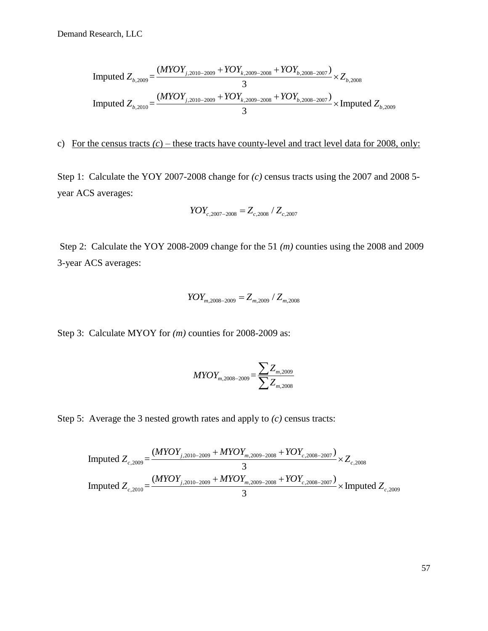Research, LLC

\n
$$
\text{Inputed } Z_{b,2009} = \frac{(MYOY_{j,2010-2009} + YOY_{k,2009-2008} + YOY_{b,2008-2007})}{3} \times Z_{b,2008}
$$
\n
$$
\text{Inputed } Z_{b,2010} = \frac{(MYOY_{j,2010-2009} + YOY_{k,2009-2008} + YOY_{b,2008-2007})}{3} \times \text{Inputed } Z_{b,2009}
$$

# c) For the census tracts  $(c)$  – these tracts have county-level and tract level data for 2008, only:

Step 1: Calculate the YOY 2007-2008 change for *(c)* census tracts using the 2007 and 2008 5 year ACS averages:

$$
YOY_{c,2007-2008} = Z_{c,2008} / Z_{c,2007}
$$

Step 2: Calculate the YOY 2008-2009 change for the 51 *(m)* counties using the 2008 and 2009 3-year ACS averages:

$$
YOY_{m,2008-2009} = Z_{m,2009} / Z_{m,2008}
$$

Step 3: Calculate MYOY for  $(m)$  counties for 2008-2009 as:

$$
MYOY_{m,2008-2009} = \frac{\sum Z_{m,2009}}{\sum Z_{m,2008}}
$$

Step 5: Average the 3 nested growth rates and apply to (*c*) census tracts:  
\nImputed 
$$
Z_{c,2009} = \frac{(MYOY_{j,2010-2009} + MYOY_{m,2009-2008} + YOY_{c,2008-2007})}{3} \times Z_{c,2008}
$$
  
\nImputed  $Z_{c,2010} = \frac{(MYOY_{j,2010-2009} + MYOY_{m,2009-2008} + YOY_{c,2008-2007})}{3} \times$ Imputed  $Z_{c,2009}$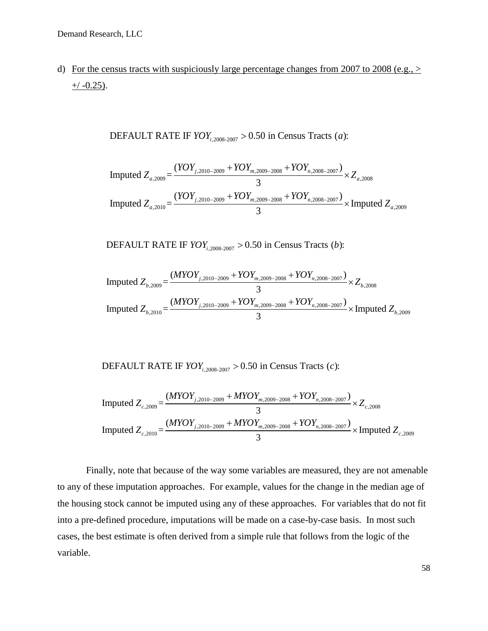d) For the census tracts with suspiciously large percentage changes from 2007 to 2008 (e.g.,  $>$  $+/-0.25$ ).

> DEFAULT RATE IF  $\textit{YOY}_{i,2008-2007} > 0.50$  in Census Tracts (*a*): *YOY*<sub>*i*,2008-2007</sub> > 0.50 in Census Tracts (*a*

DEFAULT RATE IF *YOY*<sub>i,2008-2007</sub> > 0.50 in Census Tracts (*a*):

\nImported 
$$
Z_{a,2009} = \frac{(YOY_{j,2010-2009} + YOY_{m,2009-2008} + YOY_{n,2008-2007})}{3} \times Z_{a,2008}
$$
\nImported 
$$
Z_{a,2010} = \frac{(YOY_{j,2010-2009} + YOY_{m,2009-2008} + YOY_{n,2008-2007})}{3} \times \text{Imputed } Z_{a,2009}
$$

,2008-2007 DEFAULT RATE IF  $\text{YOY}_{i,2008-2007} > 0.50$  in Census Tracts (*b*): *i* 3<br>*YOY*<sub>*i*,2008-2007</sub> > 0.50 in Census Tracts (*b* 

DEFAULT RATE IF *YOY*<sub>i,2008-2007</sub> > 0.50 in Census Tracts (*b*):

\nImported 
$$
Z_{b,2009} = \frac{(MYOY_{j,2010-2009} + YOY_{m,2009-2008} + YOY_{n,2008-2007})}{3} \times Z_{b,2008}
$$
\nImported 
$$
Z_{b,2010} = \frac{(MYOY_{j,2010-2009} + YOY_{m,2009-2008} + YOY_{n,2008-2007})}{3} \times \text{Imputed } Z_{b,2009}
$$

,2008-2007 DEFAULT RATE IF  $\textit{YOY}_{i,2008-2007} > 0.50$  in Census Tracts (*c*): *i*  $YOY_{i,2008-2007} > 0.50$  in Census Tracts (*c* 

DEFAULT RATE IF 
$$
YOY_{i,2008-2007} > 0.50
$$
 in Census Tracts (c):

\nImported  $Z_{c,2009} = \frac{(MYOY_{j,2010-2009} + MYOY_{m,2009-2008} + YOY_{n,2008-2007})}{3} \times Z_{c,2008}$ 

\nImported  $Z_{c,2010} = \frac{(MYOY_{j,2010-2009} + MYOY_{m,2009-2008} + YOY_{n,2008-2007})}{3} \times \text{Imputed } Z_{c,2009}$ 

Finally, note that because of the way some variables are measured, they are not amenable to any of these imputation approaches. For example, values for the change in the median age of the housing stock cannot be imputed using any of these approaches. For variables that do not fit into a pre-defined procedure, imputations will be made on a case-by-case basis. In most such cases, the best estimate is often derived from a simple rule that follows from the logic of the variable.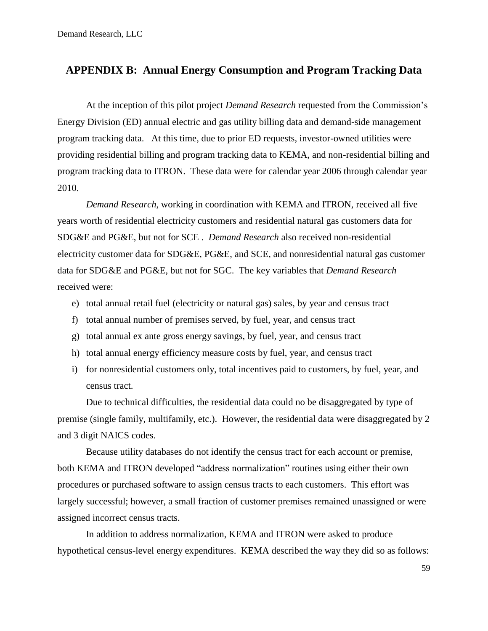# <span id="page-58-0"></span>**APPENDIX B: Annual Energy Consumption and Program Tracking Data**

At the inception of this pilot project *Demand Research* requested from the Commission's Energy Division (ED) annual electric and gas utility billing data and demand-side management program tracking data. At this time, due to prior ED requests, investor-owned utilities were providing residential billing and program tracking data to KEMA, and non-residential billing and program tracking data to ITRON. These data were for calendar year 2006 through calendar year 2010.

*Demand Research*, working in coordination with KEMA and ITRON, received all five years worth of residential electricity customers and residential natural gas customers data for SDG&E and PG&E, but not for SCE . *Demand Research* also received non-residential electricity customer data for SDG&E, PG&E, and SCE, and nonresidential natural gas customer data for SDG&E and PG&E, but not for SGC. The key variables that *Demand Research* received were:

- e) total annual retail fuel (electricity or natural gas) sales, by year and census tract
- f) total annual number of premises served, by fuel, year, and census tract
- g) total annual ex ante gross energy savings, by fuel, year, and census tract
- h) total annual energy efficiency measure costs by fuel, year, and census tract
- i) for nonresidential customers only, total incentives paid to customers, by fuel, year, and census tract.

Due to technical difficulties, the residential data could no be disaggregated by type of premise (single family, multifamily, etc.). However, the residential data were disaggregated by 2 and 3 digit NAICS codes.

Because utility databases do not identify the census tract for each account or premise, both KEMA and ITRON developed "address normalization" routines using either their own procedures or purchased software to assign census tracts to each customers. This effort was largely successful; however, a small fraction of customer premises remained unassigned or were assigned incorrect census tracts.

In addition to address normalization, KEMA and ITRON were asked to produce hypothetical census-level energy expenditures. KEMA described the way they did so as follows: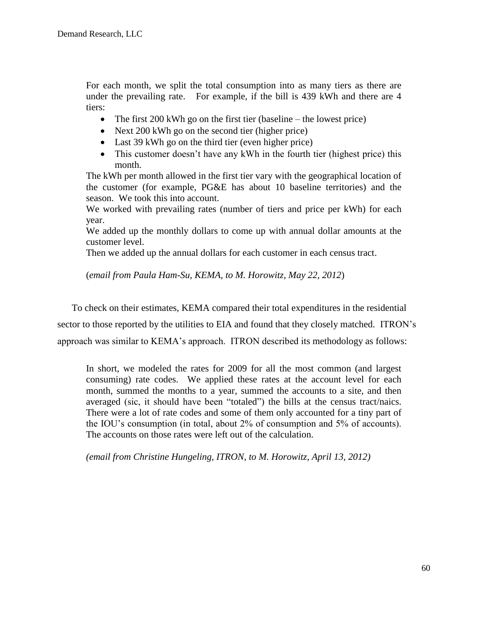For each month, we split the total consumption into as many tiers as there are under the prevailing rate. For example, if the bill is 439 kWh and there are 4 tiers:

- The first  $200 \text{ kWh}$  go on the first tier (baseline the lowest price)
- Next 200 kWh go on the second tier (higher price)
- Last 39 kWh go on the third tier (even higher price)
- This customer doesn't have any kWh in the fourth tier (highest price) this month.

The kWh per month allowed in the first tier vary with the geographical location of the customer (for example, PG&E has about 10 baseline territories) and the season. We took this into account.

We worked with prevailing rates (number of tiers and price per kWh) for each year.

We added up the monthly dollars to come up with annual dollar amounts at the customer level.

Then we added up the annual dollars for each customer in each census tract.

(*email from Paula Ham-Su, KEMA, to M. Horowitz, May 22, 2012*)

To check on their estimates, KEMA compared their total expenditures in the residential sector to those reported by the utilities to EIA and found that they closely matched. ITRON's approach was similar to KEMA's approach. ITRON described its methodology as follows:

In short, we modeled the rates for 2009 for all the most common (and largest consuming) rate codes. We applied these rates at the account level for each month, summed the months to a year, summed the accounts to a site, and then averaged (sic, it should have been "totaled") the bills at the census tract/naics. There were a lot of rate codes and some of them only accounted for a tiny part of the IOU's consumption (in total, about 2% of consumption and 5% of accounts). The accounts on those rates were left out of the calculation.

*(email from Christine Hungeling, ITRON, to M. Horowitz, April 13, 2012)*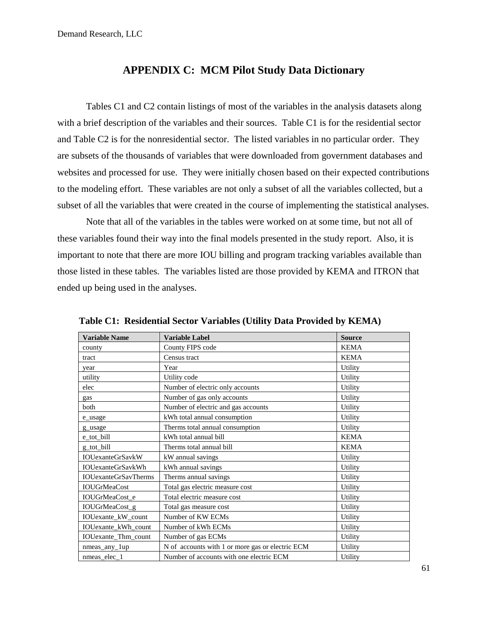# **APPENDIX C: MCM Pilot Study Data Dictionary**

<span id="page-60-0"></span>Tables C1 and C2 contain listings of most of the variables in the analysis datasets along with a brief description of the variables and their sources. Table C1 is for the residential sector and Table C2 is for the nonresidential sector. The listed variables in no particular order. They are subsets of the thousands of variables that were downloaded from government databases and websites and processed for use. They were initially chosen based on their expected contributions to the modeling effort. These variables are not only a subset of all the variables collected, but a subset of all the variables that were created in the course of implementing the statistical analyses.

Note that all of the variables in the tables were worked on at some time, but not all of these variables found their way into the final models presented in the study report. Also, it is important to note that there are more IOU billing and program tracking variables available than those listed in these tables. The variables listed are those provided by KEMA and ITRON that ended up being used in the analyses.

| <b>Variable Name</b>        | <b>Variable Label</b>                            | <b>Source</b> |
|-----------------------------|--------------------------------------------------|---------------|
| county                      | County FIPS code                                 | <b>KEMA</b>   |
| tract                       | Census tract                                     | <b>KEMA</b>   |
| year                        | Year                                             | Utility       |
| utility                     | Utility code                                     | Utility       |
| elec                        | Number of electric only accounts                 | Utility       |
| gas                         | Number of gas only accounts                      | Utility       |
| both                        | Number of electric and gas accounts              | Utility       |
| e_usage                     | kWh total annual consumption                     | Utility       |
| g_usage                     | Therms total annual consumption                  | Utility       |
| e_tot_bill                  | kWh total annual bill                            | <b>KEMA</b>   |
| g tot bill                  | Therms total annual bill                         | <b>KEMA</b>   |
| <b>IOUexanteGrSavkW</b>     | kW annual savings                                | Utility       |
| <b>IOUexanteGrSavkWh</b>    | kWh annual savings                               | Utility       |
| <b>IOUexanteGrSavTherms</b> | Therms annual savings                            | Utility       |
| <b>IOUGrMeaCost</b>         | Total gas electric measure cost                  | Utility       |
| IOUGrMeaCost_e              | Total electric measure cost                      | Utility       |
| IOUGrMeaCost_g              | Total gas measure cost                           | Utility       |
| IOUexante_kW_count          | Number of KW ECMs                                | Utility       |
| IOUexante_kWh_count         | Number of kWh ECMs                               | Utility       |
| IOUexante_Thm_count         | Number of gas ECMs                               | Utility       |
| $n$ meas_any_ $1$ up        | N of accounts with 1 or more gas or electric ECM | Utility       |
| nmeas elec 1                | Number of accounts with one electric ECM         | Utility       |

**Table C1: Residential Sector Variables (Utility Data Provided by KEMA)**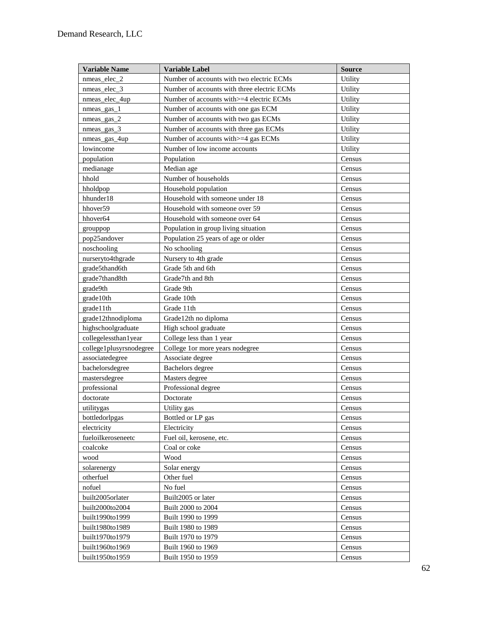| <b>Variable Name</b>    | <b>Variable Label</b>                       | <b>Source</b> |
|-------------------------|---------------------------------------------|---------------|
| nmeas_elec_2            | Number of accounts with two electric ECMs   | Utility       |
| nmeas_elec_3            | Number of accounts with three electric ECMs | Utility       |
| nmeas_elec_4up          | Number of accounts with >=4 electric ECMs   | Utility       |
| nmeas_gas_1             | Number of accounts with one gas ECM         | Utility       |
| $nmeas_{gas_2}$         | Number of accounts with two gas ECMs        | Utility       |
| nmeas_gas_3             | Number of accounts with three gas ECMs      | Utility       |
| nmeas_gas_4up           | Number of accounts with >=4 gas ECMs        | Utility       |
| lowincome               | Number of low income accounts               | Utility       |
| population              | Population                                  | Census        |
| medianage               | Median age                                  | Census        |
| hhold                   | Number of households                        | Census        |
| hholdpop                | Household population                        | Census        |
| hhunder18               | Household with someone under 18             | Census        |
| hhover <sub>59</sub>    | Household with someone over 59              | Census        |
| hhover64                | Household with someone over 64              | Census        |
| grouppop                | Population in group living situation        | Census        |
| pop25andover            | Population 25 years of age or older         | Census        |
| noschooling             | No schooling                                | Census        |
| nurseryto4thgrade       | Nursery to 4th grade                        | Census        |
| grade5thand6th          | Grade 5th and 6th                           | Census        |
| grade7thand8th          | Grade7th and 8th                            | Census        |
| grade9th                | Grade 9th                                   | Census        |
| grade10th               | Grade 10th                                  | Census        |
| grade11th               | Grade 11th                                  | Census        |
| grade12thnodiploma      | Grade12th no diploma                        | Census        |
| highschoolgraduate      | High school graduate                        | Census        |
| collegelessthan1year    | College less than 1 year                    | Census        |
| college1plusyrsnodegree | College 1or more years nodegree             | Census        |
| associatedegree         | Associate degree                            | Census        |
| bachelorsdegree         | Bachelors degree                            | Census        |
| mastersdegree           | Masters degree                              | Census        |
| professional            | Professional degree                         | Census        |
| doctorate               | Doctorate                                   | Census        |
| utilitygas              | Utility gas                                 | Census        |
| bottledorlpgas          | Bottled or LP gas                           | Census        |
| electricity             | Electricity                                 | Census        |
| fueloilkeroseneetc      | Fuel oil, kerosene, etc.                    | Census        |
| coalcoke                | Coal or coke                                | Census        |
| wood                    | Wood                                        | Census        |
| solarenergy             | Solar energy                                | Census        |
| otherfuel               | Other fuel                                  | Census        |
| nofuel                  | No fuel                                     | Census        |
| built2005orlater        | Built2005 or later                          | Census        |
| built2000to2004         | Built 2000 to 2004                          | Census        |
| built1990to1999         | Built 1990 to 1999                          | Census        |
| built1980to1989         | Built 1980 to 1989                          | Census        |
| built1970to1979         | Built 1970 to 1979                          | Census        |
| built1960to1969         | Built 1960 to 1969                          | Census        |
| built1950to1959         | Built 1950 to 1959                          | Census        |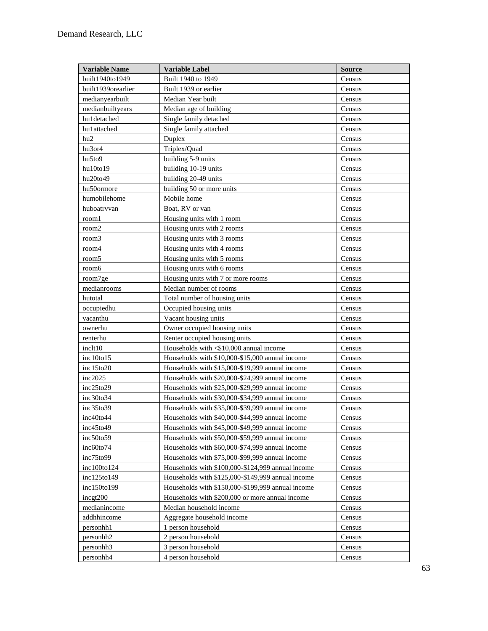| <b>Variable Name</b>  | <b>Variable Label</b>                             | <b>Source</b> |
|-----------------------|---------------------------------------------------|---------------|
| built1940to1949       | Built 1940 to 1949                                | Census        |
| built1939orearlier    | Built 1939 or earlier                             | Census        |
| medianyearbuilt       | Median Year built                                 | Census        |
| medianbuiltyears      | Median age of building                            | Census        |
| huldetached           | Single family detached                            | Census        |
| hu1attached           | Single family attached                            | Census        |
| hu2                   | Duplex                                            | Census        |
| hu3or4                | Triplex/Quad                                      | Census        |
| hu5to9                | building 5-9 units                                | Census        |
| hu10to19              | building 10-19 units                              | Census        |
| hu20to49              | building 20-49 units                              | Census        |
| hu50ormore            | building 50 or more units                         | Census        |
| humobilehome          | Mobile home                                       | Census        |
| huboatrvvan           | Boat, RV or van                                   | Census        |
| rooml                 | Housing units with 1 room                         | Census        |
| room2                 | Housing units with 2 rooms                        | Census        |
| room3                 | Housing units with 3 rooms                        | Census        |
| room4                 | Housing units with 4 rooms                        | Census        |
| room <sub>5</sub>     | Housing units with 5 rooms                        | Census        |
| room6                 | Housing units with 6 rooms                        | Census        |
| room7ge               | Housing units with 7 or more rooms                | Census        |
| medianrooms           | Median number of rooms                            | Census        |
| hutotal               | Total number of housing units                     | Census        |
| occupiedhu            | Occupied housing units                            | Census        |
| vacanthu              | Vacant housing units                              | Census        |
| ownerhu               | Owner occupied housing units                      | Census        |
| renterhu              | Renter occupied housing units                     | Census        |
| inclt10               | Households with <\$10,000 annual income           | Census        |
| inc10 to 15           | Households with \$10,000-\$15,000 annual income   | Census        |
| inc15to20             | Households with \$15,000-\$19,999 annual income   | Census        |
| inc2025               | Households with \$20,000-\$24,999 annual income   | Census        |
| inc25to29             | Households with \$25,000-\$29,999 annual income   | Census        |
| $inc30$ to $34$       | Households with \$30,000-\$34,999 annual income   | Census        |
| inc35to39             | Households with \$35,000-\$39,999 annual income   | Census        |
| inc40to44             | Households with \$40,000-\$44,999 annual income   | Census        |
| inc45to49             | Households with \$45,000-\$49,999 annual income   | Census        |
| inc50to59             | Households with \$50,000-\$59,999 annual income   | Census        |
| $inc60$ to $74$       | Households with \$60,000-\$74,999 annual income   | Census        |
| inc75 to 99           | Households with \$75,000-\$99,999 annual income   | Census        |
| $inc100$ to 124       | Households with \$100,000-\$124,999 annual income | Census        |
| inc125 to 149         | Households with \$125,000-\$149,999 annual income | Census        |
| inc150to199           | Households with \$150,000-\$199,999 annual income | Census        |
| incgt200              | Households with \$200,000 or more annual income   | Census        |
| medianincome          | Median household income                           | Census        |
| addhhincome           | Aggregate household income                        | Census        |
| personhh1             | 1 person household                                | Census        |
| personhh <sub>2</sub> | 2 person household                                | Census        |
| personhh <sub>3</sub> | 3 person household                                | Census        |
| personhh4             | 4 person household                                | Census        |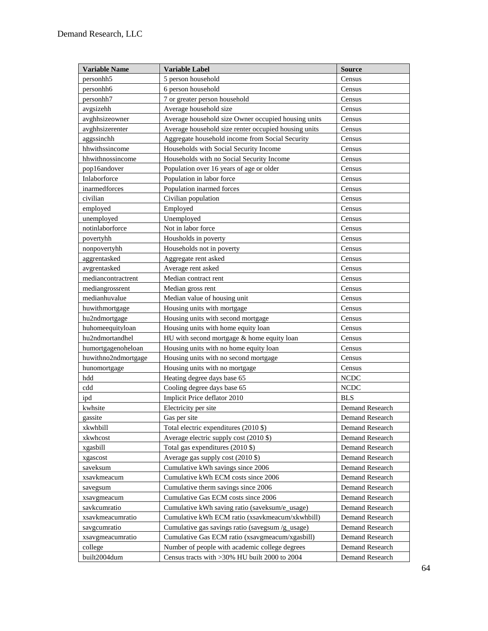| <b>Variable Name</b>  | <b>Variable Label</b>                                | <b>Source</b>          |
|-----------------------|------------------------------------------------------|------------------------|
| personhh <sub>5</sub> | 5 person household                                   | Census                 |
| personhh6             | 6 person household                                   | Census                 |
| personhh7             | 7 or greater person household                        | Census                 |
| avgsizehh             | Average household size                               | Census                 |
| avghhsizeowner        | Average household size Owner occupied housing units  | Census                 |
| avghhsizerenter       | Average household size renter occupied housing units | Census                 |
| aggssinchh            | Aggregate household income from Social Security      | Census                 |
| hhwithssincome        | Households with Social Security Income               | Census                 |
| hhwithnossincome      | Households with no Social Security Income            | Census                 |
| pop16andover          | Population over 16 years of age or older             | Census                 |
| Inlaborforce          | Population in labor force                            | Census                 |
| inarmedforces         | Population inarmed forces                            | Census                 |
| civilian              | Civilian population                                  | Census                 |
| employed              | Employed                                             | Census                 |
| unemployed            | Unemployed                                           | Census                 |
| notinlaborforce       | Not in labor force                                   | Census                 |
| povertyhh             | Housholds in poverty                                 | Census                 |
| nonpovertyhh          | Households not in poverty                            | Census                 |
| aggrentasked          | Aggregate rent asked                                 | Census                 |
| avgrentasked          | Average rent asked                                   | Census                 |
| mediancontractrent    | Median contract rent                                 | Census                 |
| mediangrossrent       | Median gross rent                                    | Census                 |
| medianhuvalue         | Median value of housing unit                         | Census                 |
| huwithmortgage        | Housing units with mortgage                          | Census                 |
| hu2ndmortgage         | Housing units with second mortgage                   | Census                 |
| huhomeequityloan      | Housing units with home equity loan                  | Census                 |
| hu2ndmortandhel       | HU with second mortgage & home equity loan           | Census                 |
| humortgagenoheloan    | Housing units with no home equity loan               | Census                 |
| huwithno2ndmortgage   | Housing units with no second mortgage                | Census                 |
| hunomortgage          | Housing units with no mortgage                       | Census                 |
| hdd                   | Heating degree days base 65                          | <b>NCDC</b>            |
| cdd                   | Cooling degree days base 65                          | <b>NCDC</b>            |
| ipd                   | Implicit Price deflator 2010                         | <b>BLS</b>             |
| kwhsite               | Electricity per site                                 | Demand Research        |
| gassite               | Gas per site                                         | Demand Research        |
| xkwhbill              | Total electric expenditures (2010 \$)                | Demand Research        |
| xkwhcost              | Average electric supply cost (2010 \$)               | Demand Research        |
| xgasbill              | Total gas expenditures (2010 \$)                     | Demand Research        |
| xgascost              | Average gas supply cost (2010 \$)                    | Demand Research        |
| saveksum              | Cumulative kWh savings since 2006                    | Demand Research        |
| xsavkmeacum           | Cumulative kWh ECM costs since 2006                  | Demand Research        |
| savegsum              | Cumulative therm savings since 2006                  | Demand Research        |
| xsavgmeacum           | Cumulative Gas ECM costs since 2006                  | Demand Research        |
| savkcumratio          | Cumulative kWh saving ratio (saveksum/e_usage)       | Demand Research        |
| xsavkmeacumratio      | Cumulative kWh ECM ratio (xsavkmeacum/xkwhbill)      | <b>Demand Research</b> |
| savgcumratio          | Cumulative gas savings ratio (savegsum /g_usage)     | Demand Research        |
| xsavgmeacumratio      | Cumulative Gas ECM ratio (xsavgmeacum/xgasbill)      | Demand Research        |
| college               | Number of people with academic college degrees       | Demand Research        |
| built2004dum          | Census tracts with >30% HU built 2000 to 2004        | Demand Research        |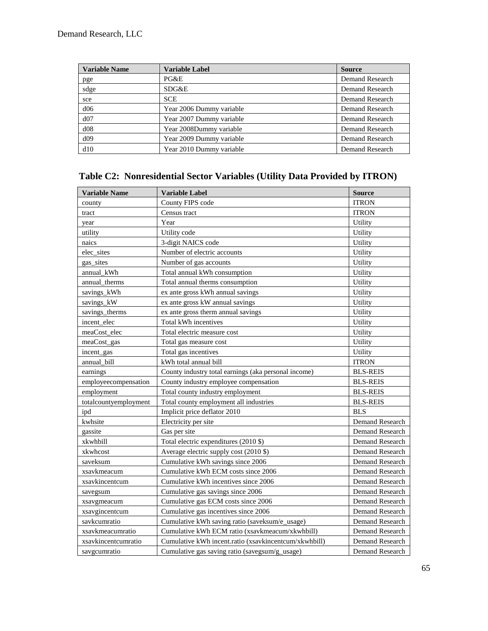| <b>Variable Name</b> | <b>Variable Label</b>    | <b>Source</b>   |
|----------------------|--------------------------|-----------------|
| pge                  | PG&E                     | Demand Research |
| sdge                 | SDG&E                    | Demand Research |
| sce                  | <b>SCE</b>               | Demand Research |
| d06                  | Year 2006 Dummy variable | Demand Research |
| d07                  | Year 2007 Dummy variable | Demand Research |
| d08                  | Year 2008Dummy variable  | Demand Research |
| d09                  | Year 2009 Dummy variable | Demand Research |
| d10                  | Year 2010 Dummy variable | Demand Research |

# **Table C2: Nonresidential Sector Variables (Utility Data Provided by ITRON)**

| <b>Variable Name</b>  | <b>Variable Label</b>                                 | <b>Source</b>   |
|-----------------------|-------------------------------------------------------|-----------------|
| county                | County FIPS code                                      | <b>ITRON</b>    |
| tract                 | Census tract                                          | <b>ITRON</b>    |
| year                  | Year                                                  | Utility         |
| utility               | Utility code                                          | Utility         |
| naics                 | 3-digit NAICS code                                    | Utility         |
| elec_sites            | Number of electric accounts                           | Utility         |
| gas_sites             | Number of gas accounts                                | Utility         |
| annual kWh            | Total annual kWh consumption                          | Utility         |
| annual therms         | Total annual therms consumption                       | Utility         |
| savings_kWh           | ex ante gross kWh annual savings                      | Utility         |
| savings kW            | ex ante gross kW annual savings                       | Utility         |
| savings_therms        | ex ante gross therm annual savings                    | Utility         |
| incent_elec           | Total kWh incentives                                  | Utility         |
| meaCost_elec          | Total electric measure cost                           | Utility         |
| meaCost_gas           | Total gas measure cost                                | Utility         |
| incent_gas            | Total gas incentives                                  | Utility         |
| annual bill           | kWh total annual bill                                 | <b>ITRON</b>    |
| earnings              | County industry total earnings (aka personal income)  | <b>BLS-REIS</b> |
| employeecompensation  | County industry employee compensation                 | <b>BLS-REIS</b> |
| employment            | Total county industry employment                      | <b>BLS-REIS</b> |
| totalcountyemployment | Total county employment all industries                | <b>BLS-REIS</b> |
| ipd                   | Implicit price deflator 2010                          | <b>BLS</b>      |
| kwhsite               | Electricity per site                                  | Demand Research |
| gassite               | Gas per site                                          | Demand Research |
| xkwhbill              | Total electric expenditures (2010 \$)                 | Demand Research |
| xkwhcost              | Average electric supply cost (2010 \$)                | Demand Research |
| saveksum              | Cumulative kWh savings since 2006                     | Demand Research |
| xsavkmeacum           | Cumulative kWh ECM costs since 2006                   | Demand Research |
| xsavkincentcum        | Cumulative kWh incentives since 2006                  | Demand Research |
| savegsum              | Cumulative gas savings since 2006                     | Demand Research |
| xsavgmeacum           | Cumulative gas ECM costs since 2006                   | Demand Research |
| xsavgincentcum        | Cumulative gas incentives since 2006                  | Demand Research |
| savkcumratio          | Cumulative kWh saving ratio (saveksum/e_usage)        | Demand Research |
| xsavkmeacumratio      | Cumulative kWh ECM ratio (xsavkmeacum/xkwhbill)       | Demand Research |
| xsavkincentcumratio   | Cumulative kWh incent.ratio (xsavkincentcum/xkwhbill) | Demand Research |
| savgcumratio          | Cumulative gas saving ratio (savegsum/g_usage)        | Demand Research |